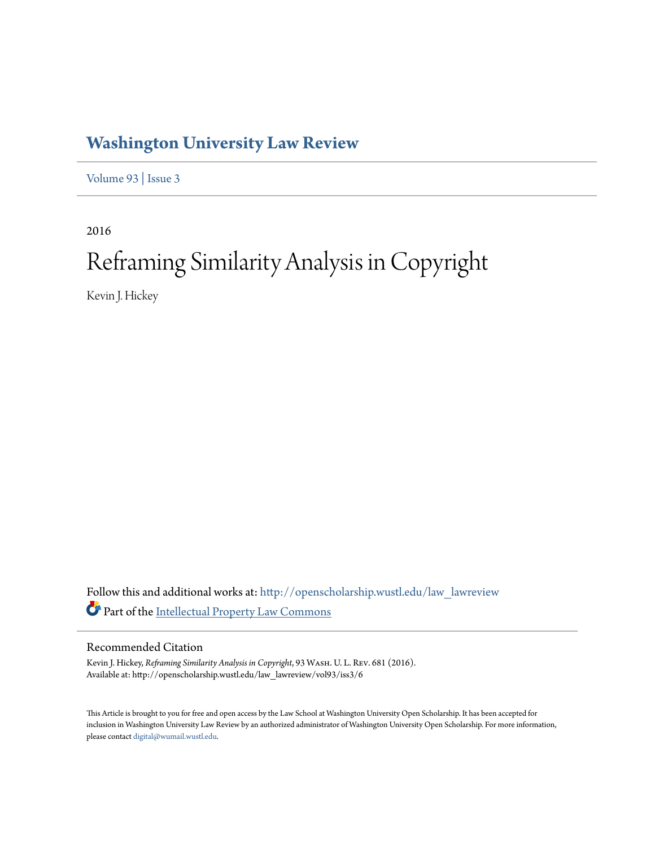# **[Washington University Law Review](http://openscholarship.wustl.edu/law_lawreview?utm_source=openscholarship.wustl.edu%2Flaw_lawreview%2Fvol93%2Fiss3%2F6&utm_medium=PDF&utm_campaign=PDFCoverPages)**

[Volume 93](http://openscholarship.wustl.edu/law_lawreview/vol93?utm_source=openscholarship.wustl.edu%2Flaw_lawreview%2Fvol93%2Fiss3%2F6&utm_medium=PDF&utm_campaign=PDFCoverPages) | [Issue 3](http://openscholarship.wustl.edu/law_lawreview/vol93/iss3?utm_source=openscholarship.wustl.edu%2Flaw_lawreview%2Fvol93%2Fiss3%2F6&utm_medium=PDF&utm_campaign=PDFCoverPages)

2016

# Reframing Similarity Analysis in Copyright

Kevin J. Hickey

Follow this and additional works at: [http://openscholarship.wustl.edu/law\\_lawreview](http://openscholarship.wustl.edu/law_lawreview?utm_source=openscholarship.wustl.edu%2Flaw_lawreview%2Fvol93%2Fiss3%2F6&utm_medium=PDF&utm_campaign=PDFCoverPages) Part of the [Intellectual Property Law Commons](http://network.bepress.com/hgg/discipline/896?utm_source=openscholarship.wustl.edu%2Flaw_lawreview%2Fvol93%2Fiss3%2F6&utm_medium=PDF&utm_campaign=PDFCoverPages)

# Recommended Citation

Kevin J. Hickey, *Reframing Similarity Analysis in Copyright*, 93 Wash. U. L. Rev. 681 (2016). Available at: http://openscholarship.wustl.edu/law\_lawreview/vol93/iss3/6

This Article is brought to you for free and open access by the Law School at Washington University Open Scholarship. It has been accepted for inclusion in Washington University Law Review by an authorized administrator of Washington University Open Scholarship. For more information, please contact [digital@wumail.wustl.edu.](mailto:digital@wumail.wustl.edu)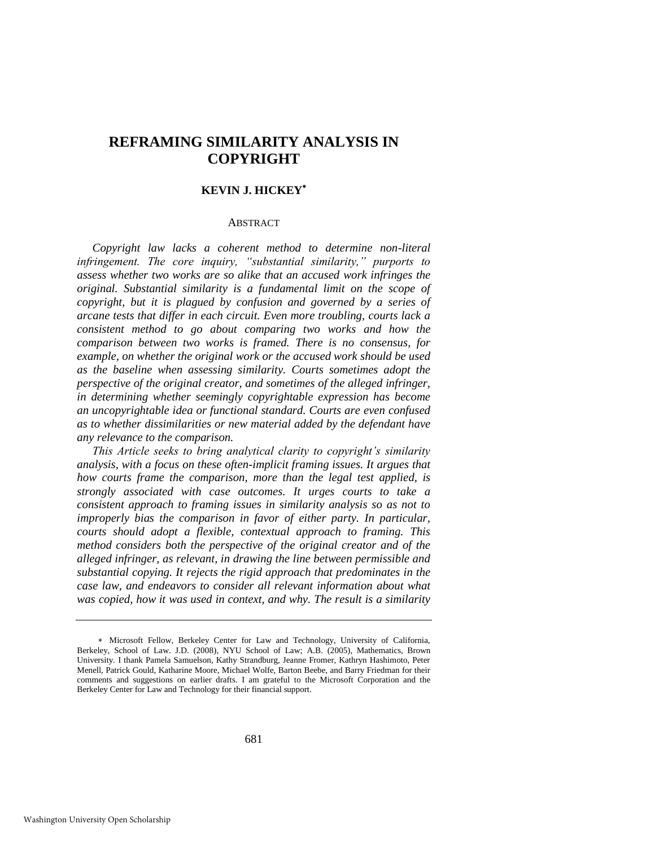# **REFRAMING SIMILARITY ANALYSIS IN COPYRIGHT**

#### **KEVIN J. HICKEY**

#### ABSTRACT

*Copyright law lacks a coherent method to determine non-literal infringement. The core inquiry, "substantial similarity," purports to assess whether two works are so alike that an accused work infringes the original. Substantial similarity is a fundamental limit on the scope of copyright, but it is plagued by confusion and governed by a series of arcane tests that differ in each circuit. Even more troubling, courts lack a consistent method to go about comparing two works and how the comparison between two works is framed. There is no consensus, for example, on whether the original work or the accused work should be used as the baseline when assessing similarity. Courts sometimes adopt the perspective of the original creator, and sometimes of the alleged infringer, in determining whether seemingly copyrightable expression has become an uncopyrightable idea or functional standard. Courts are even confused as to whether dissimilarities or new material added by the defendant have any relevance to the comparison.*

*This Article seeks to bring analytical clarity to copyright's similarity analysis, with a focus on these often-implicit framing issues. It argues that how courts frame the comparison, more than the legal test applied, is strongly associated with case outcomes. It urges courts to take a consistent approach to framing issues in similarity analysis so as not to improperly bias the comparison in favor of either party. In particular, courts should adopt a flexible, contextual approach to framing. This method considers both the perspective of the original creator and of the alleged infringer, as relevant, in drawing the line between permissible and substantial copying. It rejects the rigid approach that predominates in the case law, and endeavors to consider all relevant information about what was copied, how it was used in context, and why. The result is a similarity* 

Microsoft Fellow, Berkeley Center for Law and Technology, University of California, Berkeley, School of Law. J.D. (2008), NYU School of Law; A.B. (2005), Mathematics, Brown University. I thank Pamela Samuelson, Kathy Strandburg, Jeanne Fromer, Kathryn Hashimoto, Peter Menell, Patrick Gould, Katharine Moore, Michael Wolfe, Barton Beebe, and Barry Friedman for their comments and suggestions on earlier drafts. I am grateful to the Microsoft Corporation and the Berkeley Center for Law and Technology for their financial support.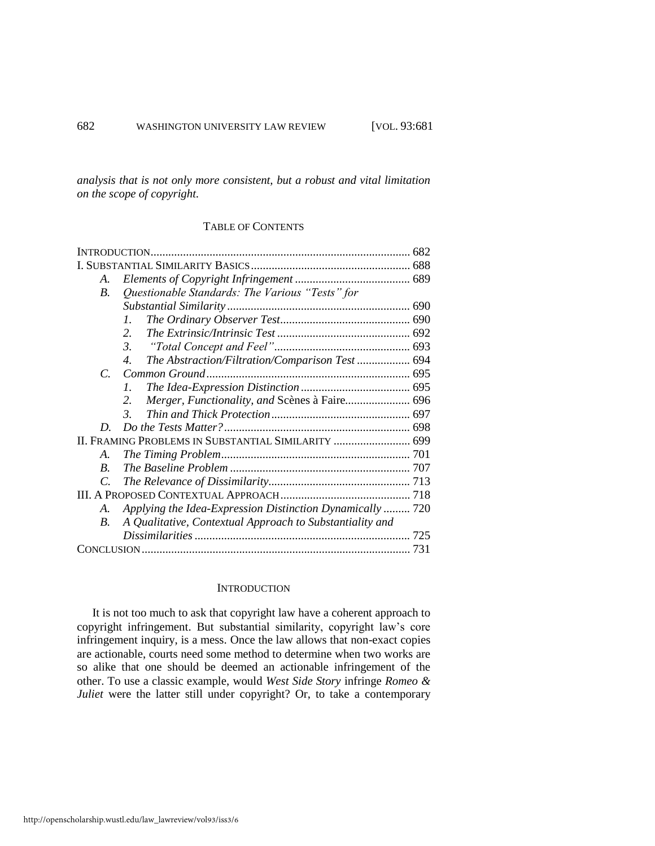*analysis that is not only more consistent, but a robust and vital limitation on the scope of copyright.* 

# TABLE OF CONTENTS

#### **INTRODUCTION**

It is not too much to ask that copyright law have a coherent approach to copyright infringement. But substantial similarity, copyright law's core infringement inquiry, is a mess. Once the law allows that non-exact copies are actionable, courts need some method to determine when two works are so alike that one should be deemed an actionable infringement of the other. To use a classic example, would *West Side Story* infringe *Romeo & Juliet* were the latter still under copyright? Or, to take a contemporary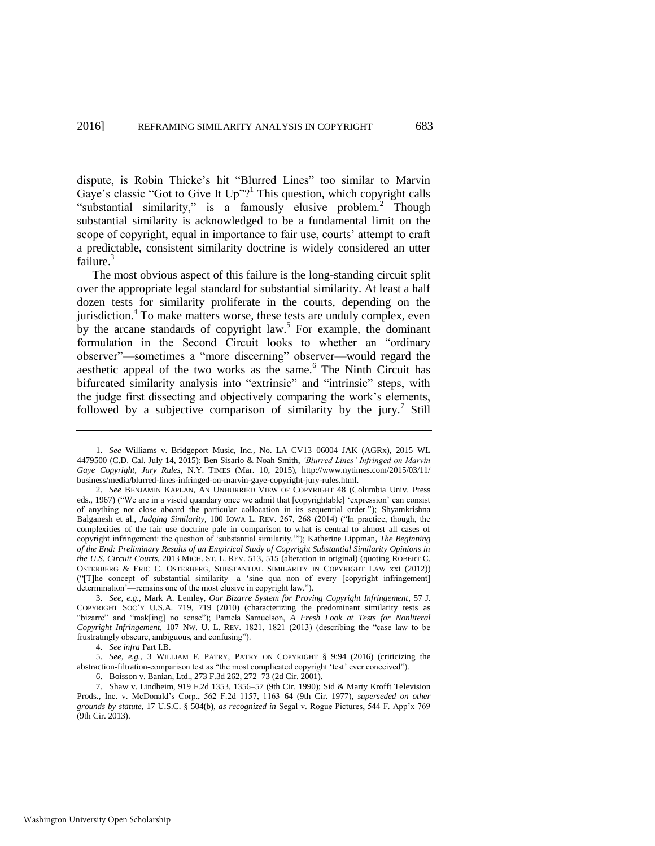<span id="page-3-0"></span>dispute, is Robin Thicke's hit "Blurred Lines" too similar to Marvin Gaye's classic "Got to Give It Up"?<sup>1</sup> This question, which copyright calls "substantial similarity," is a famously elusive problem.<sup>2</sup> Though substantial similarity is acknowledged to be a fundamental limit on the scope of copyright, equal in importance to fair use, courts' attempt to craft a predictable, consistent similarity doctrine is widely considered an utter failure.<sup>3</sup>

<span id="page-3-2"></span><span id="page-3-1"></span>The most obvious aspect of this failure is the long-standing circuit split over the appropriate legal standard for substantial similarity. At least a half dozen tests for similarity proliferate in the courts, depending on the jurisdiction.<sup>4</sup> To make matters worse, these tests are unduly complex, even by the arcane standards of copyright  $law<sup>5</sup>$ . For example, the dominant formulation in the Second Circuit looks to whether an "ordinary observer"—sometimes a "more discerning" observer—would regard the aesthetic appeal of the two works as the same.<sup>6</sup> The Ninth Circuit has bifurcated similarity analysis into "extrinsic" and "intrinsic" steps, with the judge first dissecting and objectively comparing the work's elements, followed by a subjective comparison of similarity by the jury.<sup>7</sup> Still

4. *See infra* Part I.B.

<sup>1.</sup> *See* Williams v. Bridgeport Music, Inc., No. LA CV13–06004 JAK (AGRx), 2015 WL 4479500 (C.D. Cal. July 14, 2015); Ben Sisario & Noah Smith, *'Blurred Lines' Infringed on Marvin Gaye Copyright, Jury Rules*, N.Y. TIMES (Mar. 10, 2015), http://www.nytimes.com/2015/03/11/ business/media/blurred-lines-infringed-on-marvin-gaye-copyright-jury-rules.html.

<sup>2.</sup> *See* BENJAMIN KAPLAN, AN UNHURRIED VIEW OF COPYRIGHT 48 (Columbia Univ. Press eds., 1967) ("We are in a viscid quandary once we admit that [copyrightable] 'expression' can consist of anything not close aboard the particular collocation in its sequential order."); Shyamkrishna Balganesh et al., *Judging Similarity*, 100 IOWA L. REV. 267, 268 (2014) ("In practice, though, the complexities of the fair use doctrine pale in comparison to what is central to almost all cases of copyright infringement: the question of 'substantial similarity.'"); Katherine Lippman, *The Beginning of the End: Preliminary Results of an Empirical Study of Copyright Substantial Similarity Opinions in the U.S. Circuit Courts*, 2013 MICH. ST. L. REV. 513, 515 (alteration in original) (quoting ROBERT C. OSTERBERG & ERIC C. OSTERBERG, SUBSTANTIAL SIMILARITY IN COPYRIGHT LAW xxi (2012)) ("[T]he concept of substantial similarity—a 'sine qua non of every [copyright infringement] determination'—remains one of the most elusive in copyright law.").

<sup>3.</sup> *See, e.g.*, Mark A. Lemley, *Our Bizarre System for Proving Copyright Infringement*, 57 J. COPYRIGHT SOC'Y U.S.A. 719, 719 (2010) (characterizing the predominant similarity tests as "bizarre" and "mak[ing] no sense"); Pamela Samuelson, *A Fresh Look at Tests for Nonliteral Copyright Infringement*, 107 NW. U. L. REV. 1821, 1821 (2013) (describing the "case law to be frustratingly obscure, ambiguous, and confusing").

<sup>5.</sup> *See, e.g.*, 3 WILLIAM F. PATRY, PATRY ON COPYRIGHT § 9:94 (2016) (criticizing the abstraction-filtration-comparison test as "the most complicated copyright 'test' ever conceived").

<sup>6.</sup> Boisson v. Banian, Ltd., 273 F.3d 262, 272–73 (2d Cir. 2001).

<sup>7.</sup> Shaw v. Lindheim, 919 F.2d 1353, 1356–57 (9th Cir. 1990); Sid & Marty Krofft Television Prods., Inc. v. McDonald's Corp., 562 F.2d 1157, 1163–64 (9th Cir. 1977), *superseded on other grounds by statute*, 17 U.S.C. § 504(b), *as recognized in* Segal v. Rogue Pictures, 544 F. App'x 769 (9th Cir. 2013).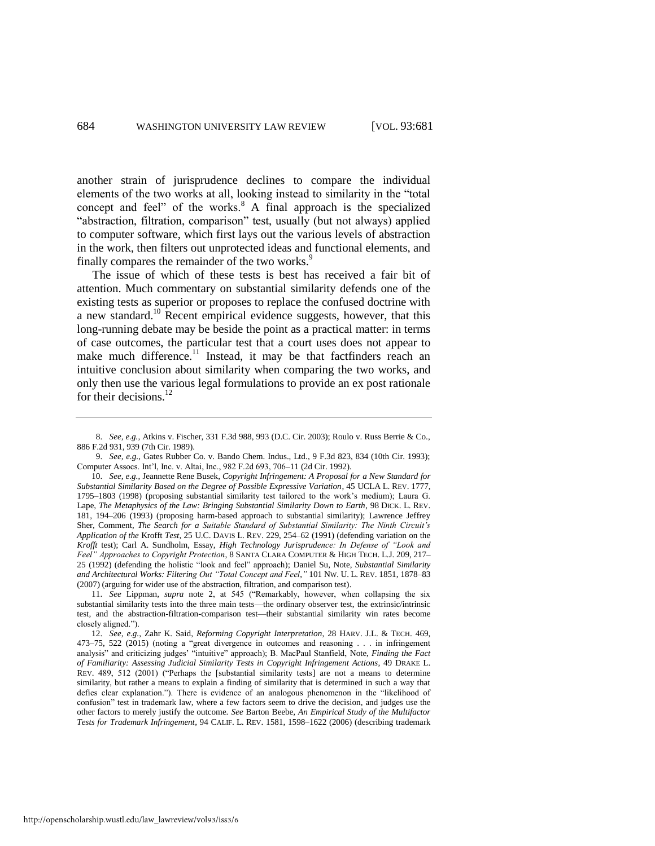another strain of jurisprudence declines to compare the individual elements of the two works at all, looking instead to similarity in the "total concept and feel" of the works.<sup>8</sup> A final approach is the specialized "abstraction, filtration, comparison" test, usually (but not always) applied to computer software, which first lays out the various levels of abstraction in the work, then filters out unprotected ideas and functional elements, and finally compares the remainder of the two works.<sup>9</sup>

<span id="page-4-0"></span>The issue of which of these tests is best has received a fair bit of attention. Much commentary on substantial similarity defends one of the existing tests as superior or proposes to replace the confused doctrine with a new standard.<sup>10</sup> Recent empirical evidence suggests, however, that this long-running debate may be beside the point as a practical matter: in terms of case outcomes, the particular test that a court uses does not appear to make much difference.<sup>11</sup> Instead, it may be that factfinders reach an intuitive conclusion about similarity when comparing the two works, and only then use the various legal formulations to provide an ex post rationale for their decisions. $^{12}$ 

11. *See* Lippman, *supra* note [2,](#page-3-0) at 545 ("Remarkably, however, when collapsing the six substantial similarity tests into the three main tests—the ordinary observer test, the extrinsic/intrinsic test, and the abstraction-filtration-comparison test—their substantial similarity win rates become closely aligned.").

<span id="page-4-1"></span><sup>8.</sup> *See, e.g.*, Atkins v. Fischer, 331 F.3d 988, 993 (D.C. Cir. 2003); Roulo v. Russ Berrie & Co., 886 F.2d 931, 939 (7th Cir. 1989).

<sup>9.</sup> *See, e.g.*, Gates Rubber Co. v. Bando Chem. Indus., Ltd., 9 F.3d 823, 834 (10th Cir. 1993); Computer Assocs. Int'l, Inc. v. Altai, Inc., 982 F.2d 693, 706–11 (2d Cir. 1992).

<sup>10.</sup> *See, e.g.*, Jeannette Rene Busek, *Copyright Infringement: A Proposal for a New Standard for Substantial Similarity Based on the Degree of Possible Expressive Variation*, 45 UCLA L. REV. 1777, 1795–1803 (1998) (proposing substantial similarity test tailored to the work's medium); Laura G. Lape, *The Metaphysics of the Law: Bringing Substantial Similarity Down to Earth*, 98 DICK. L. REV. 181, 194–206 (1993) (proposing harm-based approach to substantial similarity); Lawrence Jeffrey Sher, Comment, *The Search for a Suitable Standard of Substantial Similarity: The Ninth Circuit's Application of the* Krofft *Test*, 25 U.C. DAVIS L. REV. 229, 254–62 (1991) (defending variation on the *Krofft* test); Carl A. Sundholm, Essay, *High Technology Jurisprudence: In Defense of "Look and Feel" Approaches to Copyright Protection*, 8 SANTA CLARA COMPUTER & HIGH TECH. L.J. 209, 217– 25 (1992) (defending the holistic "look and feel" approach); Daniel Su, Note, *Substantial Similarity and Architectural Works: Filtering Out "Total Concept and Feel*,*"* 101 NW. U. L. REV. 1851, 1878–83 (2007) (arguing for wider use of the abstraction, filtration, and comparison test).

<sup>12.</sup> *See, e.g.*, Zahr K. Said, *Reforming Copyright Interpretation*, 28 HARV. J.L. & TECH. 469, 473–75, 522 (2015) (noting a "great divergence in outcomes and reasoning . . . in infringement analysis" and criticizing judges' "intuitive" approach); B. MacPaul Stanfield, Note, *Finding the Fact of Familiarity: Assessing Judicial Similarity Tests in Copyright Infringement Actions*, 49 DRAKE L. REV. 489, 512 (2001) ("Perhaps the [substantial similarity tests] are not a means to determine similarity, but rather a means to explain a finding of similarity that is determined in such a way that defies clear explanation."). There is evidence of an analogous phenomenon in the "likelihood of confusion" test in trademark law, where a few factors seem to drive the decision, and judges use the other factors to merely justify the outcome. *See* Barton Beebe, *An Empirical Study of the Multifactor Tests for Trademark Infringement*, 94 CALIF. L. REV. 1581, 1598–1622 (2006) (describing trademark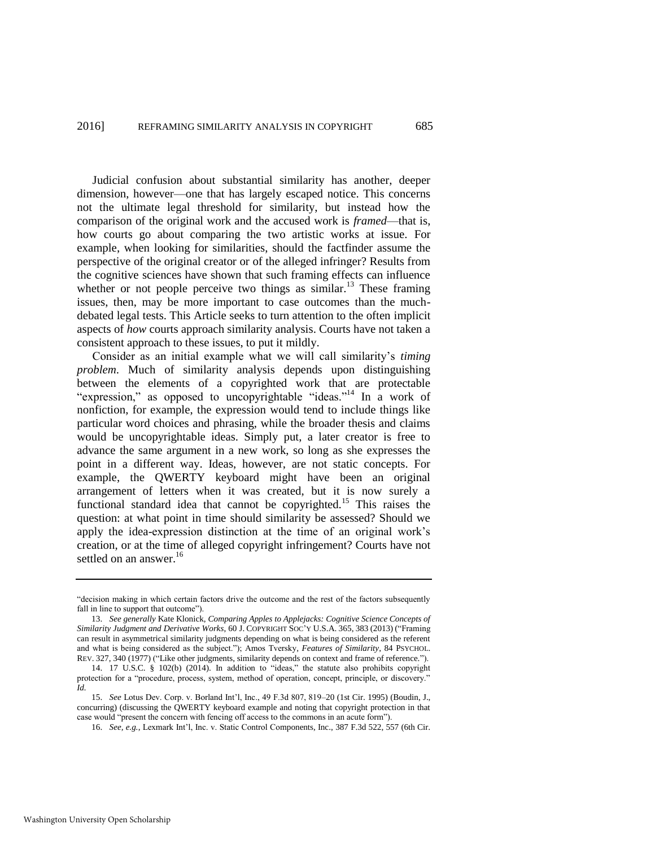Judicial confusion about substantial similarity has another, deeper dimension, however—one that has largely escaped notice. This concerns not the ultimate legal threshold for similarity, but instead how the comparison of the original work and the accused work is *framed*—that is, how courts go about comparing the two artistic works at issue. For example, when looking for similarities, should the factfinder assume the perspective of the original creator or of the alleged infringer? Results from the cognitive sciences have shown that such framing effects can influence whether or not people perceive two things as similar.<sup>13</sup> These framing issues, then, may be more important to case outcomes than the muchdebated legal tests. This Article seeks to turn attention to the often implicit aspects of *how* courts approach similarity analysis. Courts have not taken a consistent approach to these issues, to put it mildly.

<span id="page-5-0"></span>Consider as an initial example what we will call similarity's *timing problem*. Much of similarity analysis depends upon distinguishing between the elements of a copyrighted work that are protectable "expression," as opposed to uncopyrightable "ideas."<sup>14</sup> In a work of nonfiction, for example, the expression would tend to include things like particular word choices and phrasing, while the broader thesis and claims would be uncopyrightable ideas. Simply put, a later creator is free to advance the same argument in a new work, so long as she expresses the point in a different way. Ideas, however, are not static concepts. For example, the QWERTY keyboard might have been an original arrangement of letters when it was created, but it is now surely a functional standard idea that cannot be copyrighted.<sup>15</sup> This raises the question: at what point in time should similarity be assessed? Should we apply the idea-expression distinction at the time of an original work's creation, or at the time of alleged copyright infringement? Courts have not settled on an answer.<sup>16</sup>

15. *See* Lotus Dev. Corp. v. Borland Int'l, Inc., 49 F.3d 807, 819–20 (1st Cir. 1995) (Boudin, J., concurring) (discussing the QWERTY keyboard example and noting that copyright protection in that case would "present the concern with fencing off access to the commons in an acute form").

<sup>&</sup>quot;decision making in which certain factors drive the outcome and the rest of the factors subsequently fall in line to support that outcome").

<sup>13.</sup> *See generally* Kate Klonick, *Comparing Apples to Applejacks: Cognitive Science Concepts of Similarity Judgment and Derivative Works*, 60 J. COPYRIGHT SOC'Y U.S.A. 365, 383 (2013) ("Framing can result in asymmetrical similarity judgments depending on what is being considered as the referent and what is being considered as the subject."); Amos Tversky, *Features of Similarity*, 84 PSYCHOL. REV. 327, 340 (1977) ("Like other judgments, similarity depends on context and frame of reference.").

<sup>14. 17</sup> U.S.C. § 102(b) (2014). In addition to "ideas," the statute also prohibits copyright protection for a "procedure, process, system, method of operation, concept, principle, or discovery." *Id.*

<sup>16.</sup> *See, e.g.*, Lexmark Int'l, Inc. v. Static Control Components, Inc., 387 F.3d 522, 557 (6th Cir.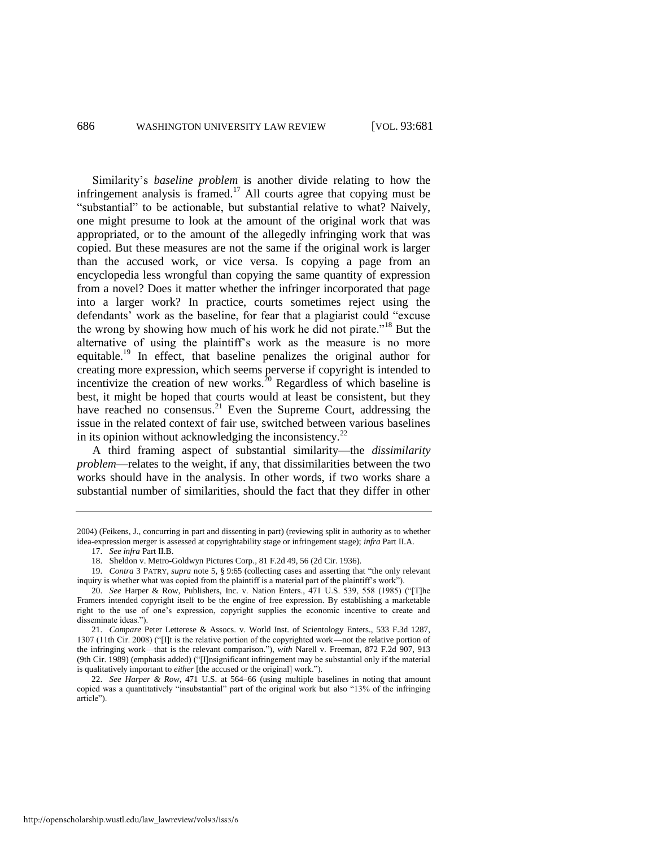Similarity's *baseline problem* is another divide relating to how the infringement analysis is framed.<sup>17</sup> All courts agree that copying must be "substantial" to be actionable, but substantial relative to what? Naively, one might presume to look at the amount of the original work that was appropriated, or to the amount of the allegedly infringing work that was copied. But these measures are not the same if the original work is larger than the accused work, or vice versa. Is copying a page from an encyclopedia less wrongful than copying the same quantity of expression from a novel? Does it matter whether the infringer incorporated that page into a larger work? In practice, courts sometimes reject using the defendants' work as the baseline, for fear that a plagiarist could "excuse the wrong by showing how much of his work he did not pirate."<sup>18</sup> But the alternative of using the plaintiff's work as the measure is no more equitable.<sup>19</sup> In effect, that baseline penalizes the original author for creating more expression, which seems perverse if copyright is intended to incentivize the creation of new works. $^{20}$  Regardless of which baseline is best, it might be hoped that courts would at least be consistent, but they have reached no consensus. $^{21}$  Even the Supreme Court, addressing the issue in the related context of fair use, switched between various baselines in its opinion without acknowledging the inconsistency. $^{22}$ 

A third framing aspect of substantial similarity—the *dissimilarity problem*—relates to the weight, if any, that dissimilarities between the two works should have in the analysis. In other words, if two works share a substantial number of similarities, should the fact that they differ in other

<sup>2004) (</sup>Feikens, J., concurring in part and dissenting in part) (reviewing split in authority as to whether idea-expression merger is assessed at copyrightability stage or infringement stage); *infra* Part II.A.

<sup>17.</sup> *See infra* Part II.B.

<sup>18.</sup> Sheldon v. Metro-Goldwyn Pictures Corp., 81 F.2d 49, 56 (2d Cir. 1936).

<sup>19.</sup> *Contra* 3 PATRY, *supra* note [5,](#page-3-1) § 9:65 (collecting cases and asserting that "the only relevant inquiry is whether what was copied from the plaintiff is a material part of the plaintiff's work").

<sup>20.</sup> *See* Harper & Row, Publishers, Inc. v. Nation Enters., 471 U.S. 539, 558 (1985) ("[T]he Framers intended copyright itself to be the engine of free expression. By establishing a marketable right to the use of one's expression, copyright supplies the economic incentive to create and disseminate ideas.").

<sup>21.</sup> *Compare* Peter Letterese & Assocs. v. World Inst. of Scientology Enters., 533 F.3d 1287, 1307 (11th Cir. 2008) ("[I]t is the relative portion of the copyrighted work—not the relative portion of the infringing work—that is the relevant comparison."), *with* Narell v. Freeman, 872 F.2d 907, 913 (9th Cir. 1989) (emphasis added) ("[I]nsignificant infringement may be substantial only if the material is qualitatively important to *either* [the accused or the original] work.").

<sup>22.</sup> *See Harper & Row*, 471 U.S. at 564–66 (using multiple baselines in noting that amount copied was a quantitatively "insubstantial" part of the original work but also "13% of the infringing article").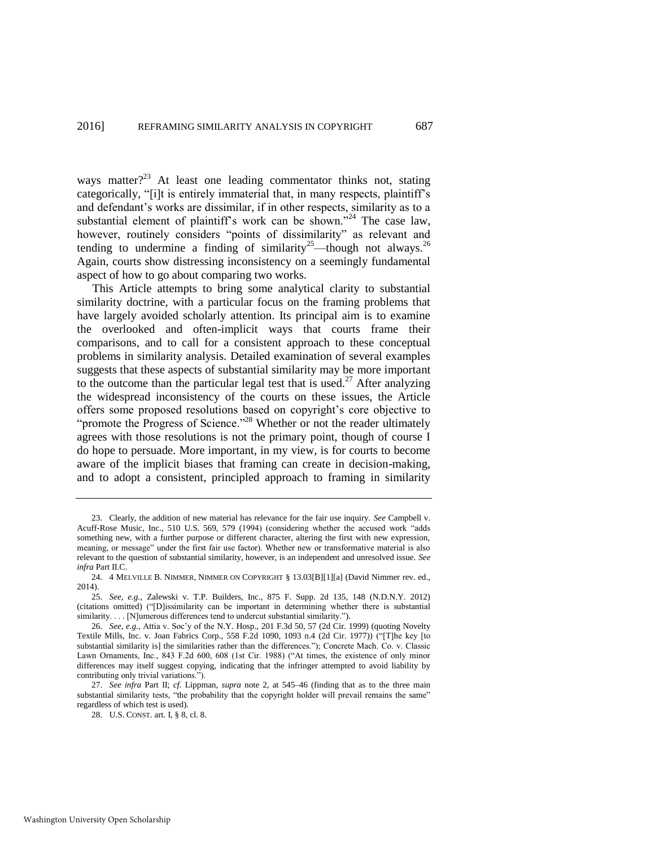<span id="page-7-0"></span>ways matter? $^{23}$  At least one leading commentator thinks not, stating categorically, "[i]t is entirely immaterial that, in many respects, plaintiff's and defendant's works are dissimilar, if in other respects, similarity as to a substantial element of plaintiff's work can be shown."<sup>24</sup> The case law, however, routinely considers "points of dissimilarity" as relevant and tending to undermine a finding of similarity<sup>25</sup>—though not always.<sup>26</sup> Again, courts show distressing inconsistency on a seemingly fundamental aspect of how to go about comparing two works.

This Article attempts to bring some analytical clarity to substantial similarity doctrine, with a particular focus on the framing problems that have largely avoided scholarly attention. Its principal aim is to examine the overlooked and often-implicit ways that courts frame their comparisons, and to call for a consistent approach to these conceptual problems in similarity analysis. Detailed examination of several examples suggests that these aspects of substantial similarity may be more important to the outcome than the particular legal test that is used.<sup>27</sup> After analyzing the widespread inconsistency of the courts on these issues, the Article offers some proposed resolutions based on copyright's core objective to "promote the Progress of Science."<sup>28</sup> Whether or not the reader ultimately agrees with those resolutions is not the primary point, though of course I do hope to persuade. More important, in my view, is for courts to become aware of the implicit biases that framing can create in decision-making, and to adopt a consistent, principled approach to framing in similarity

<sup>23.</sup> Clearly, the addition of new material has relevance for the fair use inquiry. *See* Campbell v. Acuff-Rose Music, Inc., 510 U.S. 569, 579 (1994) (considering whether the accused work "adds something new, with a further purpose or different character, altering the first with new expression, meaning, or message" under the first fair use factor). Whether new or transformative material is also relevant to the question of substantial similarity, however, is an independent and unresolved issue. *See infra* Part II.C.

<sup>24. 4</sup> MELVILLE B. NIMMER, NIMMER ON COPYRIGHT § 13.03[B][1][a] (David Nimmer rev. ed., 2014).

<sup>25.</sup> *See, e.g.*, Zalewski v. T.P. Builders, Inc., 875 F. Supp. 2d 135, 148 (N.D.N.Y. 2012) (citations omitted) ("[D]issimilarity can be important in determining whether there is substantial similarity. . . . [N]umerous differences tend to undercut substantial similarity.").

<sup>26.</sup> *See, e.g.*, Attia v. Soc'y of the N.Y. Hosp., 201 F.3d 50, 57 (2d Cir. 1999) (quoting Novelty Textile Mills, Inc. v. Joan Fabrics Corp., 558 F.2d 1090, 1093 n.4 (2d Cir. 1977)) ("[T]he key [to substantial similarity is] the similarities rather than the differences."); Concrete Mach. Co. v. Classic Lawn Ornaments, Inc., 843 F.2d 600, 608 (1st Cir. 1988) ("At times, the existence of only minor differences may itself suggest copying, indicating that the infringer attempted to avoid liability by contributing only trivial variations.").

<sup>27.</sup> *See infra* Part II; *cf.* Lippman, *supra* note [2,](#page-3-0) at 545–46 (finding that as to the three main substantial similarity tests, "the probability that the copyright holder will prevail remains the same" regardless of which test is used).

<sup>28.</sup> U.S. CONST. art. I, § 8, cl. 8.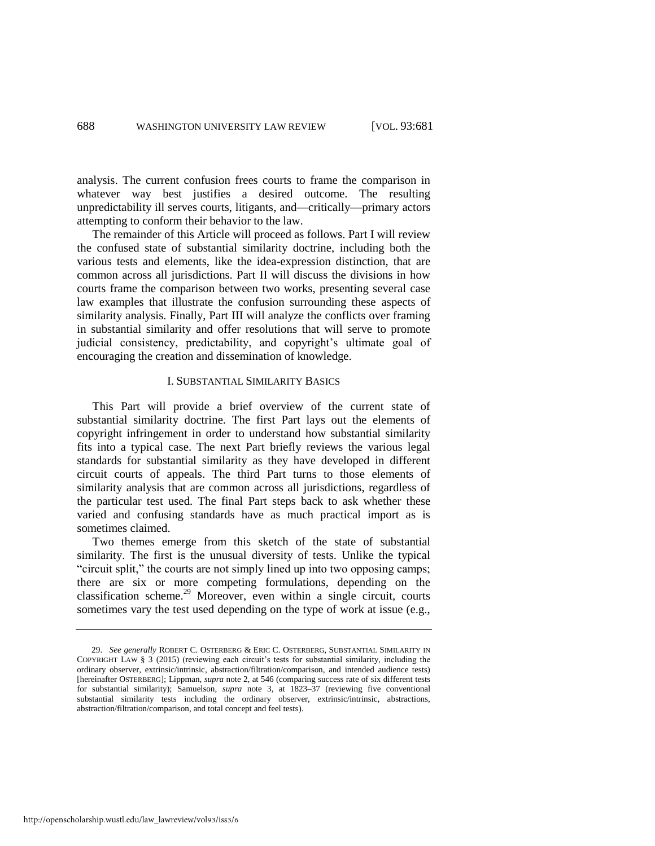analysis. The current confusion frees courts to frame the comparison in whatever way best justifies a desired outcome. The resulting unpredictability ill serves courts, litigants, and—critically—primary actors attempting to conform their behavior to the law.

The remainder of this Article will proceed as follows. Part I will review the confused state of substantial similarity doctrine, including both the various tests and elements, like the idea-expression distinction, that are common across all jurisdictions. Part II will discuss the divisions in how courts frame the comparison between two works, presenting several case law examples that illustrate the confusion surrounding these aspects of similarity analysis. Finally, Part III will analyze the conflicts over framing in substantial similarity and offer resolutions that will serve to promote judicial consistency, predictability, and copyright's ultimate goal of encouraging the creation and dissemination of knowledge.

# I. SUBSTANTIAL SIMILARITY BASICS

This Part will provide a brief overview of the current state of substantial similarity doctrine. The first Part lays out the elements of copyright infringement in order to understand how substantial similarity fits into a typical case. The next Part briefly reviews the various legal standards for substantial similarity as they have developed in different circuit courts of appeals. The third Part turns to those elements of similarity analysis that are common across all jurisdictions, regardless of the particular test used. The final Part steps back to ask whether these varied and confusing standards have as much practical import as is sometimes claimed.

<span id="page-8-0"></span>Two themes emerge from this sketch of the state of substantial similarity. The first is the unusual diversity of tests. Unlike the typical "circuit split," the courts are not simply lined up into two opposing camps; there are six or more competing formulations, depending on the classification scheme.<sup>29</sup> Moreover, even within a single circuit, courts sometimes vary the test used depending on the type of work at issue (e.g.,

<sup>29.</sup> *See generally* ROBERT C. OSTERBERG & ERIC C. OSTERBERG, SUBSTANTIAL SIMILARITY IN COPYRIGHT LAW § 3 (2015) (reviewing each circuit's tests for substantial similarity, including the ordinary observer, extrinsic/intrinsic, abstraction/filtration/comparison, and intended audience tests) [hereinafter OSTERBERG]; Lippman, *supra* not[e 2,](#page-3-0) at 546 (comparing success rate of six different tests for substantial similarity); Samuelson, *supra* note [3,](#page-3-2) at 1823–37 (reviewing five conventional substantial similarity tests including the ordinary observer, extrinsic/intrinsic, abstractions, abstraction/filtration/comparison, and total concept and feel tests).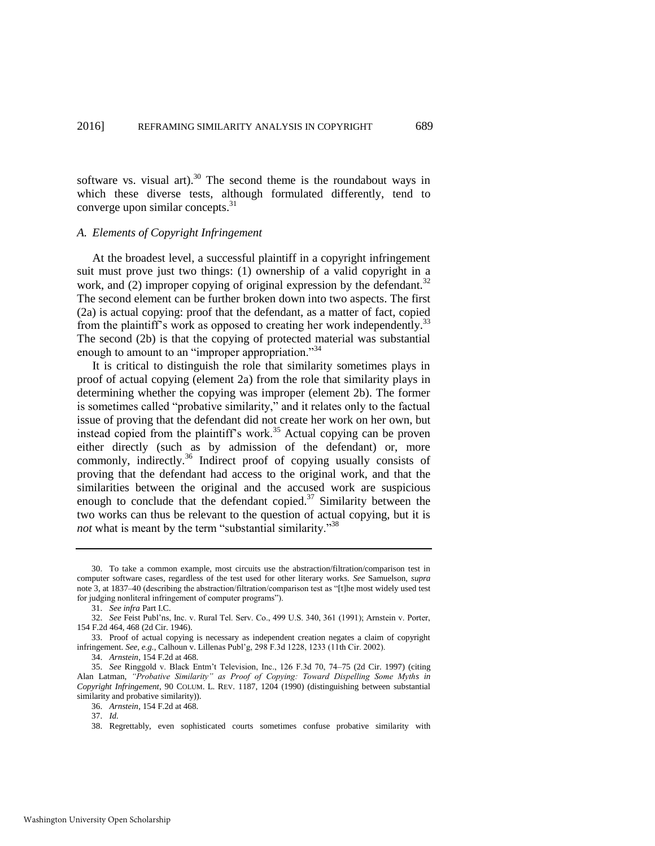software vs. visual art). $30$  The second theme is the roundabout ways in which these diverse tests, although formulated differently, tend to converge upon similar concepts.<sup>31</sup>

#### *A. Elements of Copyright Infringement*

At the broadest level, a successful plaintiff in a copyright infringement suit must prove just two things: (1) ownership of a valid copyright in a work, and (2) improper copying of original expression by the defendant.<sup>32</sup> The second element can be further broken down into two aspects. The first (2a) is actual copying: proof that the defendant, as a matter of fact, copied from the plaintiff's work as opposed to creating her work independently.<sup>33</sup> The second (2b) is that the copying of protected material was substantial enough to amount to an "improper appropriation."<sup>34</sup>

It is critical to distinguish the role that similarity sometimes plays in proof of actual copying (element 2a) from the role that similarity plays in determining whether the copying was improper (element 2b). The former is sometimes called "probative similarity," and it relates only to the factual issue of proving that the defendant did not create her work on her own, but instead copied from the plaintiff's work.<sup>35</sup> Actual copying can be proven either directly (such as by admission of the defendant) or, more commonly, indirectly.<sup>36</sup> Indirect proof of copying usually consists of proving that the defendant had access to the original work, and that the similarities between the original and the accused work are suspicious enough to conclude that the defendant copied. $37$  Similarity between the two works can thus be relevant to the question of actual copying, but it is *not* what is meant by the term "substantial similarity."<sup>38</sup>

<sup>30.</sup> To take a common example, most circuits use the abstraction/filtration/comparison test in computer software cases, regardless of the test used for other literary works. *See* Samuelson, *supra*  note [3,](#page-3-2) at 1837–40 (describing the abstraction/filtration/comparison test as "[t]he most widely used test for judging nonliteral infringement of computer programs").

<sup>31.</sup> *See infra* Part I.C.

<sup>32.</sup> *See* Feist Publ'ns, Inc. v. Rural Tel. Serv. Co., 499 U.S. 340, 361 (1991); Arnstein v. Porter, 154 F.2d 464, 468 (2d Cir. 1946).

<sup>33.</sup> Proof of actual copying is necessary as independent creation negates a claim of copyright infringement. *See, e.g.*, Calhoun v. Lillenas Publ'g, 298 F.3d 1228, 1233 (11th Cir. 2002).

<sup>34.</sup> *Arnstein*, 154 F.2d at 468.

<sup>35.</sup> *See* Ringgold v. Black Entm't Television, Inc., 126 F.3d 70, 74–75 (2d Cir. 1997) (citing Alan Latman, *"Probative Similarity" as Proof of Copying: Toward Dispelling Some Myths in Copyright Infringement*, 90 COLUM. L. REV. 1187, 1204 (1990) (distinguishing between substantial similarity and probative similarity)).

<sup>36.</sup> *Arnstein*, 154 F.2d at 468.

<sup>37.</sup> *Id.*

<sup>38.</sup> Regrettably, even sophisticated courts sometimes confuse probative similarity with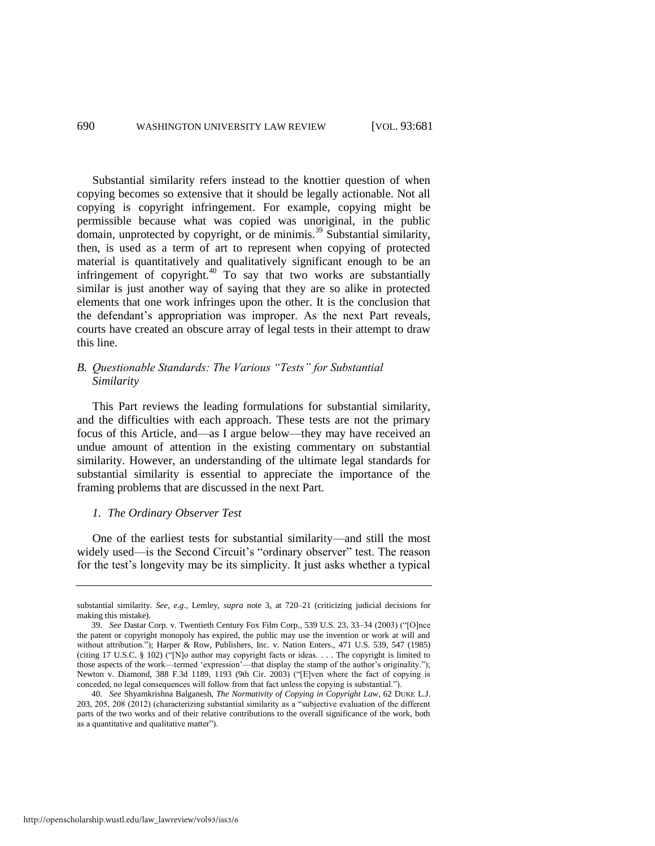<span id="page-10-0"></span>Substantial similarity refers instead to the knottier question of when copying becomes so extensive that it should be legally actionable. Not all copying is copyright infringement. For example, copying might be permissible because what was copied was unoriginal, in the public domain, unprotected by copyright, or de minimis.<sup>39</sup> Substantial similarity, then, is used as a term of art to represent when copying of protected material is quantitatively and qualitatively significant enough to be an infringement of copyright. $40$  To say that two works are substantially similar is just another way of saying that they are so alike in protected elements that one work infringes upon the other. It is the conclusion that the defendant's appropriation was improper. As the next Part reveals, courts have created an obscure array of legal tests in their attempt to draw this line.

# *B. Questionable Standards: The Various "Tests" for Substantial Similarity*

This Part reviews the leading formulations for substantial similarity, and the difficulties with each approach. These tests are not the primary focus of this Article, and—as I argue below—they may have received an undue amount of attention in the existing commentary on substantial similarity. However, an understanding of the ultimate legal standards for substantial similarity is essential to appreciate the importance of the framing problems that are discussed in the next Part.

#### *1. The Ordinary Observer Test*

One of the earliest tests for substantial similarity—and still the most widely used—is the Second Circuit's "ordinary observer" test. The reason for the test's longevity may be its simplicity. It just asks whether a typical

substantial similarity. *See, e.g.*, Lemley, *supra* note [3,](#page-3-2) at 720–21 (criticizing judicial decisions for making this mistake).

<sup>39.</sup> *See* Dastar Corp. v. Twentieth Century Fox Film Corp., 539 U.S. 23, 33–34 (2003) ("[O]nce the patent or copyright monopoly has expired, the public may use the invention or work at will and without attribution."); Harper & Row, Publishers, Inc. v. Nation Enters., 471 U.S. 539, 547 (1985) (citing 17 U.S.C. § 102) ("[N]o author may copyright facts or ideas. . . . The copyright is limited to those aspects of the work—termed 'expression'—that display the stamp of the author's originality."); Newton v. Diamond, 388 F.3d 1189, 1193 (9th Cir. 2003) ("[E]ven where the fact of copying is conceded, no legal consequences will follow from that fact unless the copying is substantial.").

<sup>40.</sup> *See* Shyamkrishna Balganesh, *The Normativity of Copying in Copyright Law*, 62 DUKE L.J. 203, 205, 208 (2012) (characterizing substantial similarity as a "subjective evaluation of the different parts of the two works and of their relative contributions to the overall significance of the work, both as a quantitative and qualitative matter").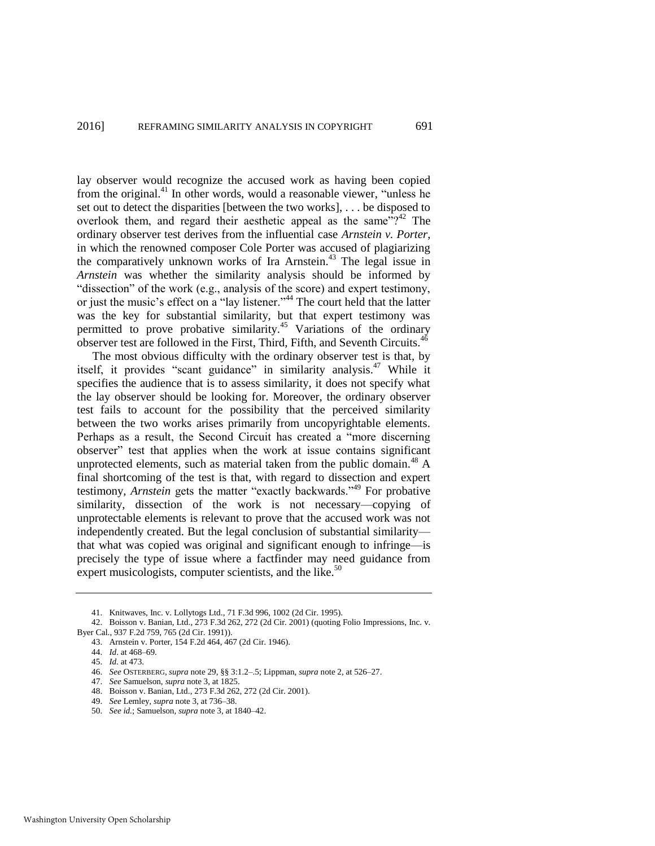lay observer would recognize the accused work as having been copied from the original.<sup>41</sup> In other words, would a reasonable viewer, "unless he set out to detect the disparities [between the two works], . . . be disposed to overlook them, and regard their aesthetic appeal as the same"?<sup>42</sup> The ordinary observer test derives from the influential case *Arnstein v. Porter*, in which the renowned composer Cole Porter was accused of plagiarizing the comparatively unknown works of Ira Arnstein.<sup>43</sup> The legal issue in *Arnstein* was whether the similarity analysis should be informed by "dissection" of the work (e.g., analysis of the score) and expert testimony, or just the music's effect on a "lay listener."<sup>44</sup> The court held that the latter was the key for substantial similarity, but that expert testimony was permitted to prove probative similarity.<sup>45</sup> Variations of the ordinary observer test are followed in the First, Third, Fifth, and Seventh Circuits.<sup>46</sup>

The most obvious difficulty with the ordinary observer test is that, by itself, it provides "scant guidance" in similarity analysis.<sup>47</sup> While it specifies the audience that is to assess similarity, it does not specify what the lay observer should be looking for. Moreover, the ordinary observer test fails to account for the possibility that the perceived similarity between the two works arises primarily from uncopyrightable elements. Perhaps as a result, the Second Circuit has created a "more discerning observer" test that applies when the work at issue contains significant unprotected elements, such as material taken from the public domain.<sup>48</sup> A final shortcoming of the test is that, with regard to dissection and expert testimony, *Arnstein* gets the matter "exactly backwards."<sup>49</sup> For probative similarity, dissection of the work is not necessary—copying of unprotectable elements is relevant to prove that the accused work was not independently created. But the legal conclusion of substantial similarity that what was copied was original and significant enough to infringe—is precisely the type of issue where a factfinder may need guidance from expert musicologists, computer scientists, and the like.<sup>50</sup>

49. *See* Lemley, *supra* note [3,](#page-3-2) at 736–38.

<sup>41.</sup> Knitwaves, Inc. v. Lollytogs Ltd., 71 F.3d 996, 1002 (2d Cir. 1995).

<sup>42.</sup> Boisson v. Banian, Ltd., 273 F.3d 262, 272 (2d Cir. 2001) (quoting Folio Impressions, Inc. v. Byer Cal., 937 F.2d 759, 765 (2d Cir. 1991)).

<sup>43.</sup> Arnstein v. Porter, 154 F.2d 464, 467 (2d Cir. 1946).

<sup>44.</sup> *Id*. at 468–69.

<sup>45.</sup> *Id.* at 473.

<sup>46.</sup> *See* OSTERBERG, *supra* not[e 29,](#page-8-0) §§ 3:1.2–.5; Lippman, *supra* not[e 2,](#page-3-0) at 526–27.

<sup>47.</sup> *See* Samuelson, *supra* not[e 3,](#page-3-2) at 1825.

<sup>48.</sup> Boisson v. Banian, Ltd., 273 F.3d 262, 272 (2d Cir. 2001).

<sup>50.</sup> *See id.*; Samuelson, *supra* not[e 3,](#page-3-2) at 1840–42.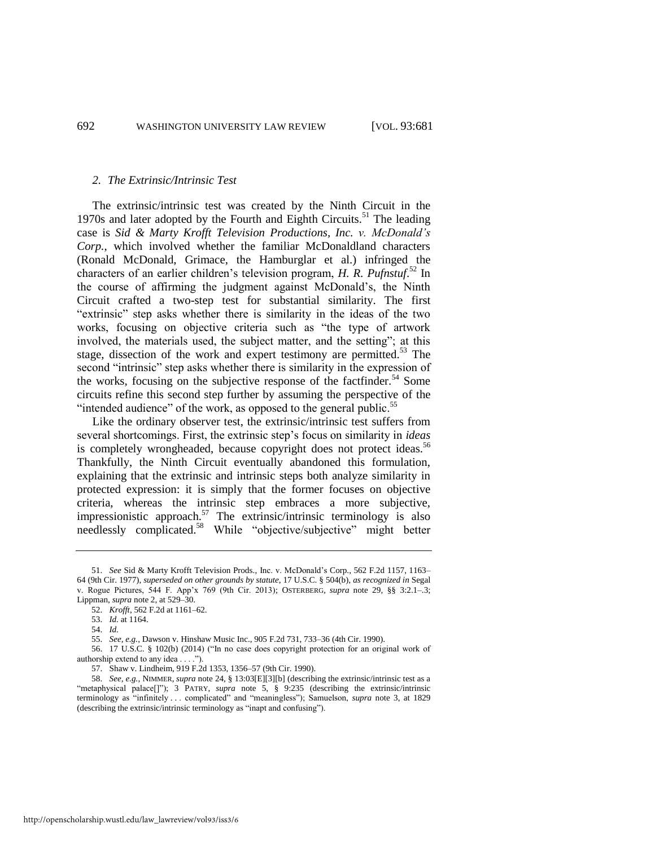#### *2. The Extrinsic/Intrinsic Test*

The extrinsic/intrinsic test was created by the Ninth Circuit in the 1970s and later adopted by the Fourth and Eighth Circuits.<sup>51</sup> The leading case is *Sid & Marty Krofft Television Productions, Inc. v. McDonald's Corp.*, which involved whether the familiar McDonaldland characters (Ronald McDonald, Grimace, the Hamburglar et al.) infringed the characters of an earlier children's television program, *H. R. Pufnstuf*. <sup>52</sup> In the course of affirming the judgment against McDonald's, the Ninth Circuit crafted a two-step test for substantial similarity. The first "extrinsic" step asks whether there is similarity in the ideas of the two works, focusing on objective criteria such as "the type of artwork involved, the materials used, the subject matter, and the setting"; at this stage, dissection of the work and expert testimony are permitted.<sup>53</sup> The second "intrinsic" step asks whether there is similarity in the expression of the works, focusing on the subjective response of the factfinder.<sup>54</sup> Some circuits refine this second step further by assuming the perspective of the "intended audience" of the work, as opposed to the general public.<sup>55</sup>

Like the ordinary observer test, the extrinsic/intrinsic test suffers from several shortcomings. First, the extrinsic step's focus on similarity in *ideas* is completely wrongheaded, because copyright does not protect ideas.<sup>56</sup> Thankfully, the Ninth Circuit eventually abandoned this formulation, explaining that the extrinsic and intrinsic steps both analyze similarity in protected expression: it is simply that the former focuses on objective criteria, whereas the intrinsic step embraces a more subjective, impressionistic approach.<sup>57</sup> The extrinsic/intrinsic terminology is also needlessly complicated.<sup>58</sup> While "objective/subjective" might better

<sup>51.</sup> *See* Sid & Marty Krofft Television Prods., Inc. v. McDonald's Corp., 562 F.2d 1157, 1163– 64 (9th Cir. 1977), *superseded on other grounds by statute*, 17 U.S.C. § 504(b), *as recognized in* Segal v. Rogue Pictures, 544 F. App'x 769 (9th Cir. 2013); OSTERBERG, *supra* note [29,](#page-8-0) §§ 3:2.1–.3; Lippman, *supra* not[e 2,](#page-3-0) at 529–30.

<sup>52.</sup> *Krofft*, 562 F.2d at 1161–62.

<sup>53.</sup> *Id.* at 1164.

<sup>54.</sup> *Id.*

<sup>55.</sup> *See, e.g.*, Dawson v. Hinshaw Music Inc., 905 F.2d 731, 733–36 (4th Cir. 1990).

<sup>56. 17</sup> U.S.C. § 102(b) (2014) ("In no case does copyright protection for an original work of authorship extend to any idea . . . .").

<sup>57.</sup> Shaw v. Lindheim, 919 F.2d 1353, 1356–57 (9th Cir. 1990).

<sup>58.</sup> *See, e.g.*, NIMMER, *supra* not[e 24,](#page-7-0) § 13:03[E][3][b] (describing the extrinsic/intrinsic test as a "metaphysical palace[]"); 3 PATRY, *supra* note [5,](#page-3-1) § 9:235 (describing the extrinsic/intrinsic terminology as "infinitely . . . complicated" and "meaningless"); Samuelson, *supra* note [3,](#page-3-2) at 1829 (describing the extrinsic/intrinsic terminology as "inapt and confusing").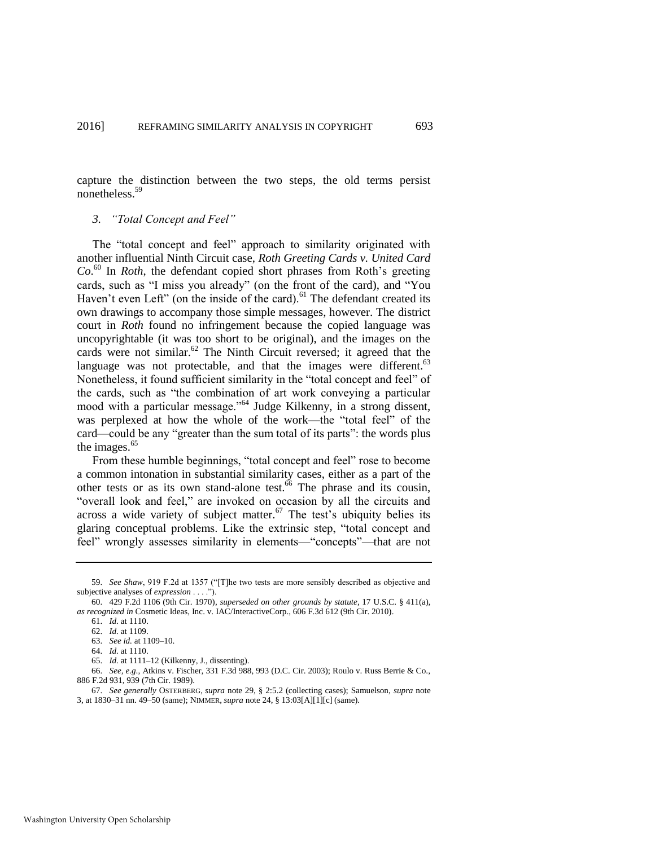capture the distinction between the two steps, the old terms persist nonetheless.<sup>59</sup>

# *3. "Total Concept and Feel"*

The "total concept and feel" approach to similarity originated with another influential Ninth Circuit case, *Roth Greeting Cards v. United Card Co*. <sup>60</sup> In *Roth*, the defendant copied short phrases from Roth's greeting cards, such as "I miss you already" (on the front of the card), and "You Haven't even Left" (on the inside of the card). $61$  The defendant created its own drawings to accompany those simple messages, however. The district court in *Roth* found no infringement because the copied language was uncopyrightable (it was too short to be original), and the images on the cards were not similar.<sup>62</sup> The Ninth Circuit reversed; it agreed that the language was not protectable, and that the images were different.  $63$ Nonetheless, it found sufficient similarity in the "total concept and feel" of the cards, such as "the combination of art work conveying a particular mood with a particular message."<sup>64</sup> Judge Kilkenny, in a strong dissent, was perplexed at how the whole of the work—the "total feel" of the card—could be any "greater than the sum total of its parts": the words plus the images.<sup>65</sup>

From these humble beginnings, "total concept and feel" rose to become a common intonation in substantial similarity cases, either as a part of the other tests or as its own stand-alone test. $66$  The phrase and its cousin, "overall look and feel," are invoked on occasion by all the circuits and across a wide variety of subject matter. $67$  The test's ubiquity belies its glaring conceptual problems. Like the extrinsic step, "total concept and feel" wrongly assesses similarity in elements—"concepts"—that are not

<sup>59.</sup> *See Shaw*, 919 F.2d at 1357 ("[T]he two tests are more sensibly described as objective and subjective analyses of *expression* . . . .").

<sup>60. 429</sup> F.2d 1106 (9th Cir. 1970), *superseded on other grounds by statute*, 17 U.S.C. § 411(a), *as recognized in* Cosmetic Ideas, Inc. v. IAC/InteractiveCorp., 606 F.3d 612 (9th Cir. 2010).

<sup>61.</sup> *Id.* at 1110.

<sup>62.</sup> *Id.* at 1109.

<sup>63.</sup> *See id.* at 1109–10.

<sup>64.</sup> *Id.* at 1110.

<sup>65.</sup> *Id.* at 1111–12 (Kilkenny, J., dissenting).

<sup>66.</sup> *See, e.g*., Atkins v. Fischer, 331 F.3d 988, 993 (D.C. Cir. 2003); Roulo v. Russ Berrie & Co., 886 F.2d 931, 939 (7th Cir. 1989).

<sup>67.</sup> *See generally* OSTERBERG, *supra* note [29,](#page-8-0) § 2:5.2 (collecting cases); Samuelson, *supra* note [3,](#page-3-2) at 1830–31 nn. 49–50 (same); NIMMER, *supra* not[e 24,](#page-7-0) § 13:03[A][1][c] (same).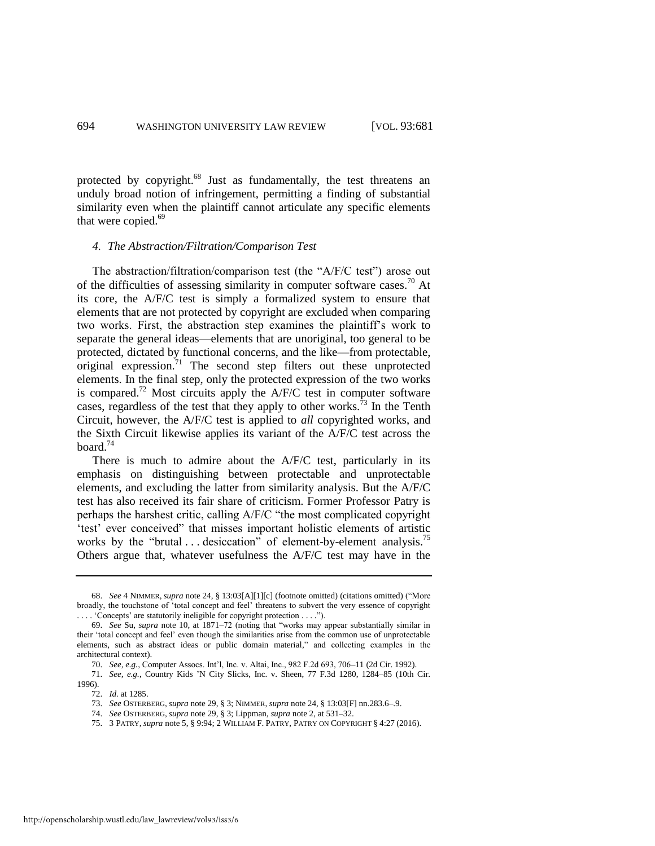protected by copyright.<sup>68</sup> Just as fundamentally, the test threatens an unduly broad notion of infringement, permitting a finding of substantial similarity even when the plaintiff cannot articulate any specific elements that were copied.<sup>69</sup>

#### *4. The Abstraction/Filtration/Comparison Test*

The abstraction/filtration/comparison test (the "A/F/C test") arose out of the difficulties of assessing similarity in computer software cases.<sup>70</sup> At its core, the A/F/C test is simply a formalized system to ensure that elements that are not protected by copyright are excluded when comparing two works. First, the abstraction step examines the plaintiff's work to separate the general ideas—elements that are unoriginal, too general to be protected, dictated by functional concerns, and the like—from protectable, original expression. $71$  The second step filters out these unprotected elements. In the final step, only the protected expression of the two works is compared.<sup>72</sup> Most circuits apply the  $A/F/C$  test in computer software cases, regardless of the test that they apply to other works.<sup>73</sup> In the Tenth Circuit, however, the A/F/C test is applied to *all* copyrighted works, and the Sixth Circuit likewise applies its variant of the A/F/C test across the board. $74$ 

There is much to admire about the A/F/C test, particularly in its emphasis on distinguishing between protectable and unprotectable elements, and excluding the latter from similarity analysis. But the A/F/C test has also received its fair share of criticism. Former Professor Patry is perhaps the harshest critic, calling A/F/C "the most complicated copyright 'test' ever conceived" that misses important holistic elements of artistic works by the "brutal  $\dots$  desiccation" of element-by-element analysis.<sup>75</sup> Others argue that, whatever usefulness the A/F/C test may have in the

- 73. *See* OSTERBERG, *supra* not[e 29,](#page-8-0) § 3; NIMMER, *supra* not[e 24,](#page-7-0) § 13:03[F] nn.283.6–.9.
- 74. *See* OSTERBERG, *supra* not[e 29,](#page-8-0) § 3; Lippman, *supra* not[e 2,](#page-3-0) at 531–32.
- 75. 3 PATRY, *supra* not[e 5,](#page-3-1) § 9:94; 2 WILLIAM F. PATRY, PATRY ON COPYRIGHT § 4:27 (2016).

<span id="page-14-0"></span><sup>68.</sup> *See* 4 NIMMER, *supra* not[e 24,](#page-7-0) § 13:03[A][1][c] (footnote omitted) (citations omitted) ("More broadly, the touchstone of 'total concept and feel' threatens to subvert the very essence of copyright . . . . 'Concepts' are statutorily ineligible for copyright protection . . . .").

<sup>69.</sup> *See* Su, *supra* note [10,](#page-4-0) at 1871–72 (noting that "works may appear substantially similar in their 'total concept and feel' even though the similarities arise from the common use of unprotectable elements, such as abstract ideas or public domain material," and collecting examples in the architectural context).

<sup>70.</sup> *See, e.g.*, Computer Assocs. Int'l, Inc. v. Altai, Inc., 982 F.2d 693, 706–11 (2d Cir. 1992).

<sup>71.</sup> *See, e.g.*, Country Kids 'N City Slicks, Inc. v. Sheen, 77 F.3d 1280, 1284–85 (10th Cir. 1996).

<sup>72.</sup> *Id.* at 1285.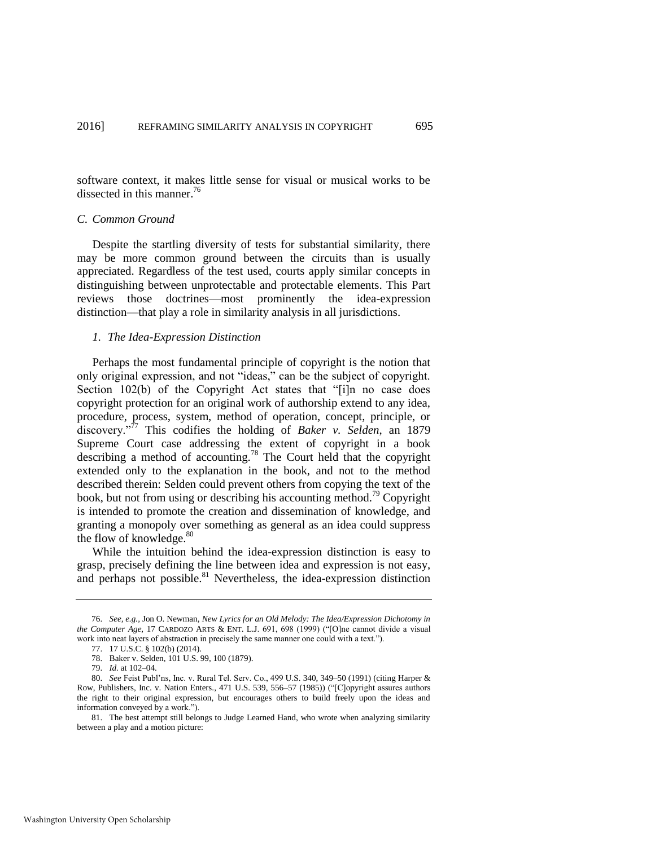software context, it makes little sense for visual or musical works to be dissected in this manner.<sup>76</sup>

#### *C. Common Ground*

Despite the startling diversity of tests for substantial similarity, there may be more common ground between the circuits than is usually appreciated. Regardless of the test used, courts apply similar concepts in distinguishing between unprotectable and protectable elements. This Part reviews those doctrines—most prominently the idea-expression distinction—that play a role in similarity analysis in all jurisdictions.

#### *1. The Idea-Expression Distinction*

Perhaps the most fundamental principle of copyright is the notion that only original expression, and not "ideas," can be the subject of copyright. Section 102(b) of the Copyright Act states that "[i]n no case does copyright protection for an original work of authorship extend to any idea, procedure, process, system, method of operation, concept, principle, or discovery."<sup>77</sup> This codifies the holding of *Baker v. Selden*, an 1879 Supreme Court case addressing the extent of copyright in a book describing a method of accounting.<sup>78</sup> The Court held that the copyright extended only to the explanation in the book, and not to the method described therein: Selden could prevent others from copying the text of the book, but not from using or describing his accounting method.<sup>79</sup> Copyright is intended to promote the creation and dissemination of knowledge, and granting a monopoly over something as general as an idea could suppress the flow of knowledge.<sup>80</sup>

While the intuition behind the idea-expression distinction is easy to grasp, precisely defining the line between idea and expression is not easy, and perhaps not possible. $81$  Nevertheless, the idea-expression distinction

<sup>76.</sup> *See, e.g.*, Jon O. Newman, *New Lyrics for an Old Melody: The Idea/Expression Dichotomy in the Computer Age*, 17 CARDOZO ARTS & ENT. L.J. 691, 698 (1999) ("[O]ne cannot divide a visual work into neat layers of abstraction in precisely the same manner one could with a text.").

<sup>77. 17</sup> U.S.C. § 102(b) (2014).

<sup>78.</sup> Baker v. Selden, 101 U.S. 99, 100 (1879).

<sup>79.</sup> *Id.* at 102–04.

<sup>80.</sup> *See* Feist Publ'ns, Inc. v. Rural Tel. Serv. Co., 499 U.S. 340, 349–50 (1991) (citing Harper & Row, Publishers, Inc. v. Nation Enters., 471 U.S. 539, 556–57 (1985)) ("[C]opyright assures authors the right to their original expression, but encourages others to build freely upon the ideas and information conveyed by a work.").

<sup>81.</sup> The best attempt still belongs to Judge Learned Hand, who wrote when analyzing similarity between a play and a motion picture: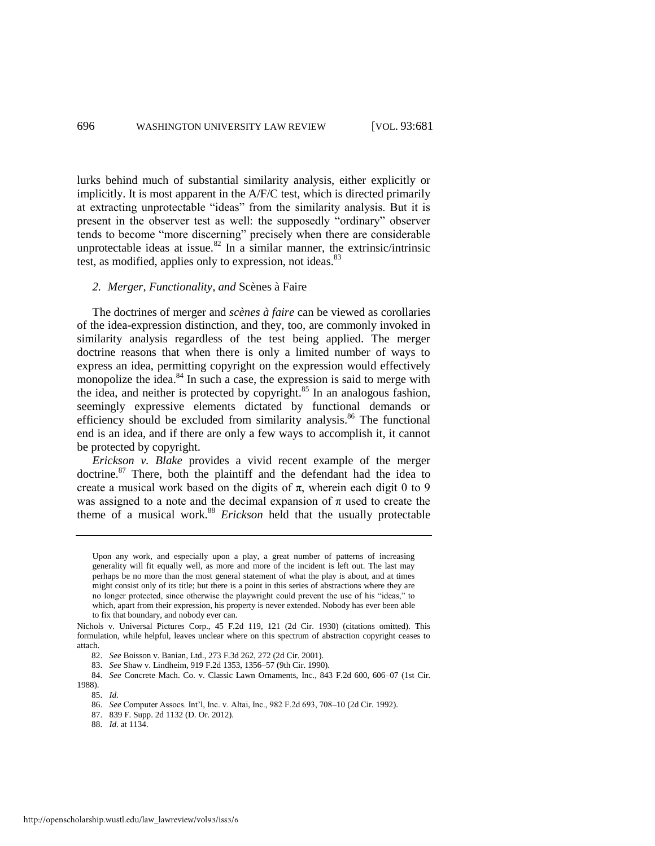lurks behind much of substantial similarity analysis, either explicitly or implicitly. It is most apparent in the A/F/C test, which is directed primarily at extracting unprotectable "ideas" from the similarity analysis. But it is present in the observer test as well: the supposedly "ordinary" observer tends to become "more discerning" precisely when there are considerable unprotectable ideas at issue.<sup>82</sup> In a similar manner, the extrinsic/intrinsic test, as modified, applies only to expression, not ideas.<sup>83</sup>

#### *2. Merger, Functionality, and* Scènes à Faire

The doctrines of merger and *scènes à faire* can be viewed as corollaries of the idea-expression distinction, and they, too, are commonly invoked in similarity analysis regardless of the test being applied. The merger doctrine reasons that when there is only a limited number of ways to express an idea, permitting copyright on the expression would effectively monopolize the idea. $84$  In such a case, the expression is said to merge with the idea, and neither is protected by copyright. $85$  In an analogous fashion, seemingly expressive elements dictated by functional demands or efficiency should be excluded from similarity analysis.<sup>86</sup> The functional end is an idea, and if there are only a few ways to accomplish it, it cannot be protected by copyright.

*Erickson v. Blake* provides a vivid recent example of the merger doctrine.<sup>87</sup> There, both the plaintiff and the defendant had the idea to create a musical work based on the digits of  $\pi$ , wherein each digit 0 to 9 was assigned to a note and the decimal expansion of  $\pi$  used to create the theme of a musical work.<sup>88</sup> *Erickson* held that the usually protectable

83. *See* Shaw v. Lindheim, 919 F.2d 1353, 1356–57 (9th Cir. 1990).

Upon any work, and especially upon a play, a great number of patterns of increasing generality will fit equally well, as more and more of the incident is left out. The last may perhaps be no more than the most general statement of what the play is about, and at times might consist only of its title; but there is a point in this series of abstractions where they are no longer protected, since otherwise the playwright could prevent the use of his "ideas," to which, apart from their expression, his property is never extended. Nobody has ever been able to fix that boundary, and nobody ever can.

Nichols v. Universal Pictures Corp., 45 F.2d 119, 121 (2d Cir. 1930) (citations omitted). This formulation, while helpful, leaves unclear where on this spectrum of abstraction copyright ceases to attach.

<sup>82.</sup> *See* Boisson v. Banian, Ltd., 273 F.3d 262, 272 (2d Cir. 2001).

<sup>84.</sup> *See* Concrete Mach. Co. v. Classic Lawn Ornaments, Inc., 843 F.2d 600, 606–07 (1st Cir. 1988).

<sup>85.</sup> *Id.* 

<sup>86.</sup> *See* Computer Assocs. Int'l, Inc. v. Altai, Inc., 982 F.2d 693, 708–10 (2d Cir. 1992).

<sup>87. 839</sup> F. Supp. 2d 1132 (D. Or. 2012).

<sup>88.</sup> *Id*. at 1134.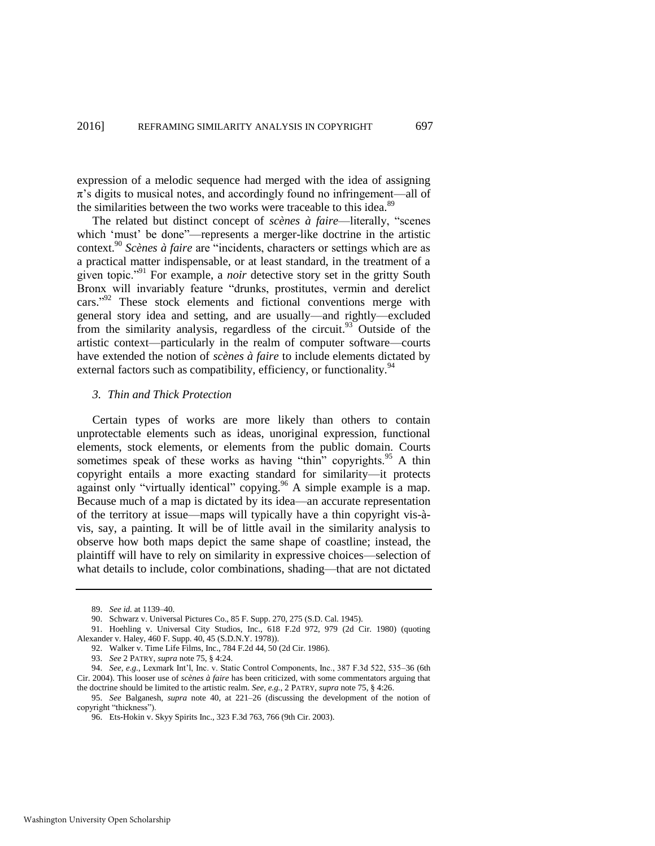expression of a melodic sequence had merged with the idea of assigning  $\pi$ 's digits to musical notes, and accordingly found no infringement—all of the similarities between the two works were traceable to this idea.<sup>89</sup>

The related but distinct concept of *scènes à faire*—literally, "scenes which 'must' be done"—represents a merger-like doctrine in the artistic context.<sup>90</sup> *Scènes à faire* are "incidents, characters or settings which are as a practical matter indispensable, or at least standard, in the treatment of a given topic."<sup>91</sup> For example, a *noir* detective story set in the gritty South Bronx will invariably feature "drunks, prostitutes, vermin and derelict cars."<sup>92</sup> These stock elements and fictional conventions merge with general story idea and setting, and are usually—and rightly—excluded from the similarity analysis, regardless of the circuit.<sup>93</sup> Outside of the artistic context—particularly in the realm of computer software—courts have extended the notion of *scènes à faire* to include elements dictated by external factors such as compatibility, efficiency, or functionality.<sup>94</sup>

#### *3. Thin and Thick Protection*

Certain types of works are more likely than others to contain unprotectable elements such as ideas, unoriginal expression, functional elements, stock elements, or elements from the public domain. Courts sometimes speak of these works as having "thin" copyrights.<sup>95</sup> A thin copyright entails a more exacting standard for similarity—it protects against only "virtually identical" copying.<sup>96</sup> A simple example is a map. Because much of a map is dictated by its idea—an accurate representation of the territory at issue—maps will typically have a thin copyright vis-àvis, say, a painting. It will be of little avail in the similarity analysis to observe how both maps depict the same shape of coastline; instead, the plaintiff will have to rely on similarity in expressive choices—selection of what details to include, color combinations, shading—that are not dictated

<sup>89.</sup> *See id.* at 1139–40.

<sup>90.</sup> Schwarz v. Universal Pictures Co., 85 F. Supp. 270, 275 (S.D. Cal. 1945).

<sup>91.</sup> Hoehling v. Universal City Studios, Inc., 618 F.2d 972, 979 (2d Cir. 1980) (quoting Alexander v. Haley, 460 F. Supp. 40, 45 (S.D.N.Y. 1978)).

<sup>92.</sup> Walker v. Time Life Films, Inc., 784 F.2d 44, 50 (2d Cir. 1986).

<sup>93.</sup> *See* 2 PATRY, *supra* not[e 75,](#page-14-0) § 4:24.

<sup>94.</sup> *See, e.g.*, Lexmark Int'l, Inc. v. Static Control Components, Inc., 387 F.3d 522, 535–36 (6th Cir. 2004). This looser use of *scènes à faire* has been criticized, with some commentators arguing that the doctrine should be limited to the artistic realm. *See, e.g.*, 2 PATRY, *supra* not[e 75,](#page-14-0) § 4:26.

<sup>95.</sup> *See* Balganesh, *supra* note [40,](#page-10-0) at 221–26 (discussing the development of the notion of copyright "thickness").

<sup>96.</sup> Ets-Hokin v. Skyy Spirits Inc., 323 F.3d 763, 766 (9th Cir. 2003).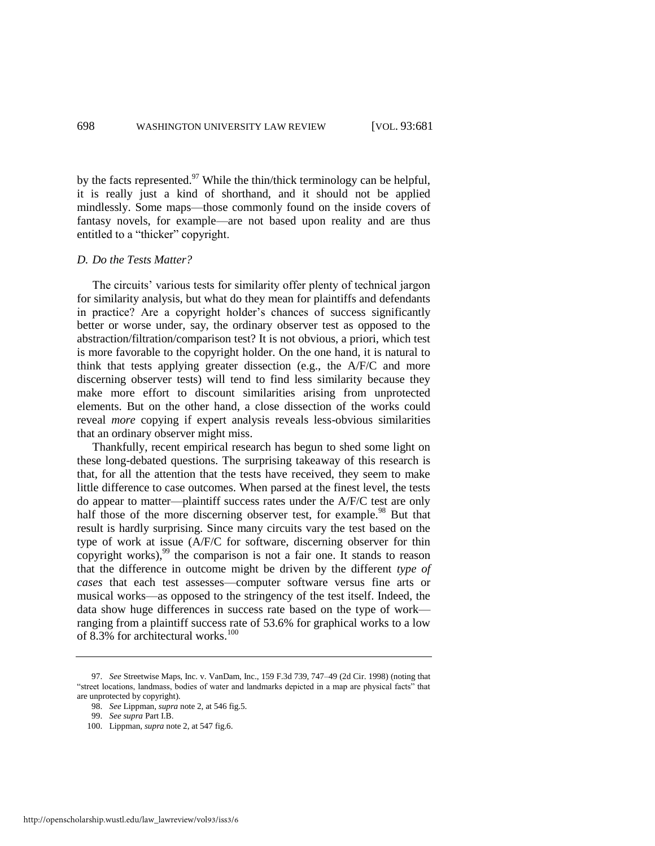by the facts represented.<sup>97</sup> While the thin/thick terminology can be helpful, it is really just a kind of shorthand, and it should not be applied mindlessly. Some maps—those commonly found on the inside covers of fantasy novels, for example—are not based upon reality and are thus entitled to a "thicker" copyright.

#### *D. Do the Tests Matter?*

The circuits' various tests for similarity offer plenty of technical jargon for similarity analysis, but what do they mean for plaintiffs and defendants in practice? Are a copyright holder's chances of success significantly better or worse under, say, the ordinary observer test as opposed to the abstraction/filtration/comparison test? It is not obvious, a priori, which test is more favorable to the copyright holder. On the one hand, it is natural to think that tests applying greater dissection (e.g., the A/F/C and more discerning observer tests) will tend to find less similarity because they make more effort to discount similarities arising from unprotected elements. But on the other hand, a close dissection of the works could reveal *more* copying if expert analysis reveals less-obvious similarities that an ordinary observer might miss.

Thankfully, recent empirical research has begun to shed some light on these long-debated questions. The surprising takeaway of this research is that, for all the attention that the tests have received, they seem to make little difference to case outcomes. When parsed at the finest level, the tests do appear to matter—plaintiff success rates under the A/F/C test are only half those of the more discerning observer test, for example.<sup>98</sup> But that result is hardly surprising. Since many circuits vary the test based on the type of work at issue (A/F/C for software, discerning observer for thin copyright works),  $99$  the comparison is not a fair one. It stands to reason that the difference in outcome might be driven by the different *type of cases* that each test assesses—computer software versus fine arts or musical works—as opposed to the stringency of the test itself. Indeed, the data show huge differences in success rate based on the type of work ranging from a plaintiff success rate of 53.6% for graphical works to a low of 8.3% for architectural works. $100$ 

<sup>97.</sup> *See* Streetwise Maps, Inc. v. VanDam, Inc., 159 F.3d 739, 747–49 (2d Cir. 1998) (noting that "street locations, landmass, bodies of water and landmarks depicted in a map are physical facts" that are unprotected by copyright).

<sup>98.</sup> *See* Lippman, *supra* not[e 2,](#page-3-0) at 546 fig.5.

<sup>99.</sup> *See supra* Part I.B.

<sup>100.</sup> Lippman, *supra* not[e 2,](#page-3-0) at 547 fig.6.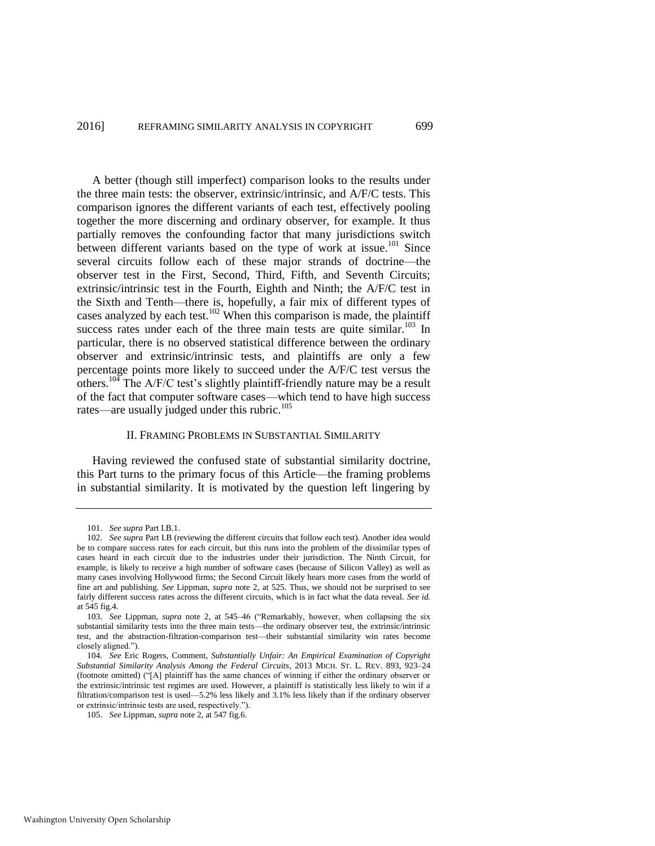A better (though still imperfect) comparison looks to the results under the three main tests: the observer, extrinsic/intrinsic, and A/F/C tests. This comparison ignores the different variants of each test, effectively pooling together the more discerning and ordinary observer, for example. It thus partially removes the confounding factor that many jurisdictions switch between different variants based on the type of work at issue.<sup>101</sup> Since several circuits follow each of these major strands of doctrine—the observer test in the First, Second, Third, Fifth, and Seventh Circuits; extrinsic/intrinsic test in the Fourth, Eighth and Ninth; the A/F/C test in the Sixth and Tenth—there is, hopefully, a fair mix of different types of cases analyzed by each test.<sup>102</sup> When this comparison is made, the plaintiff success rates under each of the three main tests are quite similar. $103$  In particular, there is no observed statistical difference between the ordinary observer and extrinsic/intrinsic tests, and plaintiffs are only a few percentage points more likely to succeed under the A/F/C test versus the others.<sup>104</sup> The A/F/C test's slightly plaintiff-friendly nature may be a result of the fact that computer software cases—which tend to have high success rates—are usually judged under this rubric.<sup>105</sup>

# II. FRAMING PROBLEMS IN SUBSTANTIAL SIMILARITY

Having reviewed the confused state of substantial similarity doctrine, this Part turns to the primary focus of this Article—the framing problems in substantial similarity. It is motivated by the question left lingering by

<sup>101.</sup> *See supra* Part I.B.1.

<sup>102.</sup> *See supra* Part I.B (reviewing the different circuits that follow each test). Another idea would be to compare success rates for each circuit, but this runs into the problem of the dissimilar types of cases heard in each circuit due to the industries under their jurisdiction. The Ninth Circuit, for example, is likely to receive a high number of software cases (because of Silicon Valley) as well as many cases involving Hollywood firms; the Second Circuit likely hears more cases from the world of fine art and publishing. *See* Lippman, *supra* note [2,](#page-3-0) at 525. Thus, we should not be surprised to see fairly different success rates across the different circuits, which is in fact what the data reveal. *See id.* at 545 fig.4.

<sup>103.</sup> *See* Lippman, *supra* note [2,](#page-3-0) at 545–46 ("Remarkably, however, when collapsing the six substantial similarity tests into the three main tests—the ordinary observer test, the extrinsic/intrinsic test, and the abstraction-filtration-comparison test—their substantial similarity win rates become closely aligned.").

<sup>104.</sup> *See* Eric Rogers, Comment, *Substantially Unfair: An Empirical Examination of Copyright Substantial Similarity Analysis Among the Federal Circuits*, 2013 MICH. ST. L. REV. 893, 923–24 (footnote omitted) ("[A] plaintiff has the same chances of winning if either the ordinary observer or the extrinsic/intrinsic test regimes are used. However, a plaintiff is statistically less likely to win if a filtration/comparison test is used—5.2% less likely and 3.1% less likely than if the ordinary observer or extrinsic/intrinsic tests are used, respectively.").

<sup>105.</sup> *See* Lippman, *supra* not[e 2,](#page-3-0) at 547 fig.6.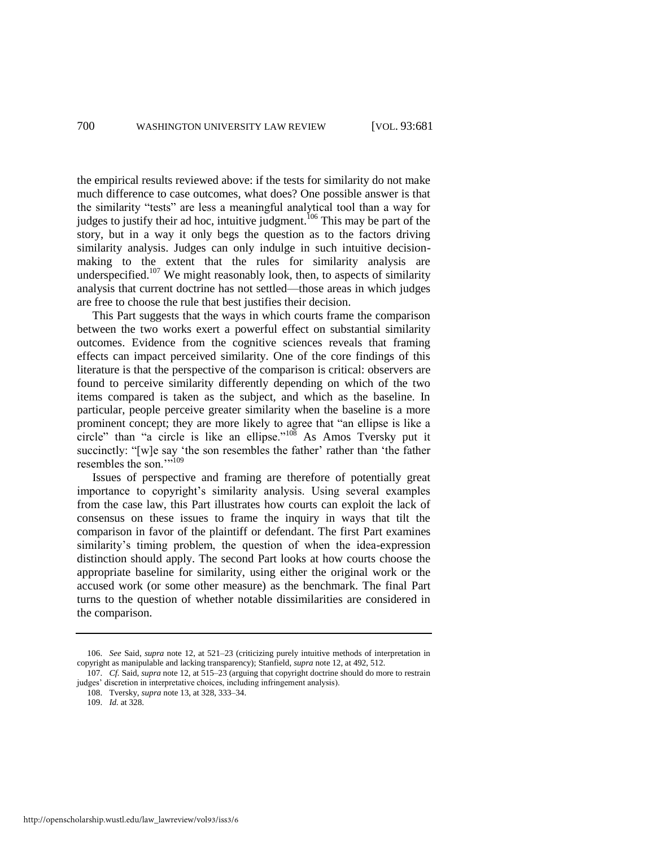the empirical results reviewed above: if the tests for similarity do not make much difference to case outcomes, what does? One possible answer is that the similarity "tests" are less a meaningful analytical tool than a way for judges to justify their ad hoc, intuitive judgment.<sup>106</sup> This may be part of the story, but in a way it only begs the question as to the factors driving similarity analysis. Judges can only indulge in such intuitive decisionmaking to the extent that the rules for similarity analysis are underspecified.<sup>107</sup> We might reasonably look, then, to aspects of similarity analysis that current doctrine has not settled—those areas in which judges are free to choose the rule that best justifies their decision.

This Part suggests that the ways in which courts frame the comparison between the two works exert a powerful effect on substantial similarity outcomes. Evidence from the cognitive sciences reveals that framing effects can impact perceived similarity. One of the core findings of this literature is that the perspective of the comparison is critical: observers are found to perceive similarity differently depending on which of the two items compared is taken as the subject, and which as the baseline. In particular, people perceive greater similarity when the baseline is a more prominent concept; they are more likely to agree that "an ellipse is like a circle" than "a circle is like an ellipse."<sup>108</sup> As Amos Tversky put it succinctly: "[w]e say 'the son resembles the father' rather than 'the father resembles the son.""<sup>109</sup>

<span id="page-20-0"></span>Issues of perspective and framing are therefore of potentially great importance to copyright's similarity analysis. Using several examples from the case law, this Part illustrates how courts can exploit the lack of consensus on these issues to frame the inquiry in ways that tilt the comparison in favor of the plaintiff or defendant. The first Part examines similarity's timing problem, the question of when the idea-expression distinction should apply. The second Part looks at how courts choose the appropriate baseline for similarity, using either the original work or the accused work (or some other measure) as the benchmark. The final Part turns to the question of whether notable dissimilarities are considered in the comparison.

<sup>106.</sup> *See* Said, *supra* not[e 12,](#page-4-1) at 521–23 (criticizing purely intuitive methods of interpretation in copyright as manipulable and lacking transparency); Stanfield, *supra* not[e 12,](#page-4-1) at 492, 512.

<sup>107.</sup> *Cf.* Said, *supra* not[e 12,](#page-4-1) at 515–23 (arguing that copyright doctrine should do more to restrain judges' discretion in interpretative choices, including infringement analysis).

<sup>108.</sup> Tversky, *supra* not[e 13,](#page-5-0) at 328, 333–34.

<sup>109.</sup> *Id.* at 328.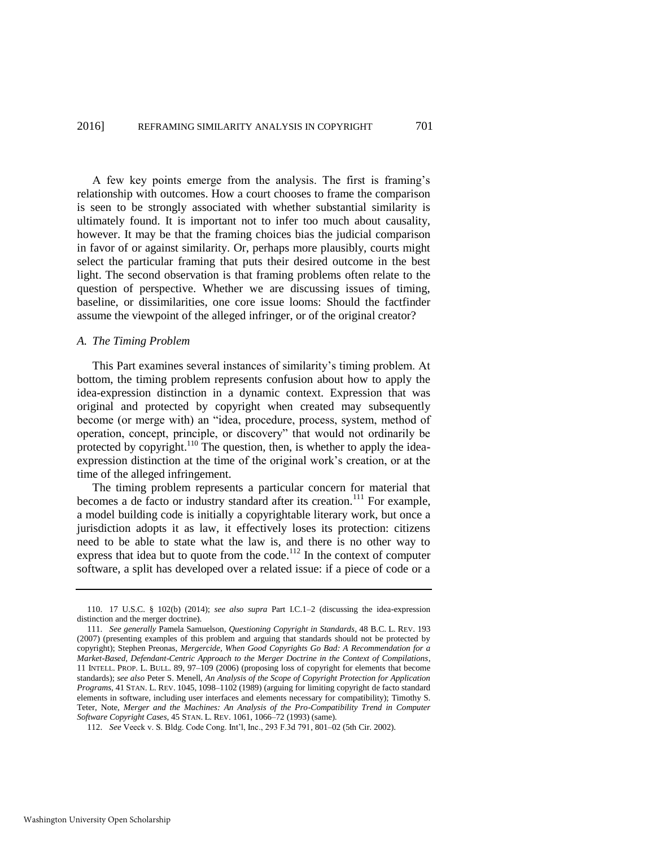A few key points emerge from the analysis. The first is framing's relationship with outcomes. How a court chooses to frame the comparison is seen to be strongly associated with whether substantial similarity is ultimately found. It is important not to infer too much about causality, however. It may be that the framing choices bias the judicial comparison in favor of or against similarity. Or, perhaps more plausibly, courts might select the particular framing that puts their desired outcome in the best light. The second observation is that framing problems often relate to the question of perspective. Whether we are discussing issues of timing, baseline, or dissimilarities, one core issue looms: Should the factfinder assume the viewpoint of the alleged infringer, or of the original creator?

#### *A. The Timing Problem*

This Part examines several instances of similarity's timing problem. At bottom, the timing problem represents confusion about how to apply the idea-expression distinction in a dynamic context. Expression that was original and protected by copyright when created may subsequently become (or merge with) an "idea, procedure, process, system, method of operation, concept, principle, or discovery" that would not ordinarily be protected by copyright.<sup>110</sup> The question, then, is whether to apply the ideaexpression distinction at the time of the original work's creation, or at the time of the alleged infringement.

<span id="page-21-0"></span>The timing problem represents a particular concern for material that becomes a de facto or industry standard after its creation.<sup>111</sup> For example, a model building code is initially a copyrightable literary work, but once a jurisdiction adopts it as law, it effectively loses its protection: citizens need to be able to state what the law is, and there is no other way to express that idea but to quote from the code.<sup>112</sup> In the context of computer software, a split has developed over a related issue: if a piece of code or a

<sup>110. 17</sup> U.S.C. § 102(b) (2014); *see also supra* Part I.C.1–2 (discussing the idea-expression distinction and the merger doctrine).

<sup>111.</sup> *See generally* Pamela Samuelson, *Questioning Copyright in Standards*, 48 B.C. L. REV. 193 (2007) (presenting examples of this problem and arguing that standards should not be protected by copyright); Stephen Preonas, *Mergercide, When Good Copyrights Go Bad: A Recommendation for a Market-Based, Defendant-Centric Approach to the Merger Doctrine in the Context of Compilations*, 11 INTELL. PROP. L. BULL. 89, 97–109 (2006) (proposing loss of copyright for elements that become standards); *see also* Peter S. Menell, *An Analysis of the Scope of Copyright Protection for Application Programs*, 41 STAN. L. REV. 1045, 1098–1102 (1989) (arguing for limiting copyright de facto standard elements in software, including user interfaces and elements necessary for compatibility); Timothy S. Teter, Note, *Merger and the Machines: An Analysis of the Pro-Compatibility Trend in Computer Software Copyright Cases*, 45 STAN. L. REV. 1061, 1066–72 (1993) (same).

<sup>112.</sup> *See* Veeck v. S. Bldg. Code Cong. Int'l, Inc., 293 F.3d 791, 801–02 (5th Cir. 2002).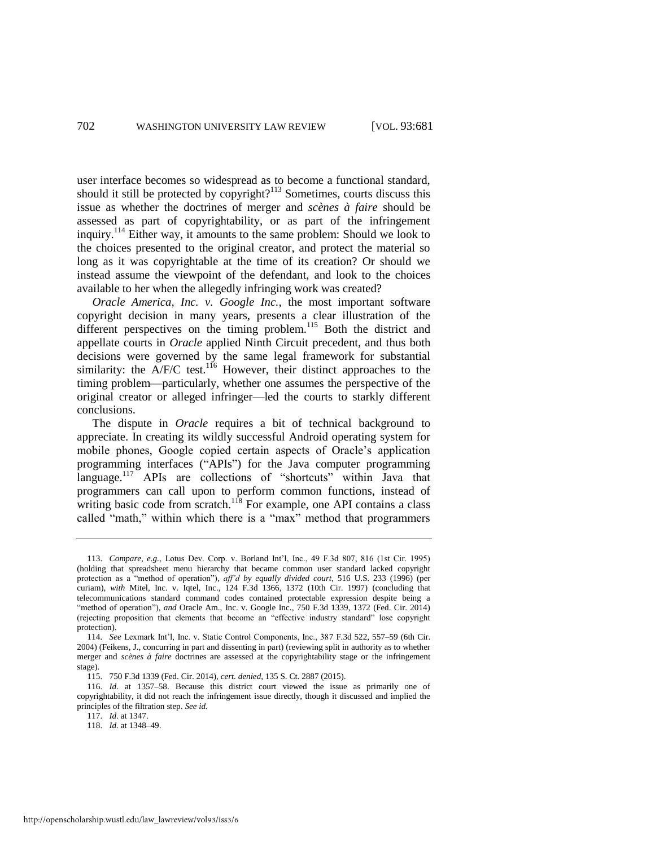user interface becomes so widespread as to become a functional standard, should it still be protected by copyright?<sup>113</sup> Sometimes, courts discuss this issue as whether the doctrines of merger and *scènes à faire* should be assessed as part of copyrightability, or as part of the infringement inquiry.<sup>114</sup> Either way, it amounts to the same problem: Should we look to the choices presented to the original creator, and protect the material so long as it was copyrightable at the time of its creation? Or should we instead assume the viewpoint of the defendant, and look to the choices available to her when the allegedly infringing work was created?

<span id="page-22-0"></span>*Oracle America, Inc. v. Google Inc.*, the most important software copyright decision in many years, presents a clear illustration of the different perspectives on the timing problem.<sup>115</sup> Both the district and appellate courts in *Oracle* applied Ninth Circuit precedent, and thus both decisions were governed by the same legal framework for substantial similarity: the  $A/F/C$  test.<sup>116</sup> However, their distinct approaches to the timing problem—particularly, whether one assumes the perspective of the original creator or alleged infringer—led the courts to starkly different conclusions.

The dispute in *Oracle* requires a bit of technical background to appreciate. In creating its wildly successful Android operating system for mobile phones, Google copied certain aspects of Oracle's application programming interfaces ("APIs") for the Java computer programming language.<sup>117</sup> APIs are collections of "shortcuts" within Java that programmers can call upon to perform common functions, instead of writing basic code from scratch.<sup>118</sup> For example, one API contains a class called "math," within which there is a "max" method that programmers

<sup>113.</sup> *Compare, e.g.*, Lotus Dev. Corp. v. Borland Int'l, Inc., 49 F.3d 807, 816 (1st Cir. 1995) (holding that spreadsheet menu hierarchy that became common user standard lacked copyright protection as a "method of operation"), *aff'd by equally divided court*, 516 U.S. 233 (1996) (per curiam), *with* Mitel, Inc. v. Iqtel, Inc., 124 F.3d 1366, 1372 (10th Cir. 1997) (concluding that telecommunications standard command codes contained protectable expression despite being a "method of operation"), *and* Oracle Am., Inc. v. Google Inc., 750 F.3d 1339, 1372 (Fed. Cir. 2014) (rejecting proposition that elements that become an "effective industry standard" lose copyright protection).

<sup>114.</sup> *See* Lexmark Int'l, Inc. v. Static Control Components, Inc., 387 F.3d 522, 557–59 (6th Cir. 2004) (Feikens, J., concurring in part and dissenting in part) (reviewing split in authority as to whether merger and *scènes à faire* doctrines are assessed at the copyrightability stage or the infringement stage).

<sup>115. 750</sup> F.3d 1339 (Fed. Cir. 2014), *cert. denied*, 135 S. Ct. 2887 (2015).

<sup>116.</sup> *Id.* at 1357–58. Because this district court viewed the issue as primarily one of copyrightability, it did not reach the infringement issue directly, though it discussed and implied the principles of the filtration step. *See id.* 

<sup>117.</sup> *Id.* at 1347.

<sup>118.</sup> *Id.* at 1348–49.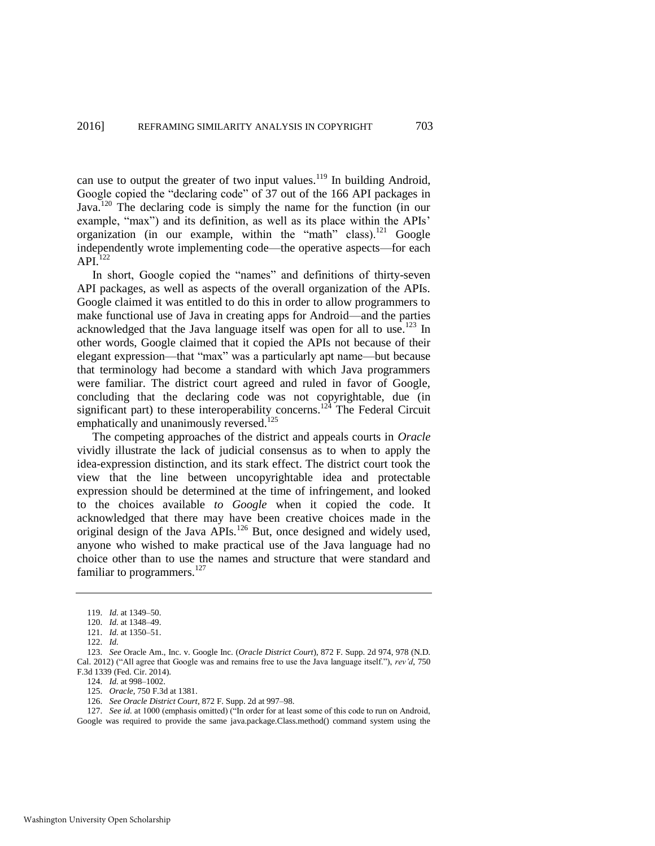can use to output the greater of two input values.<sup>119</sup> In building Android, Google copied the "declaring code" of 37 out of the 166 API packages in Java.<sup>120</sup> The declaring code is simply the name for the function (in our example, "max") and its definition, as well as its place within the APIs' organization (in our example, within the "math" class).<sup>121</sup> Google independently wrote implementing code—the operative aspects—for each  $API<sup>122</sup>$ 

<span id="page-23-1"></span>In short, Google copied the "names" and definitions of thirty-seven API packages, as well as aspects of the overall organization of the APIs. Google claimed it was entitled to do this in order to allow programmers to make functional use of Java in creating apps for Android—and the parties acknowledged that the Java language itself was open for all to use.<sup>123</sup> In other words, Google claimed that it copied the APIs not because of their elegant expression—that "max" was a particularly apt name—but because that terminology had become a standard with which Java programmers were familiar. The district court agreed and ruled in favor of Google, concluding that the declaring code was not copyrightable, due (in significant part) to these interoperability concerns.<sup>124</sup> The Federal Circuit emphatically and unanimously reversed.<sup>125</sup>

<span id="page-23-0"></span>The competing approaches of the district and appeals courts in *Oracle* vividly illustrate the lack of judicial consensus as to when to apply the idea-expression distinction, and its stark effect. The district court took the view that the line between uncopyrightable idea and protectable expression should be determined at the time of infringement, and looked to the choices available *to Google* when it copied the code. It acknowledged that there may have been creative choices made in the original design of the Java APIs.<sup>126</sup> But, once designed and widely used, anyone who wished to make practical use of the Java language had no choice other than to use the names and structure that were standard and familiar to programmers.<sup>127</sup>

123. *See* Oracle Am., Inc. v. Google Inc. (*Oracle District Court*), 872 F. Supp. 2d 974, 978 (N.D. Cal. 2012) ("All agree that Google was and remains free to use the Java language itself."), *rev'd*, 750 F.3d 1339 (Fed. Cir. 2014).

124. *Id.* at 998–1002.

126. *See Oracle District Court*, 872 F. Supp. 2d at 997–98.

127. *See id.* at 1000 (emphasis omitted) ("In order for at least some of this code to run on Android, Google was required to provide the same java.package.Class.method() command system using the

<sup>119.</sup> *Id.* at 1349–50.

<sup>120.</sup> *Id.* at 1348–49.

<sup>121.</sup> *Id.* at 1350–51.

<sup>122.</sup> *Id.*

<sup>125.</sup> *Oracle*, 750 F.3d at 1381.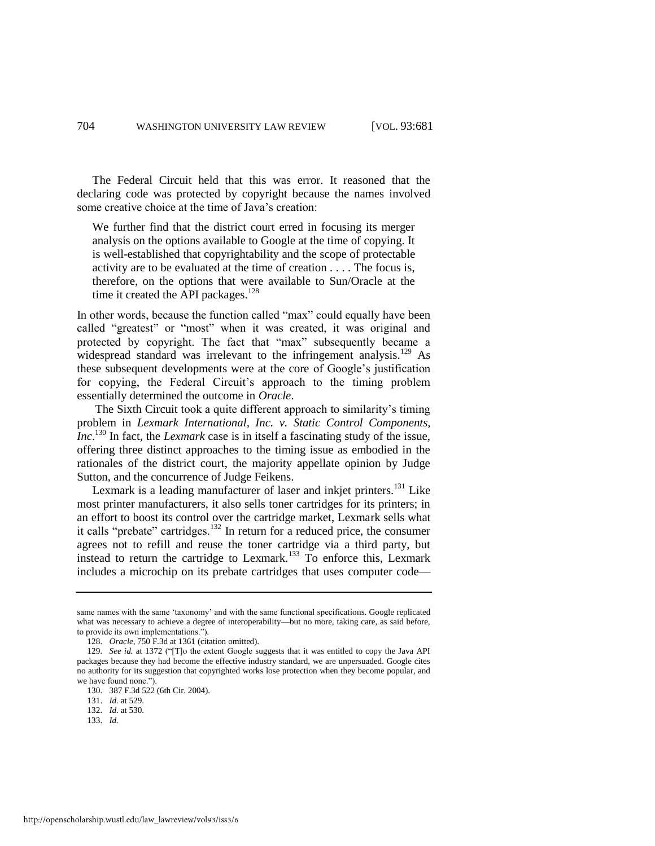The Federal Circuit held that this was error. It reasoned that the declaring code was protected by copyright because the names involved some creative choice at the time of Java's creation:

We further find that the district court erred in focusing its merger analysis on the options available to Google at the time of copying. It is well-established that copyrightability and the scope of protectable activity are to be evaluated at the time of creation . . . . The focus is, therefore, on the options that were available to Sun/Oracle at the time it created the API packages.<sup>128</sup>

In other words, because the function called "max" could equally have been called "greatest" or "most" when it was created, it was original and protected by copyright. The fact that "max" subsequently became a widespread standard was irrelevant to the infringement analysis.<sup>129</sup> As these subsequent developments were at the core of Google's justification for copying, the Federal Circuit's approach to the timing problem essentially determined the outcome in *Oracle*.

The Sixth Circuit took a quite different approach to similarity's timing problem in *Lexmark International, Inc. v. Static Control Components, Inc*. <sup>130</sup> In fact, the *Lexmark* case is in itself a fascinating study of the issue, offering three distinct approaches to the timing issue as embodied in the rationales of the district court, the majority appellate opinion by Judge Sutton, and the concurrence of Judge Feikens.

Lexmark is a leading manufacturer of laser and inkjet printers.<sup>131</sup> Like most printer manufacturers, it also sells toner cartridges for its printers; in an effort to boost its control over the cartridge market, Lexmark sells what it calls "prebate" cartridges.<sup>132</sup> In return for a reduced price, the consumer agrees not to refill and reuse the toner cartridge via a third party, but instead to return the cartridge to Lexmark.<sup>133</sup> To enforce this, Lexmark includes a microchip on its prebate cartridges that uses computer code—

same names with the same 'taxonomy' and with the same functional specifications. Google replicated what was necessary to achieve a degree of interoperability—but no more, taking care, as said before, to provide its own implementations.").

<sup>128.</sup> *Oracle*, 750 F.3d at 1361 (citation omitted).

<sup>129.</sup> *See id.* at 1372 ("[T]o the extent Google suggests that it was entitled to copy the Java API packages because they had become the effective industry standard, we are unpersuaded. Google cites no authority for its suggestion that copyrighted works lose protection when they become popular, and we have found none."

<sup>130. 387</sup> F.3d 522 (6th Cir. 2004).

<sup>131.</sup> *Id.* at 529.

<sup>132.</sup> *Id.* at 530.

<sup>133.</sup> *Id.*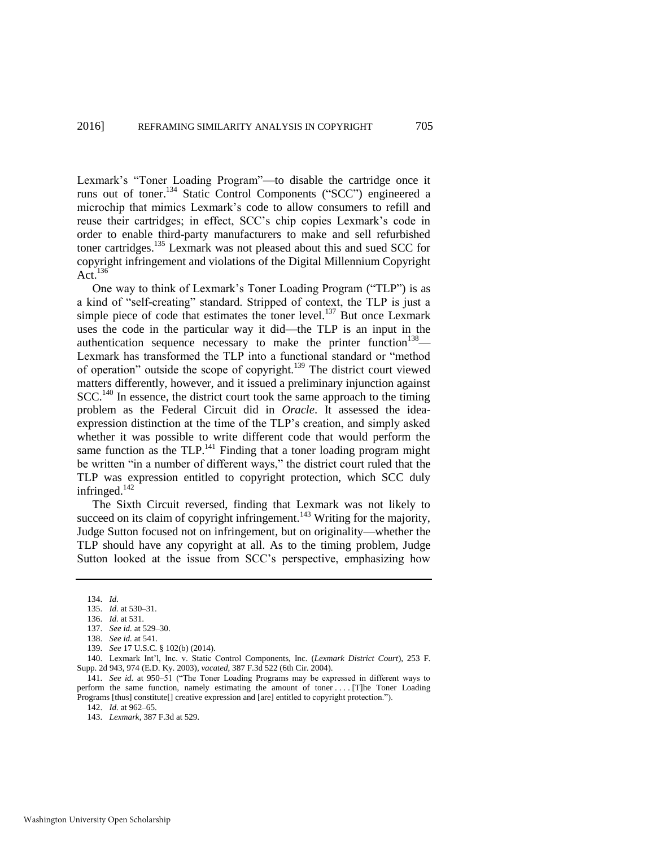Lexmark's "Toner Loading Program"—to disable the cartridge once it runs out of toner.<sup>134</sup> Static Control Components ("SCC") engineered a microchip that mimics Lexmark's code to allow consumers to refill and reuse their cartridges; in effect, SCC's chip copies Lexmark's code in order to enable third-party manufacturers to make and sell refurbished toner cartridges.<sup>135</sup> Lexmark was not pleased about this and sued SCC for copyright infringement and violations of the Digital Millennium Copyright Act. $136$ 

<span id="page-25-0"></span>One way to think of Lexmark's Toner Loading Program ("TLP") is as a kind of "self-creating" standard. Stripped of context, the TLP is just a simple piece of code that estimates the toner level.<sup>137</sup> But once Lexmark uses the code in the particular way it did—the TLP is an input in the authentication sequence necessary to make the printer function<sup>138</sup>— Lexmark has transformed the TLP into a functional standard or "method of operation" outside the scope of copyright.<sup>139</sup> The district court viewed matters differently, however, and it issued a preliminary injunction against  $SCC<sup>140</sup>$  In essence, the district court took the same approach to the timing problem as the Federal Circuit did in *Oracle*. It assessed the ideaexpression distinction at the time of the TLP's creation, and simply asked whether it was possible to write different code that would perform the same function as the TLP.<sup>141</sup> Finding that a toner loading program might be written "in a number of different ways," the district court ruled that the TLP was expression entitled to copyright protection, which SCC duly infringed. $142$ 

The Sixth Circuit reversed, finding that Lexmark was not likely to succeed on its claim of copyright infringement.<sup>143</sup> Writing for the majority, Judge Sutton focused not on infringement, but on originality—whether the TLP should have any copyright at all. As to the timing problem, Judge Sutton looked at the issue from SCC's perspective, emphasizing how

141. *See id.* at 950–51 ("The Toner Loading Programs may be expressed in different ways to perform the same function, namely estimating the amount of toner ... . [T]he Toner Loading Programs [thus] constitute[] creative expression and [are] entitled to copyright protection.").

<sup>134.</sup> *Id.* 

<sup>135.</sup> *Id.* at 530–31.

<sup>136.</sup> *Id.* at 531.

<sup>137.</sup> *See id.* at 529–30.

<sup>138.</sup> *See id.* at 541.

<sup>139.</sup> *See* 17 U.S.C. § 102(b) (2014).

<sup>140.</sup> Lexmark Int'l, Inc. v. Static Control Components, Inc. (*Lexmark District Court*), 253 F. Supp. 2d 943, 974 (E.D. Ky. 2003), *vacated*, 387 F.3d 522 (6th Cir. 2004).

<sup>142.</sup> *Id.* at 962–65.

<sup>143.</sup> *Lexmark*, 387 F.3d at 529.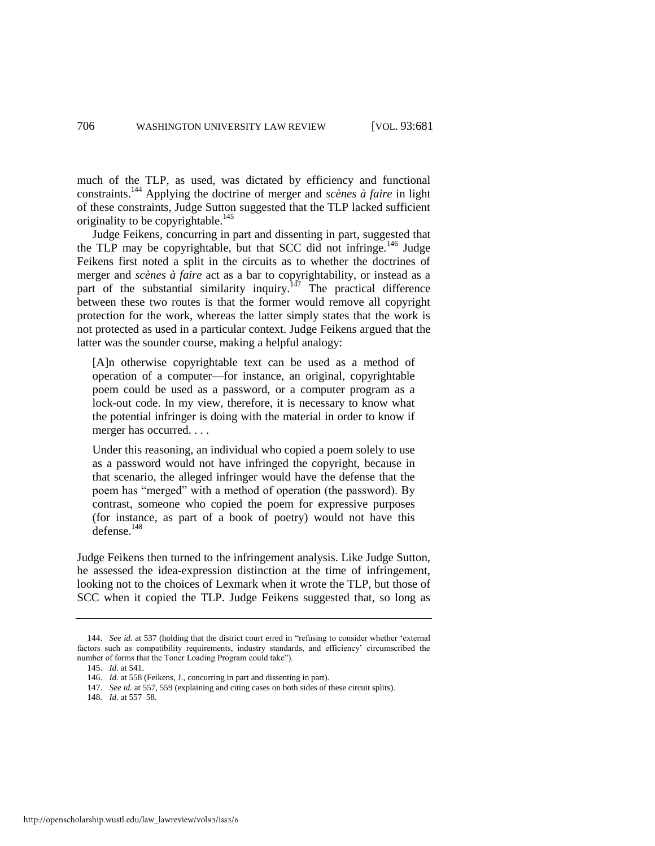much of the TLP, as used, was dictated by efficiency and functional constraints.<sup>144</sup> Applying the doctrine of merger and *scènes à faire* in light of these constraints, Judge Sutton suggested that the TLP lacked sufficient originality to be copyrightable.<sup>145</sup>

<span id="page-26-0"></span>Judge Feikens, concurring in part and dissenting in part, suggested that the TLP may be copyrightable, but that SCC did not infringe.<sup>146</sup> Judge Feikens first noted a split in the circuits as to whether the doctrines of merger and *scènes à faire* act as a bar to copyrightability, or instead as a part of the substantial similarity inquiry.<sup>147</sup> The practical difference between these two routes is that the former would remove all copyright protection for the work, whereas the latter simply states that the work is not protected as used in a particular context. Judge Feikens argued that the latter was the sounder course, making a helpful analogy:

[A]n otherwise copyrightable text can be used as a method of operation of a computer—for instance, an original, copyrightable poem could be used as a password, or a computer program as a lock-out code. In my view, therefore, it is necessary to know what the potential infringer is doing with the material in order to know if merger has occurred. . . .

Under this reasoning, an individual who copied a poem solely to use as a password would not have infringed the copyright, because in that scenario, the alleged infringer would have the defense that the poem has "merged" with a method of operation (the password). By contrast, someone who copied the poem for expressive purposes (for instance, as part of a book of poetry) would not have this  $\det$ defense.<sup>148</sup>

Judge Feikens then turned to the infringement analysis. Like Judge Sutton, he assessed the idea-expression distinction at the time of infringement, looking not to the choices of Lexmark when it wrote the TLP, but those of SCC when it copied the TLP. Judge Feikens suggested that, so long as

<sup>144.</sup> *See id.* at 537 (holding that the district court erred in "refusing to consider whether 'external factors such as compatibility requirements, industry standards, and efficiency' circumscribed the number of forms that the Toner Loading Program could take").

<sup>145.</sup> *Id.* at 541.

<sup>146.</sup> *Id.* at 558 (Feikens, J., concurring in part and dissenting in part).

<sup>147.</sup> *See id.* at 557, 559 (explaining and citing cases on both sides of these circuit splits).

<sup>148.</sup> *Id.* at 557–58.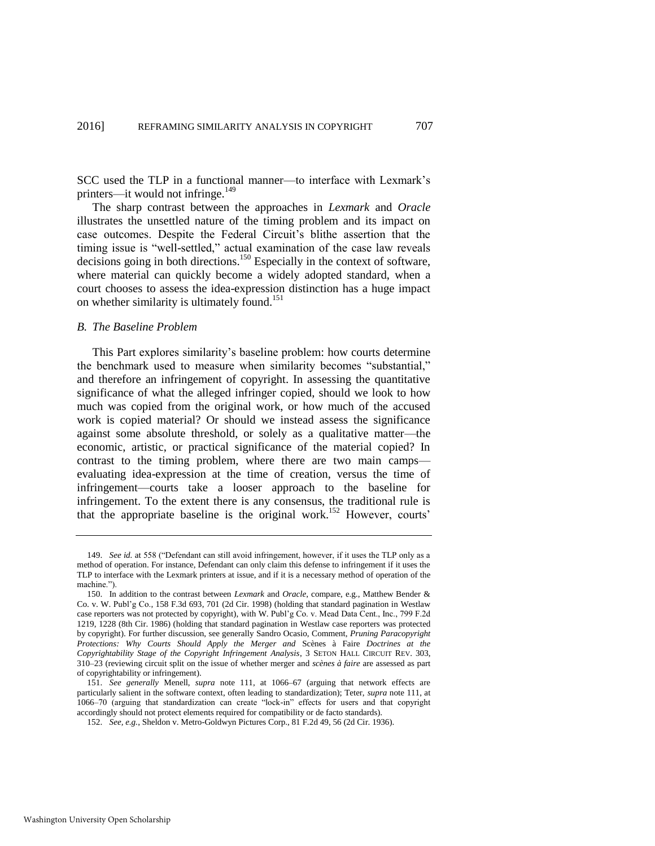SCC used the TLP in a functional manner—to interface with Lexmark's printers—it would not infringe.<sup>149</sup>

<span id="page-27-0"></span>The sharp contrast between the approaches in *Lexmark* and *Oracle* illustrates the unsettled nature of the timing problem and its impact on case outcomes. Despite the Federal Circuit's blithe assertion that the timing issue is "well-settled," actual examination of the case law reveals decisions going in both directions.<sup>150</sup> Especially in the context of software, where material can quickly become a widely adopted standard, when a court chooses to assess the idea-expression distinction has a huge impact on whether similarity is ultimately found.<sup>151</sup>

#### <span id="page-27-1"></span>*B. The Baseline Problem*

This Part explores similarity's baseline problem: how courts determine the benchmark used to measure when similarity becomes "substantial," and therefore an infringement of copyright. In assessing the quantitative significance of what the alleged infringer copied, should we look to how much was copied from the original work, or how much of the accused work is copied material? Or should we instead assess the significance against some absolute threshold, or solely as a qualitative matter—the economic, artistic, or practical significance of the material copied? In contrast to the timing problem, where there are two main camps evaluating idea-expression at the time of creation, versus the time of infringement—courts take a looser approach to the baseline for infringement. To the extent there is any consensus, the traditional rule is that the appropriate baseline is the original work.<sup>152</sup> However, courts'

<sup>149.</sup> *See id.* at 558 ("Defendant can still avoid infringement, however, if it uses the TLP only as a method of operation. For instance, Defendant can only claim this defense to infringement if it uses the TLP to interface with the Lexmark printers at issue, and if it is a necessary method of operation of the machine.").

<sup>150.</sup> In addition to the contrast between *Lexmark* and *Oracle*, compare, e.g., Matthew Bender & Co. v. W. Publ'g Co., 158 F.3d 693, 701 (2d Cir. 1998) (holding that standard pagination in Westlaw case reporters was not protected by copyright), with W. Publ'g Co. v. Mead Data Cent., Inc., 799 F.2d 1219, 1228 (8th Cir. 1986) (holding that standard pagination in Westlaw case reporters was protected by copyright). For further discussion, see generally Sandro Ocasio, Comment, *Pruning Paracopyright Protections: Why Courts Should Apply the Merger and* Scènes à Faire *Doctrines at the Copyrightability Stage of the Copyright Infringement Analysis*, 3 SETON HALL CIRCUIT REV. 303, 310–23 (reviewing circuit split on the issue of whether merger and *scènes à faire* are assessed as part of copyrightability or infringement).

<sup>151.</sup> *See generally* Menell, *supra* note [111,](#page-21-0) at 1066–67 (arguing that network effects are particularly salient in the software context, often leading to standardization); Teter, *supra* not[e 111,](#page-21-0) at 1066–70 (arguing that standardization can create "lock-in" effects for users and that copyright accordingly should not protect elements required for compatibility or de facto standards).

<sup>152.</sup> *See, e.g.*, Sheldon v. Metro-Goldwyn Pictures Corp., 81 F.2d 49, 56 (2d Cir. 1936).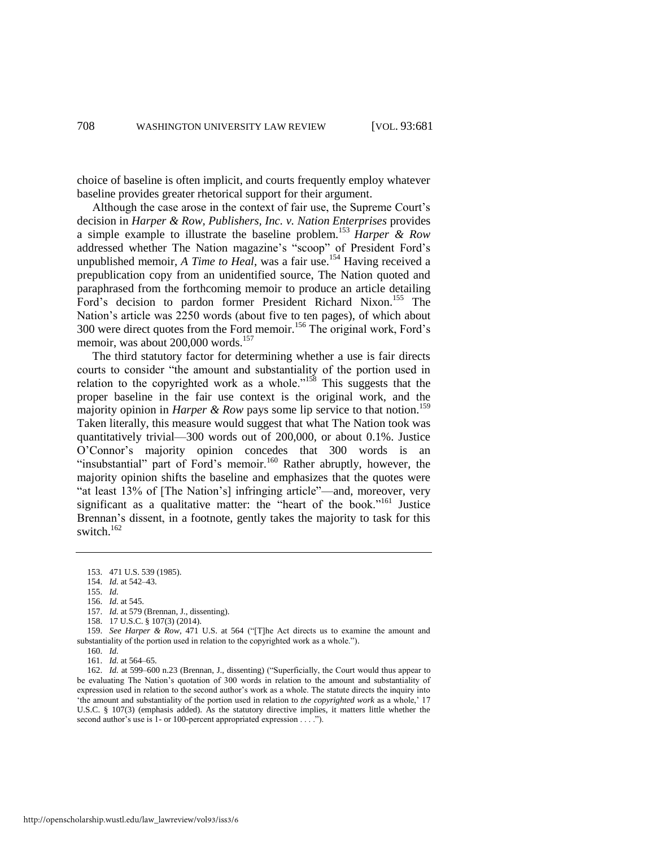choice of baseline is often implicit, and courts frequently employ whatever baseline provides greater rhetorical support for their argument.

Although the case arose in the context of fair use, the Supreme Court's decision in *Harper & Row, Publishers, Inc. v. Nation Enterprises* provides a simple example to illustrate the baseline problem.<sup>153</sup> *Harper & Row* addressed whether The Nation magazine's "scoop" of President Ford's unpublished memoir, *A Time to Heal*, was a fair use.<sup>154</sup> Having received a prepublication copy from an unidentified source, The Nation quoted and paraphrased from the forthcoming memoir to produce an article detailing Ford's decision to pardon former President Richard Nixon.<sup>155</sup> The Nation's article was 2250 words (about five to ten pages), of which about 300 were direct quotes from the Ford memoir.<sup>156</sup> The original work, Ford's memoir, was about 200,000 words.<sup>157</sup>

The third statutory factor for determining whether a use is fair directs courts to consider "the amount and substantiality of the portion used in relation to the copyrighted work as a whole."<sup>158</sup> This suggests that the proper baseline in the fair use context is the original work, and the majority opinion in *Harper & Row* pays some lip service to that notion.<sup>159</sup> Taken literally, this measure would suggest that what The Nation took was quantitatively trivial—300 words out of 200,000, or about 0.1%. Justice O'Connor's majority opinion concedes that 300 words is an "insubstantial" part of Ford's memoir.<sup>160</sup> Rather abruptly, however, the majority opinion shifts the baseline and emphasizes that the quotes were "at least 13% of [The Nation's] infringing article"—and, moreover, very significant as a qualitative matter: the "heart of the book."<sup>161</sup> Justice Brennan's dissent, in a footnote, gently takes the majority to task for this switch.<sup>162</sup>

<sup>153. 471</sup> U.S. 539 (1985).

<sup>154.</sup> *Id.* at 542–43.

<sup>155.</sup> *Id.* 

<sup>156.</sup> *Id.* at 545.

<sup>157.</sup> *Id.* at 579 (Brennan, J., dissenting).

<sup>158. 17</sup> U.S.C. § 107(3) (2014).

<sup>159.</sup> *See Harper & Row*, 471 U.S. at 564 ("[T]he Act directs us to examine the amount and substantiality of the portion used in relation to the copyrighted work as a whole.").

<sup>160.</sup> *Id.* 

<sup>161.</sup> *Id.* at 564–65.

<sup>162.</sup> *Id.* at 599–600 n.23 (Brennan, J., dissenting) ("Superficially, the Court would thus appear to be evaluating The Nation's quotation of 300 words in relation to the amount and substantiality of expression used in relation to the second author's work as a whole. The statute directs the inquiry into 'the amount and substantiality of the portion used in relation to *the copyrighted work* as a whole,' 17 U.S.C. § 107(3) (emphasis added). As the statutory directive implies, it matters little whether the second author's use is 1- or 100-percent appropriated expression . . . .").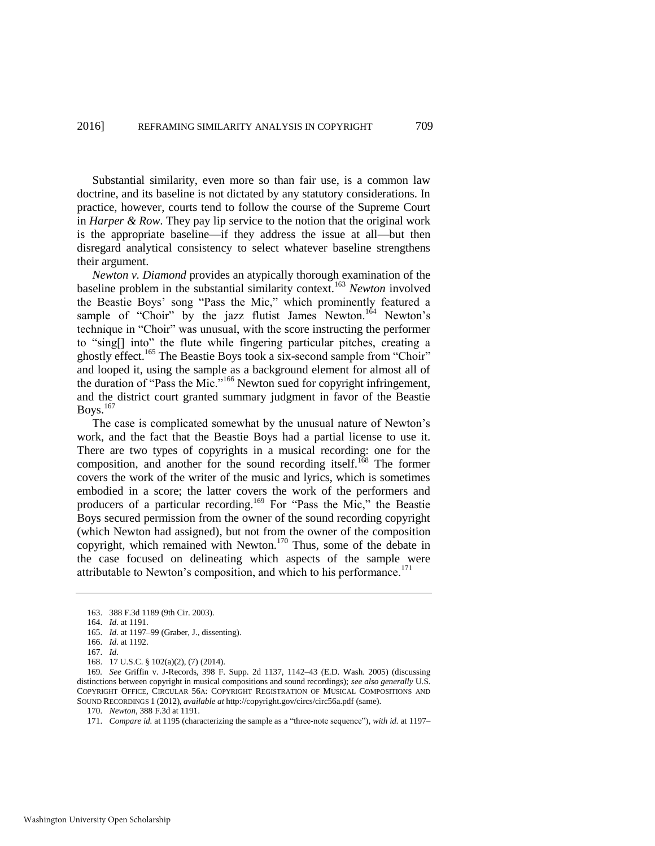Substantial similarity, even more so than fair use, is a common law doctrine, and its baseline is not dictated by any statutory considerations. In practice, however, courts tend to follow the course of the Supreme Court in *Harper & Row*. They pay lip service to the notion that the original work is the appropriate baseline—if they address the issue at all—but then disregard analytical consistency to select whatever baseline strengthens their argument.

<span id="page-29-0"></span>*Newton v. Diamond* provides an atypically thorough examination of the baseline problem in the substantial similarity context.<sup>163</sup> *Newton* involved the Beastie Boys' song "Pass the Mic," which prominently featured a sample of "Choir" by the jazz flutist James Newton.<sup>164</sup> Newton's technique in "Choir" was unusual, with the score instructing the performer to "sing[] into" the flute while fingering particular pitches, creating a ghostly effect.<sup>165</sup> The Beastie Boys took a six-second sample from "Choir" and looped it, using the sample as a background element for almost all of the duration of "Pass the Mic."<sup>166</sup> Newton sued for copyright infringement, and the district court granted summary judgment in favor of the Beastie Boys.<sup>167</sup>

The case is complicated somewhat by the unusual nature of Newton's work, and the fact that the Beastie Boys had a partial license to use it. There are two types of copyrights in a musical recording: one for the composition, and another for the sound recording itself.<sup>168</sup> The former covers the work of the writer of the music and lyrics, which is sometimes embodied in a score; the latter covers the work of the performers and producers of a particular recording.<sup>169</sup> For "Pass the Mic," the Beastie Boys secured permission from the owner of the sound recording copyright (which Newton had assigned), but not from the owner of the composition copyright, which remained with Newton.<sup>170</sup> Thus, some of the debate in the case focused on delineating which aspects of the sample were attributable to Newton's composition, and which to his performance. $^{171}$ 

<sup>163. 388</sup> F.3d 1189 (9th Cir. 2003).

<sup>164.</sup> *Id.* at 1191.

<sup>165.</sup> *Id.* at 1197–99 (Graber, J., dissenting).

<sup>166.</sup> *Id.* at 1192.

<sup>167.</sup> *Id.*

<sup>168. 17</sup> U.S.C. § 102(a)(2), (7) (2014).

<sup>169</sup>*. See* Griffin v. J-Records, 398 F. Supp. 2d 1137, 1142–43 (E.D. Wash. 2005) (discussing distinctions between copyright in musical compositions and sound recordings); *see also generally* U.S. COPYRIGHT OFFICE, CIRCULAR 56A: COPYRIGHT REGISTRATION OF MUSICAL COMPOSITIONS AND SOUND RECORDINGS 1 (2012), *available at* http://copyright.gov/circs/circ56a.pdf (same).

<sup>170.</sup> *Newton*, 388 F.3d at 1191.

<sup>171.</sup> *Compare id.* at 1195 (characterizing the sample as a "three-note sequence"), *with id.* at 1197–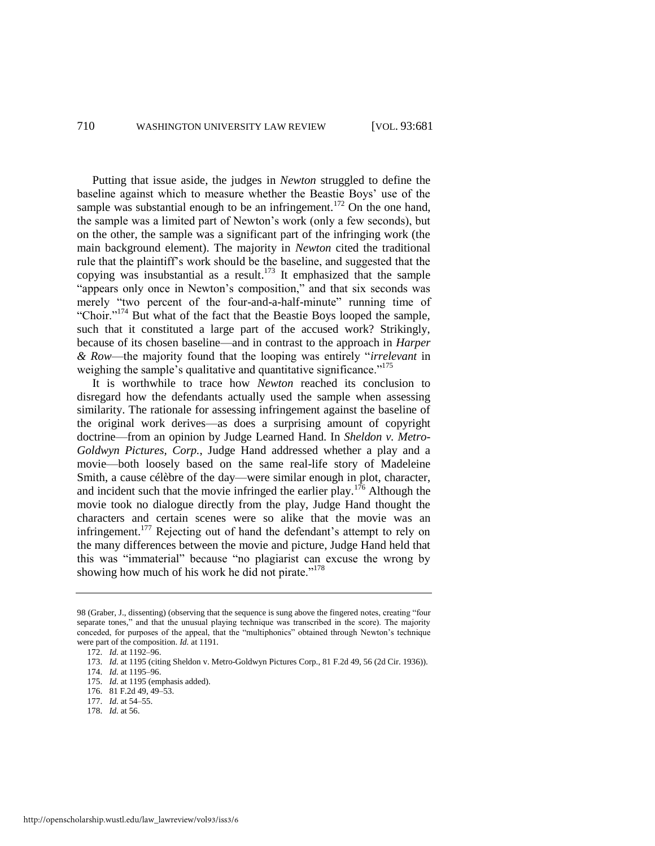Putting that issue aside, the judges in *Newton* struggled to define the baseline against which to measure whether the Beastie Boys' use of the sample was substantial enough to be an infringement.<sup>172</sup> On the one hand, the sample was a limited part of Newton's work (only a few seconds), but on the other, the sample was a significant part of the infringing work (the main background element). The majority in *Newton* cited the traditional rule that the plaintiff's work should be the baseline, and suggested that the copying was insubstantial as a result. $173$  It emphasized that the sample "appears only once in Newton's composition," and that six seconds was merely "two percent of the four-and-a-half-minute" running time of "Choir."<sup>174</sup> But what of the fact that the Beastie Boys looped the sample, such that it constituted a large part of the accused work? Strikingly, because of its chosen baseline—and in contrast to the approach in *Harper & Row*—the majority found that the looping was entirely "*irrelevant* in weighing the sample's qualitative and quantitative significance."<sup>175</sup>

<span id="page-30-0"></span>It is worthwhile to trace how *Newton* reached its conclusion to disregard how the defendants actually used the sample when assessing similarity. The rationale for assessing infringement against the baseline of the original work derives—as does a surprising amount of copyright doctrine—from an opinion by Judge Learned Hand. In *Sheldon v. Metro-Goldwyn Pictures, Corp.*, Judge Hand addressed whether a play and a movie—both loosely based on the same real-life story of Madeleine Smith, a cause célèbre of the day—were similar enough in plot, character, and incident such that the movie infringed the earlier play.<sup>176</sup> Although the movie took no dialogue directly from the play, Judge Hand thought the characters and certain scenes were so alike that the movie was an infringement.<sup>177</sup> Rejecting out of hand the defendant's attempt to rely on the many differences between the movie and picture, Judge Hand held that this was "immaterial" because "no plagiarist can excuse the wrong by showing how much of his work he did not pirate."<sup>178</sup>

<sup>98 (</sup>Graber, J., dissenting) (observing that the sequence is sung above the fingered notes, creating "four separate tones," and that the unusual playing technique was transcribed in the score). The majority conceded, for purposes of the appeal, that the "multiphonics" obtained through Newton's technique were part of the composition. *Id.* at 1191.

<sup>172.</sup> *Id.* at 1192–96.

<sup>173.</sup> *Id.* at 1195 (citing Sheldon v. Metro-Goldwyn Pictures Corp., 81 F.2d 49, 56 (2d Cir. 1936)).

<sup>174.</sup> *Id.* at 1195–96.

<sup>175.</sup> *Id.* at 1195 (emphasis added).

<sup>176. 81</sup> F.2d 49, 49–53.

<sup>177.</sup> *Id.* at 54–55.

<sup>178.</sup> *Id.* at 56.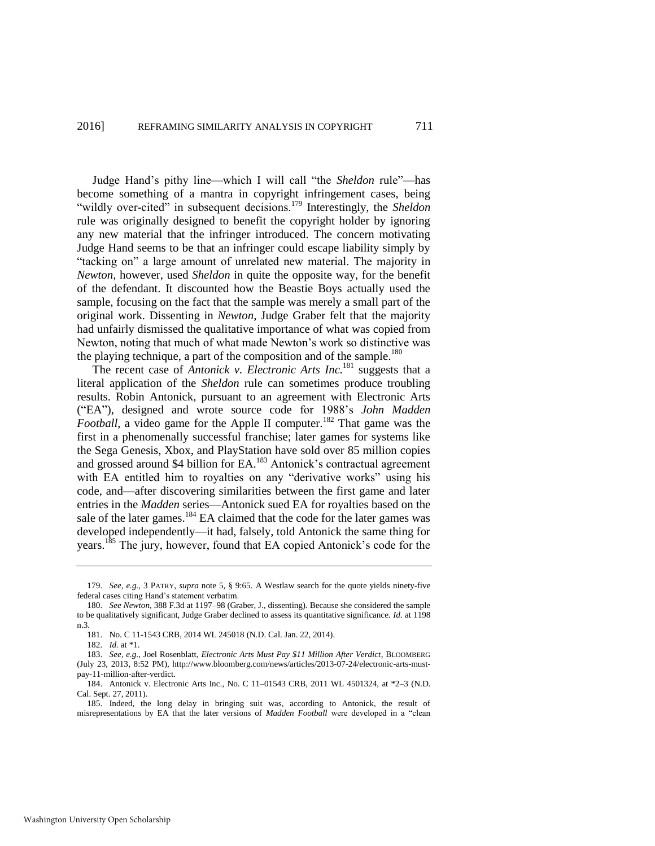<span id="page-31-1"></span>Judge Hand's pithy line—which I will call "the *Sheldon* rule"—has become something of a mantra in copyright infringement cases, being "wildly over-cited" in subsequent decisions.<sup>179</sup> Interestingly, the *Sheldon* rule was originally designed to benefit the copyright holder by ignoring any new material that the infringer introduced. The concern motivating Judge Hand seems to be that an infringer could escape liability simply by "tacking on" a large amount of unrelated new material. The majority in *Newton*, however, used *Sheldon* in quite the opposite way, for the benefit of the defendant. It discounted how the Beastie Boys actually used the sample, focusing on the fact that the sample was merely a small part of the original work. Dissenting in *Newton*, Judge Graber felt that the majority had unfairly dismissed the qualitative importance of what was copied from Newton, noting that much of what made Newton's work so distinctive was the playing technique, a part of the composition and of the sample.<sup>180</sup>

<span id="page-31-2"></span><span id="page-31-0"></span>The recent case of *Antonick v. Electronic Arts Inc.*<sup>181</sup> suggests that a literal application of the *Sheldon* rule can sometimes produce troubling results. Robin Antonick, pursuant to an agreement with Electronic Arts ("EA"), designed and wrote source code for 1988's *John Madden Football*, a video game for the Apple II computer.<sup>182</sup> That game was the first in a phenomenally successful franchise; later games for systems like the Sega Genesis, Xbox, and PlayStation have sold over 85 million copies and grossed around \$4 billion for EA.<sup>183</sup> Antonick's contractual agreement with EA entitled him to royalties on any "derivative works" using his code, and—after discovering similarities between the first game and later entries in the *Madden* series—Antonick sued EA for royalties based on the sale of the later games.<sup>184</sup> EA claimed that the code for the later games was developed independently—it had, falsely, told Antonick the same thing for years.<sup>185</sup> The jury, however, found that EA copied Antonick's code for the

<sup>179.</sup> *See, e.g.*, 3 PATRY, *supra* note [5,](#page-3-1) § 9:65. A Westlaw search for the quote yields ninety-five federal cases citing Hand's statement verbatim.

<sup>180.</sup> *See Newton*, 388 F.3d at 1197–98 (Graber, J., dissenting). Because she considered the sample to be qualitatively significant, Judge Graber declined to assess its quantitative significance. *Id.* at 1198 n.3.

<sup>181.</sup> No. C 11-1543 CRB, 2014 WL 245018 (N.D. Cal. Jan. 22, 2014).

<sup>182.</sup> *Id.* at \*1.

<sup>183.</sup> *See, e.g.*, Joel Rosenblatt, *Electronic Arts Must Pay \$11 Million After Verdict*, BLOOMBERG (July 23, 2013, 8:52 PM), http://www.bloomberg.com/news/articles/2013-07-24/electronic-arts-mustpay-11-million-after-verdict.

<sup>184.</sup> Antonick v. Electronic Arts Inc., No. C 11–01543 CRB, 2011 WL 4501324, at \*2–3 (N.D. Cal. Sept. 27, 2011).

<sup>185.</sup> Indeed, the long delay in bringing suit was, according to Antonick, the result of misrepresentations by EA that the later versions of *Madden Football* were developed in a "clean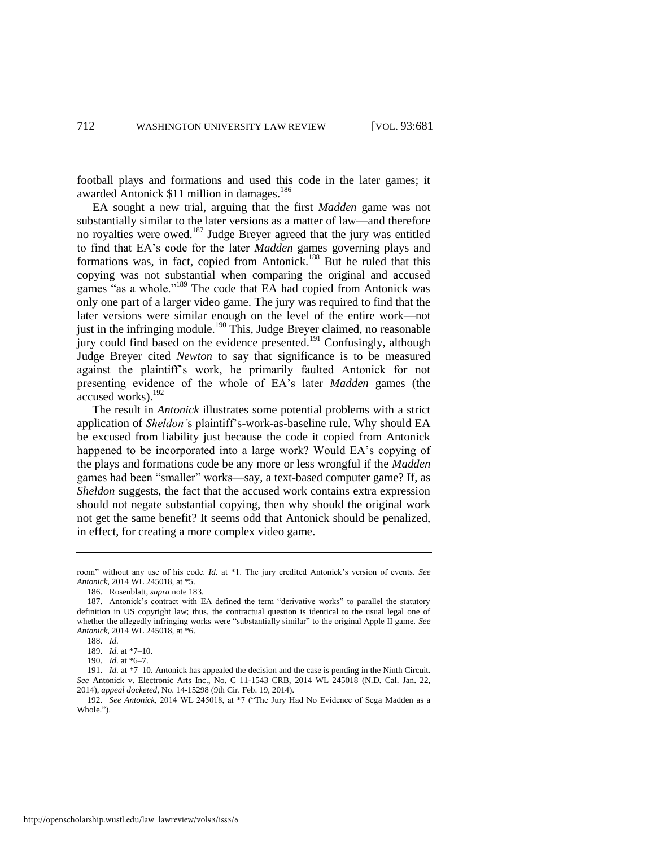football plays and formations and used this code in the later games; it awarded Antonick \$11 million in damages.<sup>186</sup>

EA sought a new trial, arguing that the first *Madden* game was not substantially similar to the later versions as a matter of law—and therefore no royalties were owed.<sup>187</sup> Judge Breyer agreed that the jury was entitled to find that EA's code for the later *Madden* games governing plays and formations was, in fact, copied from Antonick.<sup>188</sup> But he ruled that this copying was not substantial when comparing the original and accused games "as a whole."<sup>189</sup> The code that EA had copied from Antonick was only one part of a larger video game. The jury was required to find that the later versions were similar enough on the level of the entire work—not just in the infringing module.<sup>190</sup> This, Judge Breyer claimed, no reasonable jury could find based on the evidence presented.<sup>191</sup> Confusingly, although Judge Breyer cited *Newton* to say that significance is to be measured against the plaintiff's work, he primarily faulted Antonick for not presenting evidence of the whole of EA's later *Madden* games (the accused works).<sup>192</sup>

The result in *Antonick* illustrates some potential problems with a strict application of *Sheldon'*s plaintiff's-work-as-baseline rule. Why should EA be excused from liability just because the code it copied from Antonick happened to be incorporated into a large work? Would EA's copying of the plays and formations code be any more or less wrongful if the *Madden* games had been "smaller" works—say, a text-based computer game? If, as *Sheldon* suggests, the fact that the accused work contains extra expression should not negate substantial copying, then why should the original work not get the same benefit? It seems odd that Antonick should be penalized, in effect, for creating a more complex video game.

room" without any use of his code. *Id.* at \*1. The jury credited Antonick's version of events. *See Antonick*, 2014 WL 245018, at \*5.

<sup>186.</sup> Rosenblatt, *supra* not[e 183.](#page-31-0) 

<sup>187.</sup> Antonick's contract with EA defined the term "derivative works" to parallel the statutory definition in US copyright law; thus, the contractual question is identical to the usual legal one of whether the allegedly infringing works were "substantially similar" to the original Apple II game. *See Antonick*, 2014 WL 245018, at \*6.

<sup>188.</sup> *Id.*

<sup>189.</sup> *Id.* at \*7–10.

<sup>190.</sup> *Id.* at \*6–7.

<sup>191.</sup> *Id.* at \*7-10. Antonick has appealed the decision and the case is pending in the Ninth Circuit. *See* Antonick v. Electronic Arts Inc., No. C 11-1543 CRB, 2014 WL 245018 (N.D. Cal. Jan. 22, 2014), *appeal docketed*, No. 14-15298 (9th Cir. Feb. 19, 2014).

<sup>192.</sup> *See Antonick*, 2014 WL 245018, at \*7 ("The Jury Had No Evidence of Sega Madden as a Whole.").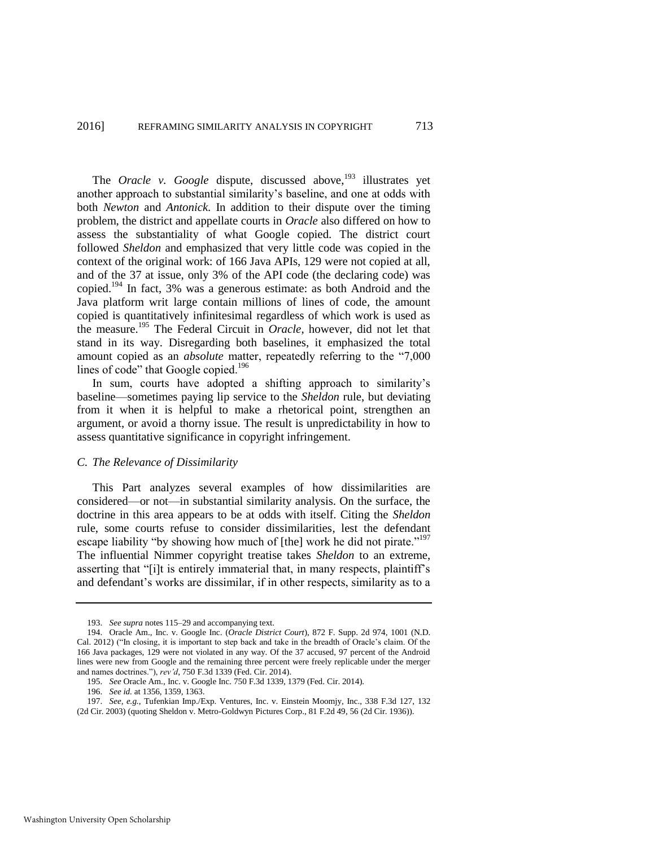The *Oracle v. Google* dispute, discussed above,<sup>193</sup> illustrates yet another approach to substantial similarity's baseline, and one at odds with both *Newton* and *Antonick*. In addition to their dispute over the timing problem, the district and appellate courts in *Oracle* also differed on how to assess the substantiality of what Google copied. The district court followed *Sheldon* and emphasized that very little code was copied in the context of the original work: of 166 Java APIs, 129 were not copied at all, and of the 37 at issue, only 3% of the API code (the declaring code) was copied.<sup>194</sup> In fact, 3% was a generous estimate: as both Android and the Java platform writ large contain millions of lines of code, the amount copied is quantitatively infinitesimal regardless of which work is used as the measure.<sup>195</sup> The Federal Circuit in *Oracle*, however, did not let that stand in its way. Disregarding both baselines, it emphasized the total amount copied as an *absolute* matter, repeatedly referring to the "7,000 lines of code" that Google copied.<sup>196</sup>

In sum, courts have adopted a shifting approach to similarity's baseline—sometimes paying lip service to the *Sheldon* rule, but deviating from it when it is helpful to make a rhetorical point, strengthen an argument, or avoid a thorny issue. The result is unpredictability in how to assess quantitative significance in copyright infringement.

#### *C. The Relevance of Dissimilarity*

This Part analyzes several examples of how dissimilarities are considered—or not—in substantial similarity analysis. On the surface, the doctrine in this area appears to be at odds with itself. Citing the *Sheldon*  rule, some courts refuse to consider dissimilarities, lest the defendant escape liability "by showing how much of [the] work he did not pirate."<sup>197</sup> The influential Nimmer copyright treatise takes *Sheldon* to an extreme, asserting that "[i]t is entirely immaterial that, in many respects, plaintiff's and defendant's works are dissimilar, if in other respects, similarity as to a

<sup>193.</sup> *See supra* note[s 115–](#page-22-0)29 and accompanying text.

<sup>194.</sup> Oracle Am., Inc. v. Google Inc. (*Oracle District Court*), 872 F. Supp. 2d 974, 1001 (N.D. Cal. 2012) ("In closing, it is important to step back and take in the breadth of Oracle's claim. Of the 166 Java packages, 129 were not violated in any way. Of the 37 accused, 97 percent of the Android lines were new from Google and the remaining three percent were freely replicable under the merger and names doctrines."), *rev'd*, 750 F.3d 1339 (Fed. Cir. 2014).

<sup>195.</sup> *See* Oracle Am., Inc. v. Google Inc. 750 F.3d 1339, 1379 (Fed. Cir. 2014).

<sup>196.</sup> *See id.* at 1356, 1359, 1363.

<sup>197.</sup> *See, e.g.*, Tufenkian Imp./Exp. Ventures, Inc. v. Einstein Moomjy, Inc., 338 F.3d 127, 132 (2d Cir. 2003) (quoting Sheldon v. Metro-Goldwyn Pictures Corp., 81 F.2d 49, 56 (2d Cir. 1936)).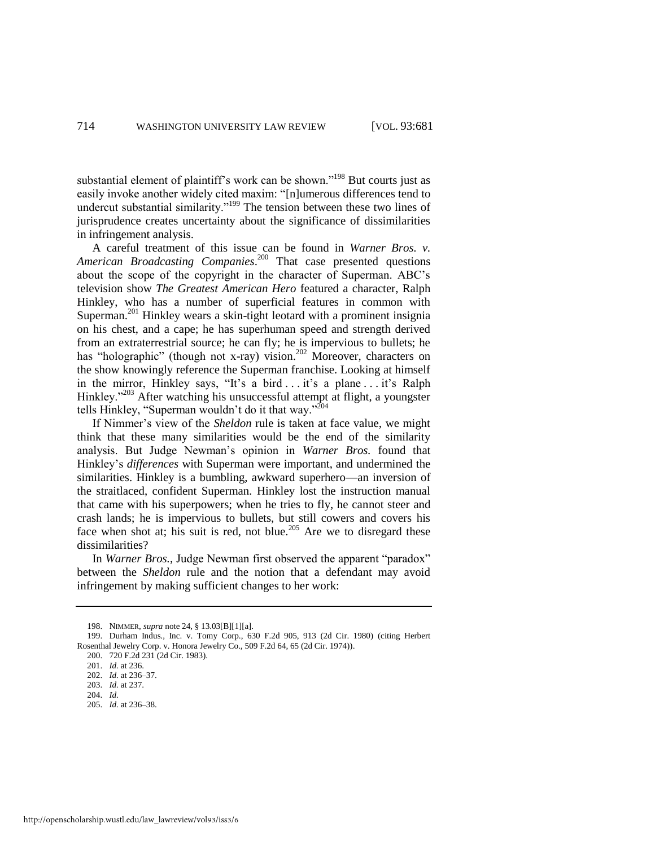substantial element of plaintiff's work can be shown."<sup>198</sup> But courts just as easily invoke another widely cited maxim: "[n]umerous differences tend to undercut substantial similarity."<sup>199</sup> The tension between these two lines of jurisprudence creates uncertainty about the significance of dissimilarities in infringement analysis.

A careful treatment of this issue can be found in *Warner Bros. v. American Broadcasting Companies*. <sup>200</sup> That case presented questions about the scope of the copyright in the character of Superman. ABC's television show *The Greatest American Hero* featured a character, Ralph Hinkley, who has a number of superficial features in common with Superman.<sup>201</sup> Hinkley wears a skin-tight leotard with a prominent insignia on his chest, and a cape; he has superhuman speed and strength derived from an extraterrestrial source; he can fly; he is impervious to bullets; he has "holographic" (though not x-ray) vision.<sup>202</sup> Moreover, characters on the show knowingly reference the Superman franchise. Looking at himself in the mirror, Hinkley says, "It's a bird . . . it's a plane . . . it's Ralph Hinkley."<sup>203</sup> After watching his unsuccessful attempt at flight, a youngster tells Hinkley, "Superman wouldn't do it that way."<sup>204</sup>

If Nimmer's view of the *Sheldon* rule is taken at face value, we might think that these many similarities would be the end of the similarity analysis. But Judge Newman's opinion in *Warner Bros.* found that Hinkley's *differences* with Superman were important, and undermined the similarities. Hinkley is a bumbling, awkward superhero—an inversion of the straitlaced, confident Superman. Hinkley lost the instruction manual that came with his superpowers; when he tries to fly, he cannot steer and crash lands; he is impervious to bullets, but still cowers and covers his face when shot at; his suit is red, not blue.<sup>205</sup> Are we to disregard these dissimilarities?

In *Warner Bros.*, Judge Newman first observed the apparent "paradox" between the *Sheldon* rule and the notion that a defendant may avoid infringement by making sufficient changes to her work:

<sup>198.</sup> NIMMER, *supra* not[e 24,](#page-7-0) § 13.03[B][1][a].

<sup>199.</sup> Durham Indus., Inc. v. Tomy Corp., 630 F.2d 905, 913 (2d Cir. 1980) (citing Herbert Rosenthal Jewelry Corp. v. Honora Jewelry Co., 509 F.2d 64, 65 (2d Cir. 1974)).

<sup>200. 720</sup> F.2d 231 (2d Cir. 1983).

<sup>201.</sup> *Id.* at 236.

<sup>202.</sup> *Id.* at 236–37.

<sup>203.</sup> *Id.* at 237.

<sup>204.</sup> *Id.*

<sup>205.</sup> *Id.* at 236–38.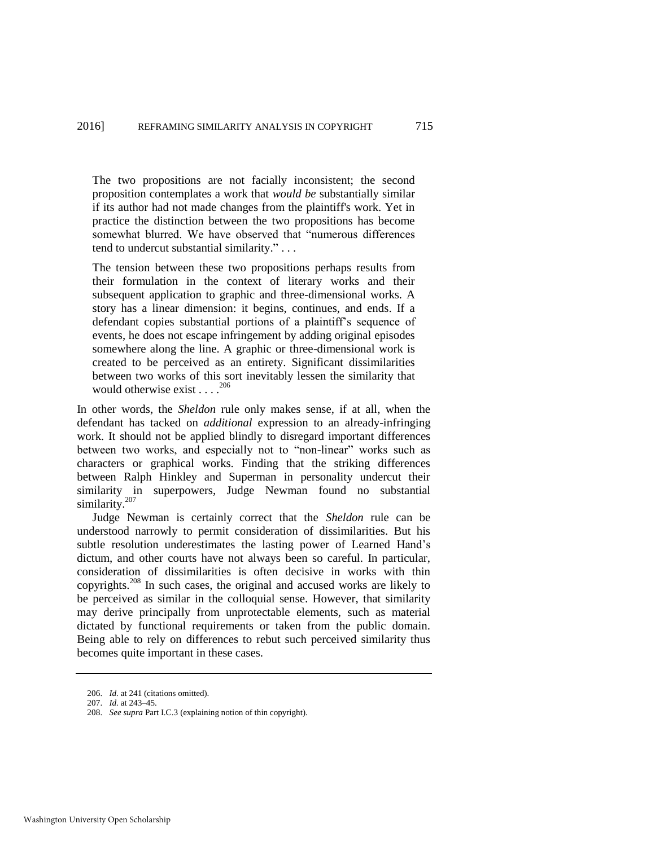The two propositions are not facially inconsistent; the second proposition contemplates a work that *would be* substantially similar if its author had not made changes from the plaintiff's work. Yet in practice the distinction between the two propositions has become somewhat blurred. We have observed that "numerous differences tend to undercut substantial similarity." . . .

The tension between these two propositions perhaps results from their formulation in the context of literary works and their subsequent application to graphic and three-dimensional works. A story has a linear dimension: it begins, continues, and ends. If a defendant copies substantial portions of a plaintiff's sequence of events, he does not escape infringement by adding original episodes somewhere along the line. A graphic or three-dimensional work is created to be perceived as an entirety. Significant dissimilarities between two works of this sort inevitably lessen the similarity that would otherwise exist . . . .<sup>206</sup>

In other words, the *Sheldon* rule only makes sense, if at all, when the defendant has tacked on *additional* expression to an already-infringing work. It should not be applied blindly to disregard important differences between two works, and especially not to "non-linear" works such as characters or graphical works. Finding that the striking differences between Ralph Hinkley and Superman in personality undercut their similarity in superpowers, Judge Newman found no substantial similarity.<sup>207</sup>

Judge Newman is certainly correct that the *Sheldon* rule can be understood narrowly to permit consideration of dissimilarities. But his subtle resolution underestimates the lasting power of Learned Hand's dictum, and other courts have not always been so careful. In particular, consideration of dissimilarities is often decisive in works with thin copyrights.<sup>208</sup> In such cases, the original and accused works are likely to be perceived as similar in the colloquial sense. However, that similarity may derive principally from unprotectable elements, such as material dictated by functional requirements or taken from the public domain. Being able to rely on differences to rebut such perceived similarity thus becomes quite important in these cases.

<sup>206.</sup> *Id.* at 241 (citations omitted).

<sup>207.</sup> *Id.* at 243–45.

<sup>208.</sup> *See supra* Part I.C.3 (explaining notion of thin copyright).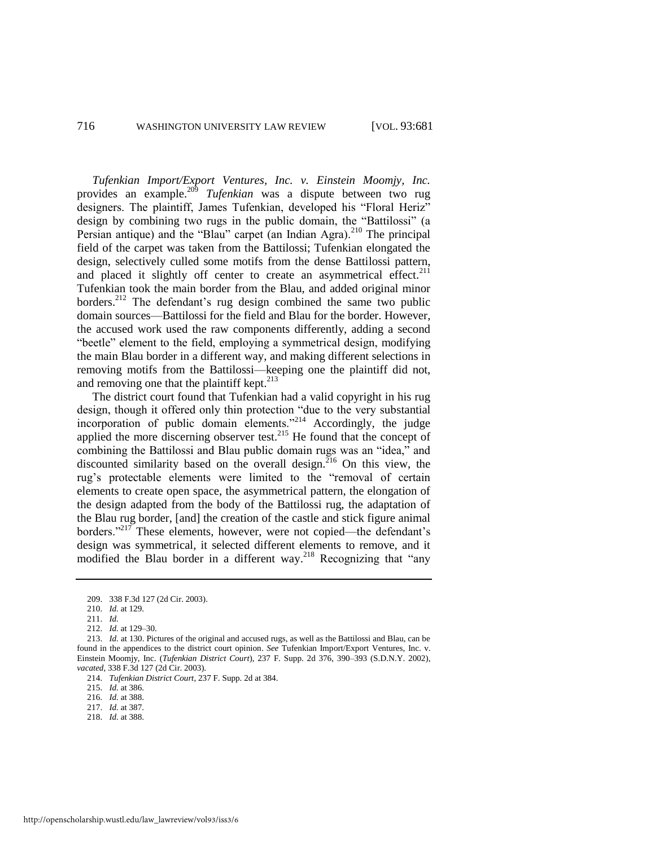<span id="page-36-0"></span>*Tufenkian Import/Export Ventures, Inc. v. Einstein Moomjy, Inc.* provides an example.<sup>209</sup> *Tufenkian* was a dispute between two rug designers. The plaintiff, James Tufenkian, developed his "Floral Heriz" design by combining two rugs in the public domain, the "Battilossi" (a Persian antique) and the "Blau" carpet (an Indian Agra).<sup>210</sup> The principal field of the carpet was taken from the Battilossi; Tufenkian elongated the design, selectively culled some motifs from the dense Battilossi pattern, and placed it slightly off center to create an asymmetrical effect.<sup>211</sup> Tufenkian took the main border from the Blau, and added original minor borders.<sup>212</sup> The defendant's rug design combined the same two public domain sources—Battilossi for the field and Blau for the border. However, the accused work used the raw components differently, adding a second "beetle" element to the field, employing a symmetrical design, modifying the main Blau border in a different way, and making different selections in removing motifs from the Battilossi—keeping one the plaintiff did not, and removing one that the plaintiff kept.<sup>213</sup>

The district court found that Tufenkian had a valid copyright in his rug design, though it offered only thin protection "due to the very substantial incorporation of public domain elements."<sup>214</sup> Accordingly, the judge applied the more discerning observer test.<sup>215</sup> He found that the concept of combining the Battilossi and Blau public domain rugs was an "idea," and discounted similarity based on the overall design.<sup>216</sup> On this view, the rug's protectable elements were limited to the "removal of certain elements to create open space, the asymmetrical pattern, the elongation of the design adapted from the body of the Battilossi rug, the adaptation of the Blau rug border, [and] the creation of the castle and stick figure animal borders."<sup>217</sup> These elements, however, were not copied—the defendant's design was symmetrical, it selected different elements to remove, and it modified the Blau border in a different way.<sup>218</sup> Recognizing that "any

218. *Id.* at 388.

<sup>209. 338</sup> F.3d 127 (2d Cir. 2003).

<sup>210.</sup> *Id.* at 129.

<sup>211.</sup> *Id.*

<sup>212.</sup> *Id.* at 129–30.

<sup>213.</sup> *Id.* at 130. Pictures of the original and accused rugs, as well as the Battilossi and Blau, can be found in the appendices to the district court opinion. *See* Tufenkian Import/Export Ventures, Inc. v. Einstein Moomjy, Inc. (*Tufenkian District Court*), 237 F. Supp. 2d 376, 390–393 (S.D.N.Y. 2002), *vacated*, 338 F.3d 127 (2d Cir. 2003).

<sup>214.</sup> *Tufenkian District Court*, 237 F. Supp. 2d at 384.

<sup>215.</sup> *Id.* at 386.

<sup>216.</sup> *Id.* at 388.

<sup>217.</sup> *Id.* at 387.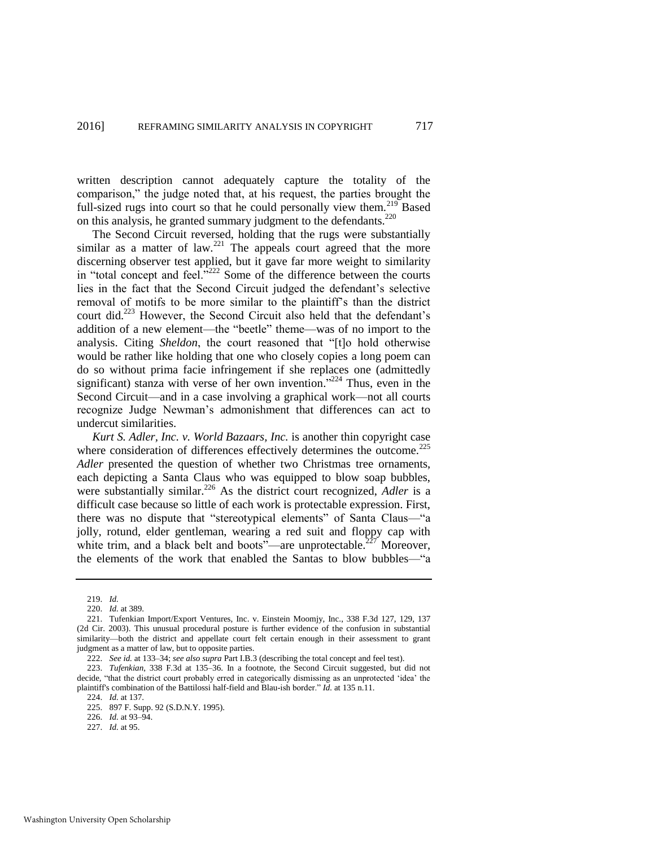written description cannot adequately capture the totality of the comparison," the judge noted that, at his request, the parties brought the full-sized rugs into court so that he could personally view them.<sup>219</sup> Based on this analysis, he granted summary judgment to the defendants.<sup>220</sup>

The Second Circuit reversed, holding that the rugs were substantially similar as a matter of law.<sup>221</sup> The appeals court agreed that the more discerning observer test applied, but it gave far more weight to similarity in "total concept and feel."<sup>222</sup> Some of the difference between the courts lies in the fact that the Second Circuit judged the defendant's selective removal of motifs to be more similar to the plaintiff's than the district court did.<sup>223</sup> However, the Second Circuit also held that the defendant's addition of a new element—the "beetle" theme—was of no import to the analysis. Citing *Sheldon*, the court reasoned that "[t]o hold otherwise would be rather like holding that one who closely copies a long poem can do so without prima facie infringement if she replaces one (admittedly significant) stanza with verse of her own invention."<sup>224</sup> Thus, even in the Second Circuit—and in a case involving a graphical work—not all courts recognize Judge Newman's admonishment that differences can act to undercut similarities.

<span id="page-37-0"></span>*Kurt S. Adler, Inc. v. World Bazaars, Inc.* is another thin copyright case where consideration of differences effectively determines the outcome.<sup>225</sup> *Adler* presented the question of whether two Christmas tree ornaments, each depicting a Santa Claus who was equipped to blow soap bubbles, were substantially similar.<sup>226</sup> As the district court recognized, *Adler* is a difficult case because so little of each work is protectable expression. First, there was no dispute that "stereotypical elements" of Santa Claus—"a jolly, rotund, elder gentleman, wearing a red suit and floppy cap with white trim, and a black belt and boots"—are unprotectable.<sup>227</sup> Moreover, the elements of the work that enabled the Santas to blow bubbles—"a

<sup>219.</sup> *Id.*

<sup>220.</sup> *Id.* at 389.

<sup>221.</sup> Tufenkian Import/Export Ventures, Inc. v. Einstein Moomjy, Inc., 338 F.3d 127, 129, 137 (2d Cir. 2003). This unusual procedural posture is further evidence of the confusion in substantial similarity—both the district and appellate court felt certain enough in their assessment to grant judgment as a matter of law, but to opposite parties.

<sup>222.</sup> *See id.* at 133–34; *see also supra* Part I.B.3 (describing the total concept and feel test).

<sup>223.</sup> *Tufenkian*, 338 F.3d at 135–36. In a footnote, the Second Circuit suggested, but did not decide, "that the district court probably erred in categorically dismissing as an unprotected 'idea' the plaintiff's combination of the Battilossi half-field and Blau-ish border." *Id.* at 135 n.11.

<sup>224.</sup> *Id.* at 137.

<sup>225. 897</sup> F. Supp. 92 (S.D.N.Y. 1995).

<sup>226.</sup> *Id.* at 93–94.

<sup>227.</sup> *Id.* at 95.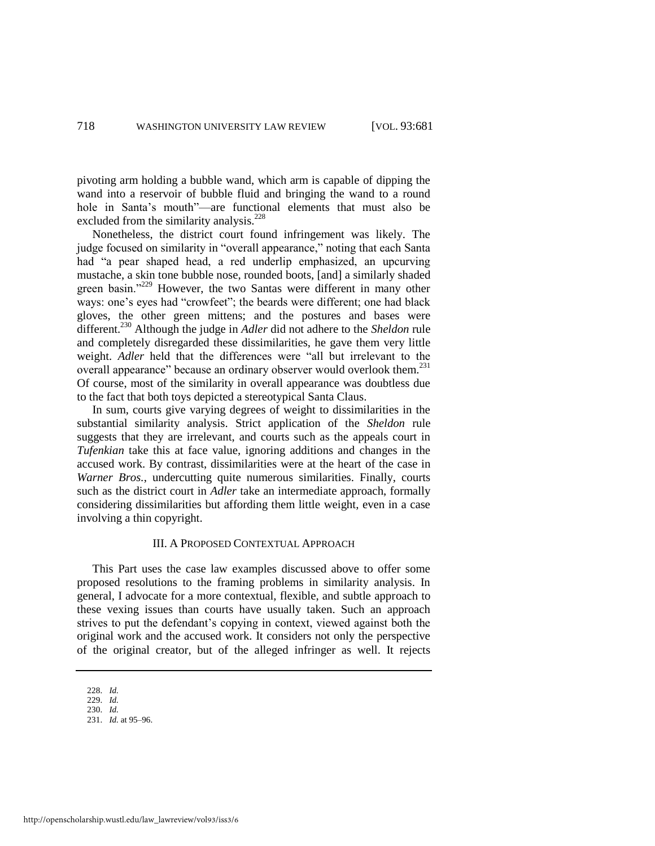pivoting arm holding a bubble wand, which arm is capable of dipping the wand into a reservoir of bubble fluid and bringing the wand to a round hole in Santa's mouth"—are functional elements that must also be excluded from the similarity analysis.<sup>228</sup>

Nonetheless, the district court found infringement was likely. The judge focused on similarity in "overall appearance," noting that each Santa had "a pear shaped head, a red underlip emphasized, an upcurving mustache, a skin tone bubble nose, rounded boots, [and] a similarly shaded green basin."<sup>229</sup> However, the two Santas were different in many other ways: one's eyes had "crowfeet"; the beards were different; one had black gloves, the other green mittens; and the postures and bases were different.<sup>230</sup> Although the judge in *Adler* did not adhere to the *Sheldon* rule and completely disregarded these dissimilarities, he gave them very little weight. *Adler* held that the differences were "all but irrelevant to the overall appearance" because an ordinary observer would overlook them.<sup>231</sup> Of course, most of the similarity in overall appearance was doubtless due to the fact that both toys depicted a stereotypical Santa Claus.

In sum, courts give varying degrees of weight to dissimilarities in the substantial similarity analysis. Strict application of the *Sheldon* rule suggests that they are irrelevant, and courts such as the appeals court in *Tufenkian* take this at face value, ignoring additions and changes in the accused work. By contrast, dissimilarities were at the heart of the case in *Warner Bros.*, undercutting quite numerous similarities. Finally, courts such as the district court in *Adler* take an intermediate approach, formally considering dissimilarities but affording them little weight, even in a case involving a thin copyright.

#### III. A PROPOSED CONTEXTUAL APPROACH

This Part uses the case law examples discussed above to offer some proposed resolutions to the framing problems in similarity analysis. In general, I advocate for a more contextual, flexible, and subtle approach to these vexing issues than courts have usually taken. Such an approach strives to put the defendant's copying in context, viewed against both the original work and the accused work. It considers not only the perspective of the original creator, but of the alleged infringer as well. It rejects

<sup>228.</sup> *Id.*

<sup>229.</sup> *Id.*

<sup>230.</sup> *Id.*

<sup>231.</sup> *Id.* at 95–96.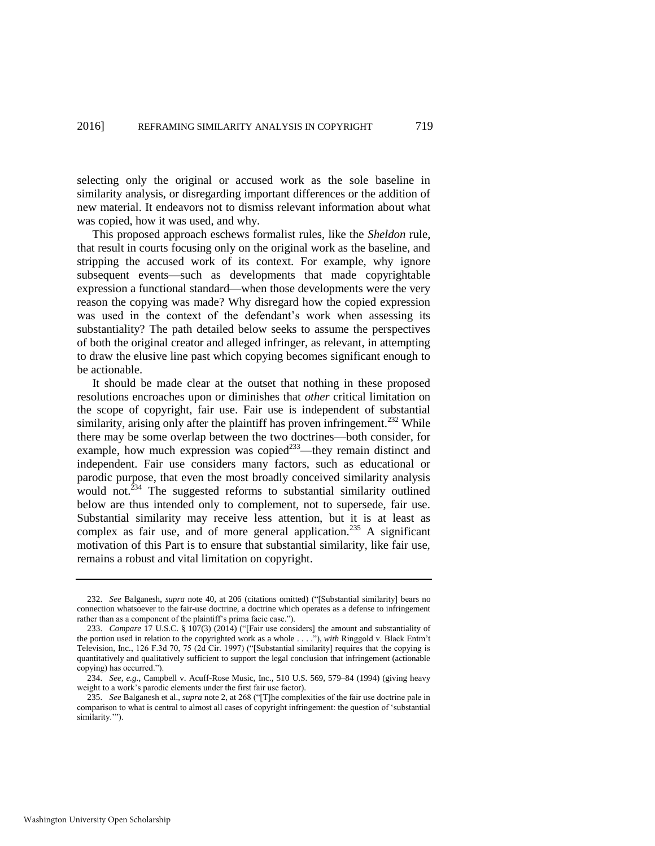selecting only the original or accused work as the sole baseline in similarity analysis, or disregarding important differences or the addition of new material. It endeavors not to dismiss relevant information about what was copied, how it was used, and why.

This proposed approach eschews formalist rules, like the *Sheldon* rule, that result in courts focusing only on the original work as the baseline, and stripping the accused work of its context. For example, why ignore subsequent events—such as developments that made copyrightable expression a functional standard—when those developments were the very reason the copying was made? Why disregard how the copied expression was used in the context of the defendant's work when assessing its substantiality? The path detailed below seeks to assume the perspectives of both the original creator and alleged infringer, as relevant, in attempting to draw the elusive line past which copying becomes significant enough to be actionable.

It should be made clear at the outset that nothing in these proposed resolutions encroaches upon or diminishes that *other* critical limitation on the scope of copyright, fair use. Fair use is independent of substantial similarity, arising only after the plaintiff has proven infringement.<sup>232</sup> While there may be some overlap between the two doctrines—both consider, for example, how much expression was copied<sup>233</sup>—they remain distinct and independent. Fair use considers many factors, such as educational or parodic purpose, that even the most broadly conceived similarity analysis would not.<sup> $234$ </sup> The suggested reforms to substantial similarity outlined below are thus intended only to complement, not to supersede, fair use. Substantial similarity may receive less attention, but it is at least as complex as fair use, and of more general application.<sup>235</sup> A significant motivation of this Part is to ensure that substantial similarity, like fair use, remains a robust and vital limitation on copyright.

<sup>232.</sup> *See* Balganesh, *supra* note [40,](#page-10-0) at 206 (citations omitted) ("[Substantial similarity] bears no connection whatsoever to the fair-use doctrine, a doctrine which operates as a defense to infringement rather than as a component of the plaintiff's prima facie case.").

<sup>233.</sup> *Compare* 17 U.S.C. § 107(3) (2014) ("[Fair use considers] the amount and substantiality of the portion used in relation to the copyrighted work as a whole . . . ."), *with* Ringgold v. Black Entm't Television, Inc., 126 F.3d 70, 75 (2d Cir. 1997) ("[Substantial similarity] requires that the copying is quantitatively and qualitatively sufficient to support the legal conclusion that infringement (actionable copying) has occurred.").

<sup>234.</sup> *See, e.g.*, Campbell v. Acuff-Rose Music, Inc., 510 U.S. 569, 579–84 (1994) (giving heavy weight to a work's parodic elements under the first fair use factor).

<sup>235.</sup> *See* Balganesh et al., *supra* note [2,](#page-3-0) at 268 ("[T]he complexities of the fair use doctrine pale in comparison to what is central to almost all cases of copyright infringement: the question of 'substantial similarity."").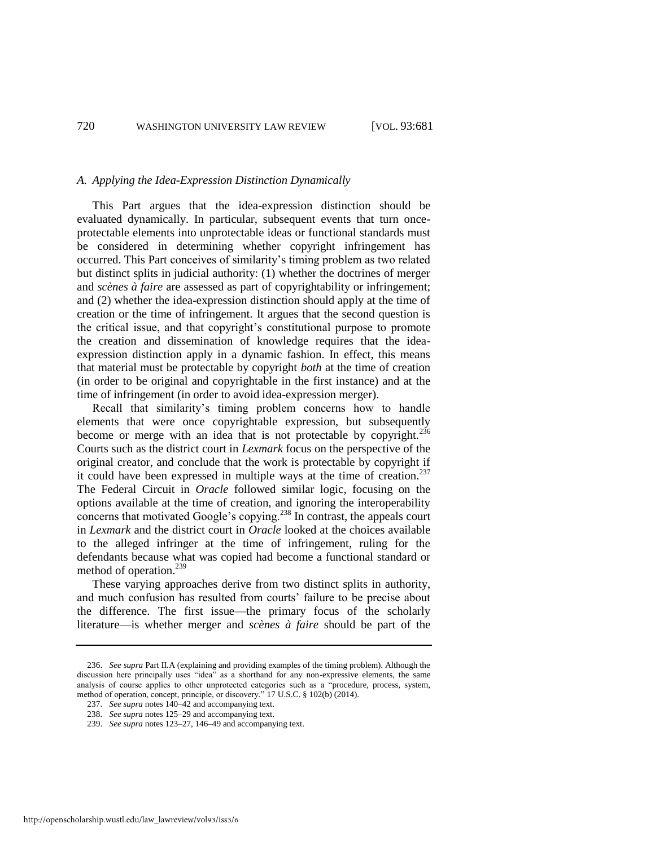#### *A. Applying the Idea-Expression Distinction Dynamically*

This Part argues that the idea-expression distinction should be evaluated dynamically. In particular, subsequent events that turn onceprotectable elements into unprotectable ideas or functional standards must be considered in determining whether copyright infringement has occurred. This Part conceives of similarity's timing problem as two related but distinct splits in judicial authority: (1) whether the doctrines of merger and *scènes à faire* are assessed as part of copyrightability or infringement; and (2) whether the idea-expression distinction should apply at the time of creation or the time of infringement. It argues that the second question is the critical issue, and that copyright's constitutional purpose to promote the creation and dissemination of knowledge requires that the ideaexpression distinction apply in a dynamic fashion. In effect, this means that material must be protectable by copyright *both* at the time of creation (in order to be original and copyrightable in the first instance) and at the time of infringement (in order to avoid idea-expression merger).

Recall that similarity's timing problem concerns how to handle elements that were once copyrightable expression, but subsequently become or merge with an idea that is not protectable by copyright.<sup>236</sup> Courts such as the district court in *Lexmark* focus on the perspective of the original creator, and conclude that the work is protectable by copyright if it could have been expressed in multiple ways at the time of creation. $^{237}$ The Federal Circuit in *Oracle* followed similar logic, focusing on the options available at the time of creation, and ignoring the interoperability concerns that motivated Google's copying.<sup>238</sup> In contrast, the appeals court in *Lexmark* and the district court in *Oracle* looked at the choices available to the alleged infringer at the time of infringement, ruling for the defendants because what was copied had become a functional standard or method of operation.<sup>239</sup>

These varying approaches derive from two distinct splits in authority, and much confusion has resulted from courts' failure to be precise about the difference. The first issue—the primary focus of the scholarly literature—is whether merger and *scènes à faire* should be part of the

<sup>236.</sup> *See supra* Part II.A (explaining and providing examples of the timing problem). Although the discussion here principally uses "idea" as a shorthand for any non-expressive elements, the same analysis of course applies to other unprotected categories such as a "procedure, process, system, method of operation, concept, principle, or discovery." 17 U.S.C. § 102(b) (2014).

<sup>237.</sup> *See supra* note[s 140–](#page-25-0)42 and accompanying text.

<sup>238.</sup> *See supra* note[s 125–](#page-23-0)29 and accompanying text.

<sup>239.</sup> *See supra* note[s 123–](#page-23-1)27[, 146–](#page-26-0)49 and accompanying text.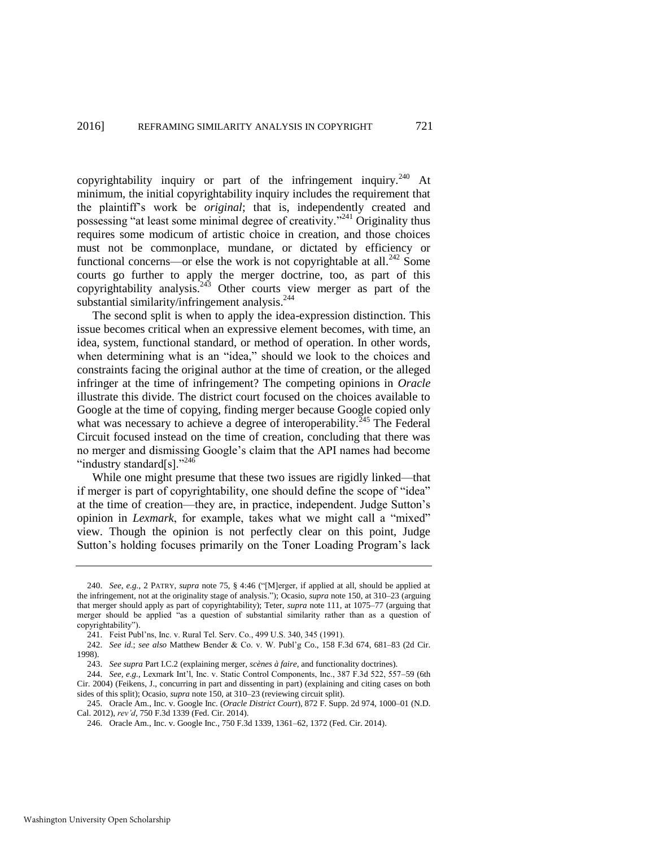copyrightability inquiry or part of the infringement inquiry.<sup>240</sup> At minimum, the initial copyrightability inquiry includes the requirement that the plaintiff's work be *original*; that is, independently created and possessing "at least some minimal degree of creativity."<sup>241</sup> Originality thus requires some modicum of artistic choice in creation, and those choices must not be commonplace, mundane, or dictated by efficiency or functional concerns—or else the work is not copyrightable at all.<sup>242</sup> Some courts go further to apply the merger doctrine, too, as part of this copyrightability analysis.<sup>243</sup> Other courts view merger as part of the substantial similarity/infringement analysis.<sup>244</sup>

The second split is when to apply the idea-expression distinction. This issue becomes critical when an expressive element becomes, with time, an idea, system, functional standard, or method of operation. In other words, when determining what is an "idea," should we look to the choices and constraints facing the original author at the time of creation, or the alleged infringer at the time of infringement? The competing opinions in *Oracle* illustrate this divide. The district court focused on the choices available to Google at the time of copying, finding merger because Google copied only what was necessary to achieve a degree of interoperability.<sup>245</sup> The Federal Circuit focused instead on the time of creation, concluding that there was no merger and dismissing Google's claim that the API names had become "industry standard[s]."<sup>246</sup>

While one might presume that these two issues are rigidly linked—that if merger is part of copyrightability, one should define the scope of "idea" at the time of creation—they are, in practice, independent. Judge Sutton's opinion in *Lexmark*, for example, takes what we might call a "mixed" view. Though the opinion is not perfectly clear on this point, Judge Sutton's holding focuses primarily on the Toner Loading Program's lack

<sup>240.</sup> *See, e.g.*, 2 PATRY, *supra* note [75,](#page-14-0) § 4:46 ("[M]erger, if applied at all, should be applied at the infringement, not at the originality stage of analysis."); Ocasio, *supra* not[e 150,](#page-27-0) at 310–23 (arguing that merger should apply as part of copyrightability); Teter, *supra* not[e 111,](#page-21-0) at 1075–77 (arguing that merger should be applied "as a question of substantial similarity rather than as a question of copyrightability").

<sup>241.</sup> Feist Publ'ns, Inc. v. Rural Tel. Serv. Co., 499 U.S. 340, 345 (1991).

<sup>242.</sup> *See id.*; *see also* Matthew Bender & Co. v. W. Publ'g Co., 158 F.3d 674, 681–83 (2d Cir. 1998).

<sup>243.</sup> *See supra* Part I.C.2 (explaining merger, *scènes à faire*, and functionality doctrines).

<sup>244.</sup> *See, e.g.*, Lexmark Int'l, Inc. v. Static Control Components, Inc., 387 F.3d 522, 557–59 (6th Cir. 2004) (Feikens, J., concurring in part and dissenting in part) (explaining and citing cases on both sides of this split); Ocasio, *supra* not[e 150,](#page-27-0) at 310–23 (reviewing circuit split).

<sup>245.</sup> Oracle Am., Inc. v. Google Inc. (*Oracle District Court*), 872 F. Supp. 2d 974, 1000–01 (N.D. Cal. 2012), *rev'd*, 750 F.3d 1339 (Fed. Cir. 2014).

<sup>246.</sup> Oracle Am., Inc. v. Google Inc., 750 F.3d 1339, 1361–62, 1372 (Fed. Cir. 2014).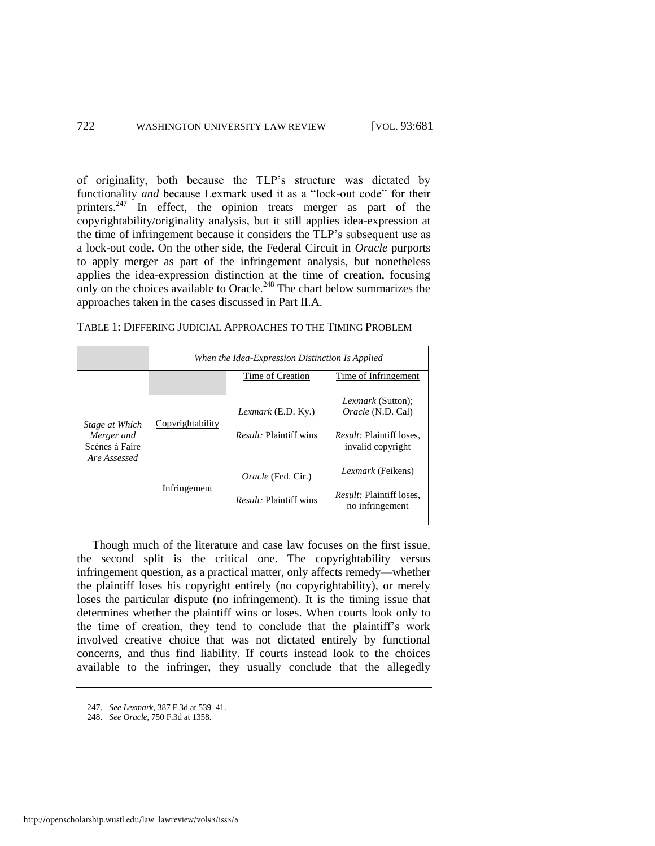of originality, both because the TLP's structure was dictated by functionality *and* because Lexmark used it as a "lock-out code" for their printers.<sup>247</sup> In effect, the opinion treats merger as part of the copyrightability/originality analysis, but it still applies idea-expression at the time of infringement because it considers the TLP's subsequent use as a lock-out code. On the other side, the Federal Circuit in *Oracle* purports to apply merger as part of the infringement analysis, but nonetheless applies the idea-expression distinction at the time of creation, focusing only on the choices available to Oracle.<sup>248</sup> The chart below summarizes the approaches taken in the cases discussed in Part II.A.

|                                                                | When the Idea-Expression Distinction Is Applied |                                                            |                                                                                                              |  |  |
|----------------------------------------------------------------|-------------------------------------------------|------------------------------------------------------------|--------------------------------------------------------------------------------------------------------------|--|--|
| Stage at Which<br>Merger and<br>Scènes à Faire<br>Are Assessed |                                                 | Time of Creation                                           | Time of Infringement                                                                                         |  |  |
|                                                                | Copyrightability                                | Lexmark (E.D. Ky.)<br><i>Result:</i> Plaintiff wins        | <i>Lexmark</i> (Sutton);<br><i>Oracle</i> (N.D. Cal)<br><i>Result:</i> Plaintiff loses.<br>invalid copyright |  |  |
|                                                                | Infringement                                    | <i>Oracle</i> (Fed. Cir.)<br><i>Result:</i> Plaintiff wins | <i>Lexmark</i> (Feikens)<br><i>Result:</i> Plaintiff loses,<br>no infringement                               |  |  |

TABLE 1: DIFFERING JUDICIAL APPROACHES TO THE TIMING PROBLEM

Though much of the literature and case law focuses on the first issue, the second split is the critical one. The copyrightability versus infringement question, as a practical matter, only affects remedy—whether the plaintiff loses his copyright entirely (no copyrightability), or merely loses the particular dispute (no infringement). It is the timing issue that determines whether the plaintiff wins or loses. When courts look only to the time of creation, they tend to conclude that the plaintiff's work involved creative choice that was not dictated entirely by functional concerns, and thus find liability. If courts instead look to the choices available to the infringer, they usually conclude that the allegedly

<sup>247.</sup> *See Lexmark*, 387 F.3d at 539–41.

<sup>248.</sup> *See Oracle*, 750 F.3d at 1358.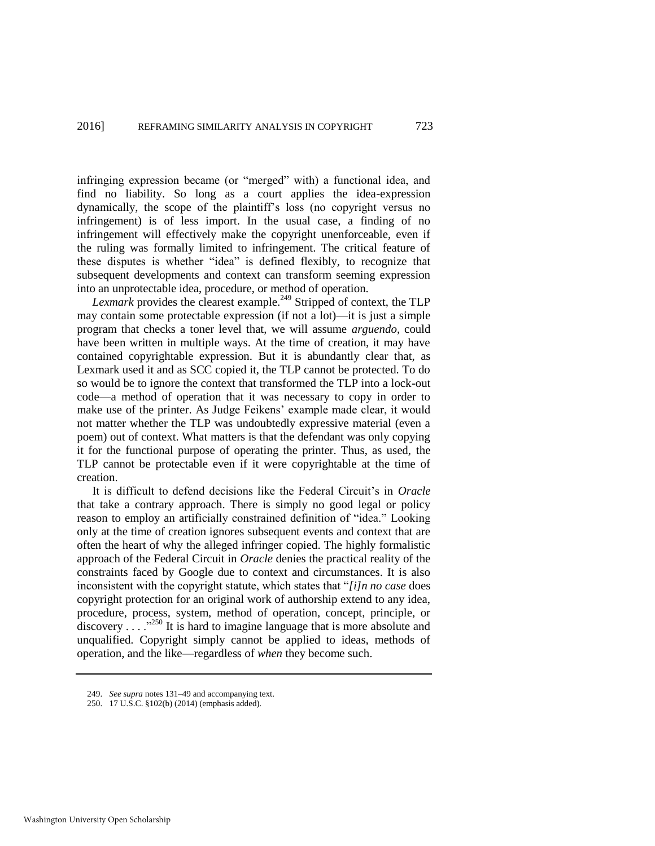infringing expression became (or "merged" with) a functional idea, and find no liability. So long as a court applies the idea-expression dynamically, the scope of the plaintiff's loss (no copyright versus no infringement) is of less import. In the usual case, a finding of no infringement will effectively make the copyright unenforceable, even if the ruling was formally limited to infringement. The critical feature of these disputes is whether "idea" is defined flexibly, to recognize that subsequent developments and context can transform seeming expression into an unprotectable idea, procedure, or method of operation.

*Lexmark* provides the clearest example.<sup>249</sup> Stripped of context, the TLP may contain some protectable expression (if not a lot)—it is just a simple program that checks a toner level that, we will assume *arguendo*, could have been written in multiple ways. At the time of creation, it may have contained copyrightable expression. But it is abundantly clear that, as Lexmark used it and as SCC copied it, the TLP cannot be protected. To do so would be to ignore the context that transformed the TLP into a lock-out code—a method of operation that it was necessary to copy in order to make use of the printer. As Judge Feikens' example made clear, it would not matter whether the TLP was undoubtedly expressive material (even a poem) out of context. What matters is that the defendant was only copying it for the functional purpose of operating the printer. Thus, as used, the TLP cannot be protectable even if it were copyrightable at the time of creation.

It is difficult to defend decisions like the Federal Circuit's in *Oracle*  that take a contrary approach. There is simply no good legal or policy reason to employ an artificially constrained definition of "idea." Looking only at the time of creation ignores subsequent events and context that are often the heart of why the alleged infringer copied. The highly formalistic approach of the Federal Circuit in *Oracle* denies the practical reality of the constraints faced by Google due to context and circumstances. It is also inconsistent with the copyright statute, which states that "*[i]n no case* does copyright protection for an original work of authorship extend to any idea, procedure, process, system, method of operation, concept, principle, or discovery . . . ."<sup>250</sup> It is hard to imagine language that is more absolute and unqualified. Copyright simply cannot be applied to ideas, methods of operation, and the like—regardless of *when* they become such.

<sup>249.</sup> *See supra* notes 131–49 and accompanying text.

<sup>250. 17</sup> U.S.C. §102(b) (2014) (emphasis added).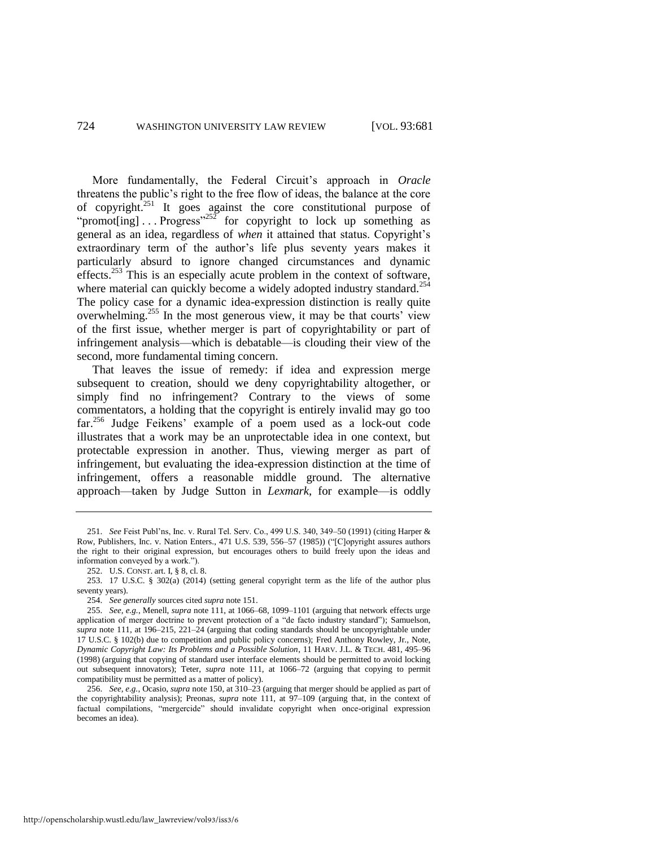More fundamentally, the Federal Circuit's approach in *Oracle* threatens the public's right to the free flow of ideas, the balance at the core of copyright.<sup>251</sup> It goes against the core constitutional purpose of "promot[ing]  $\ldots$  Progress"<sup>252</sup> for copyright to lock up something as general as an idea, regardless of *when* it attained that status. Copyright's extraordinary term of the author's life plus seventy years makes it particularly absurd to ignore changed circumstances and dynamic effects.<sup>253</sup> This is an especially acute problem in the context of software, where material can quickly become a widely adopted industry standard.<sup>254</sup> The policy case for a dynamic idea-expression distinction is really quite overwhelming.<sup>255</sup> In the most generous view, it may be that courts' view of the first issue, whether merger is part of copyrightability or part of infringement analysis—which is debatable—is clouding their view of the second, more fundamental timing concern.

That leaves the issue of remedy: if idea and expression merge subsequent to creation, should we deny copyrightability altogether, or simply find no infringement? Contrary to the views of some commentators, a holding that the copyright is entirely invalid may go too far.<sup>256</sup> Judge Feikens' example of a poem used as a lock-out code illustrates that a work may be an unprotectable idea in one context, but protectable expression in another. Thus, viewing merger as part of infringement, but evaluating the idea-expression distinction at the time of infringement, offers a reasonable middle ground. The alternative approach—taken by Judge Sutton in *Lexmark*, for example—is oddly

<sup>251.</sup> *See* Feist Publ'ns, Inc. v. Rural Tel. Serv. Co., 499 U.S. 340, 349–50 (1991) (citing Harper & Row, Publishers, Inc. v. Nation Enters., 471 U.S. 539, 556–57 (1985)) ("[C]opyright assures authors the right to their original expression, but encourages others to build freely upon the ideas and information conveyed by a work.").

<sup>252.</sup> U.S. CONST. art. I, § 8, cl. 8.

<sup>253. 17</sup> U.S.C. § 302(a) (2014) (setting general copyright term as the life of the author plus seventy years).

<sup>254.</sup> *See generally* sources cited *supra* not[e 151.](#page-27-1)

<sup>255.</sup> *See, e.g.*, Menell, *supra* note [111,](#page-21-0) at 1066–68, 1099–1101 (arguing that network effects urge application of merger doctrine to prevent protection of a "de facto industry standard"); Samuelson, *supra* note [111,](#page-21-0) at 196–215, 221–24 (arguing that coding standards should be uncopyrightable under 17 U.S.C. § 102(b) due to competition and public policy concerns); Fred Anthony Rowley, Jr., Note, *Dynamic Copyright Law: Its Problems and a Possible Solution*, 11 HARV. J.L. & TECH. 481, 495–96 (1998) (arguing that copying of standard user interface elements should be permitted to avoid locking out subsequent innovators); Teter, *supra* note [111,](#page-21-0) at 1066–72 (arguing that copying to permit compatibility must be permitted as a matter of policy).

<sup>256.</sup> *See, e.g.*, Ocasio, *supra* not[e 150,](#page-27-0) at 310–23 (arguing that merger should be applied as part of the copyrightability analysis); Preonas, *supra* note [111,](#page-21-0) at 97–109 (arguing that, in the context of factual compilations, "mergercide" should invalidate copyright when once-original expression becomes an idea).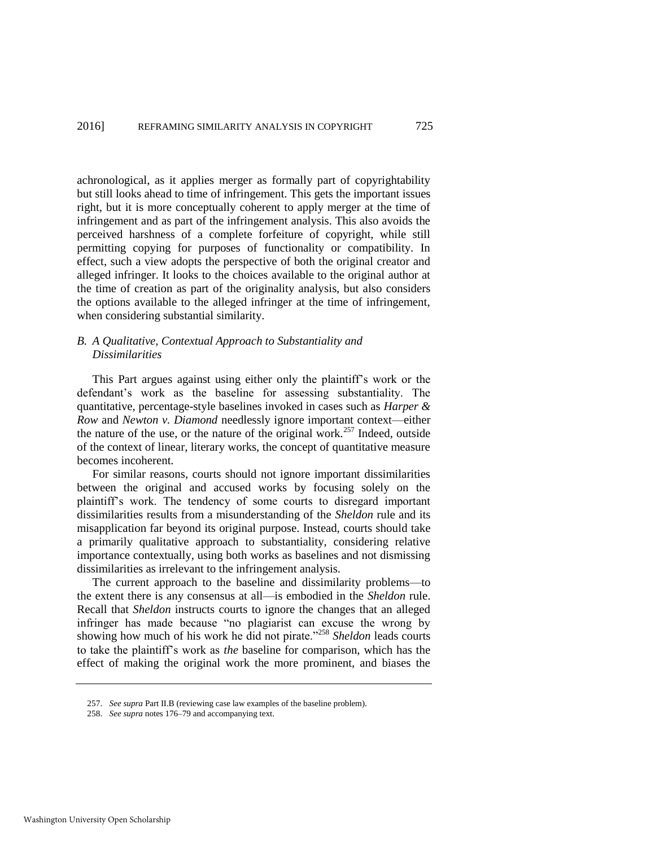achronological, as it applies merger as formally part of copyrightability but still looks ahead to time of infringement. This gets the important issues right, but it is more conceptually coherent to apply merger at the time of infringement and as part of the infringement analysis. This also avoids the perceived harshness of a complete forfeiture of copyright, while still permitting copying for purposes of functionality or compatibility. In effect, such a view adopts the perspective of both the original creator and alleged infringer. It looks to the choices available to the original author at the time of creation as part of the originality analysis, but also considers the options available to the alleged infringer at the time of infringement, when considering substantial similarity.

# *B. A Qualitative, Contextual Approach to Substantiality and Dissimilarities*

This Part argues against using either only the plaintiff's work or the defendant's work as the baseline for assessing substantiality. The quantitative, percentage-style baselines invoked in cases such as *Harper & Row* and *Newton v. Diamond* needlessly ignore important context—either the nature of the use, or the nature of the original work.<sup>257</sup> Indeed, outside of the context of linear, literary works, the concept of quantitative measure becomes incoherent.

For similar reasons, courts should not ignore important dissimilarities between the original and accused works by focusing solely on the plaintiff's work. The tendency of some courts to disregard important dissimilarities results from a misunderstanding of the *Sheldon* rule and its misapplication far beyond its original purpose. Instead, courts should take a primarily qualitative approach to substantiality, considering relative importance contextually, using both works as baselines and not dismissing dissimilarities as irrelevant to the infringement analysis.

The current approach to the baseline and dissimilarity problems—to the extent there is any consensus at all—is embodied in the *Sheldon* rule. Recall that *Sheldon* instructs courts to ignore the changes that an alleged infringer has made because "no plagiarist can excuse the wrong by showing how much of his work he did not pirate."<sup>258</sup> *Sheldon* leads courts to take the plaintiff's work as *the* baseline for comparison, which has the effect of making the original work the more prominent, and biases the

<sup>257.</sup> *See supra* Part II.B (reviewing case law examples of the baseline problem).

<sup>258.</sup> *See supra* note[s 176–](#page-30-0)79 and accompanying text.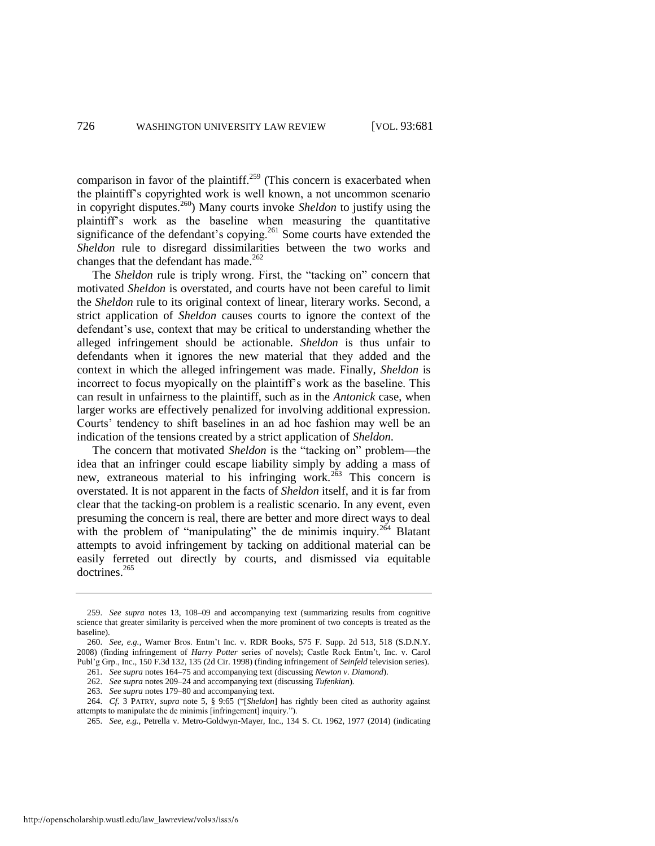comparison in favor of the plaintiff.<sup>259</sup> (This concern is exacerbated when the plaintiff's copyrighted work is well known, a not uncommon scenario in copyright disputes.<sup>260</sup>) Many courts invoke *Sheldon* to justify using the plaintiff's work as the baseline when measuring the quantitative significance of the defendant's copying.<sup>261</sup> Some courts have extended the *Sheldon* rule to disregard dissimilarities between the two works and changes that the defendant has made. $262$ 

The *Sheldon* rule is triply wrong. First, the "tacking on" concern that motivated *Sheldon* is overstated, and courts have not been careful to limit the *Sheldon* rule to its original context of linear, literary works. Second, a strict application of *Sheldon* causes courts to ignore the context of the defendant's use, context that may be critical to understanding whether the alleged infringement should be actionable. *Sheldon* is thus unfair to defendants when it ignores the new material that they added and the context in which the alleged infringement was made. Finally, *Sheldon* is incorrect to focus myopically on the plaintiff's work as the baseline. This can result in unfairness to the plaintiff, such as in the *Antonick* case, when larger works are effectively penalized for involving additional expression. Courts' tendency to shift baselines in an ad hoc fashion may well be an indication of the tensions created by a strict application of *Sheldon*.

The concern that motivated *Sheldon* is the "tacking on" problem—the idea that an infringer could escape liability simply by adding a mass of new, extraneous material to his infringing work.<sup>263</sup> This concern is overstated. It is not apparent in the facts of *Sheldon* itself, and it is far from clear that the tacking-on problem is a realistic scenario. In any event, even presuming the concern is real, there are better and more direct ways to deal with the problem of "manipulating" the de minimis inquiry.<sup>264</sup> Blatant attempts to avoid infringement by tacking on additional material can be easily ferreted out directly by courts, and dismissed via equitable doctrines.<sup>265</sup>

262. *See supra* note[s 209–](#page-36-0)24 and accompanying text (discussing *Tufenkian*).

<sup>259.</sup> *See supra* notes [13,](#page-5-0) [108–](#page-20-0)09 and accompanying text (summarizing results from cognitive science that greater similarity is perceived when the more prominent of two concepts is treated as the baseline).

<sup>260.</sup> *See, e.g.*, Warner Bros. Entm't Inc. v. RDR Books, 575 F. Supp. 2d 513, 518 (S.D.N.Y. 2008) (finding infringement of *Harry Potter* series of novels); Castle Rock Entm't, Inc. v. Carol Publ'g Grp., Inc., 150 F.3d 132, 135 (2d Cir. 1998) (finding infringement of *Seinfeld* television series).

<sup>261.</sup> *See supra* note[s 164–](#page-29-0)75 and accompanying text (discussing *Newton v. Diamond*).

<sup>263.</sup> *See supra* note[s 179–](#page-31-1)80 and accompanying text.

<sup>264.</sup> *Cf.* 3 PATRY, *supra* note [5,](#page-3-1) § 9:65 ("[*Sheldon*] has rightly been cited as authority against attempts to manipulate the de minimis [infringement] inquiry.").

<sup>265.</sup> *See, e.g.*, Petrella v. Metro-Goldwyn-Mayer, Inc., 134 S. Ct. 1962, 1977 (2014) (indicating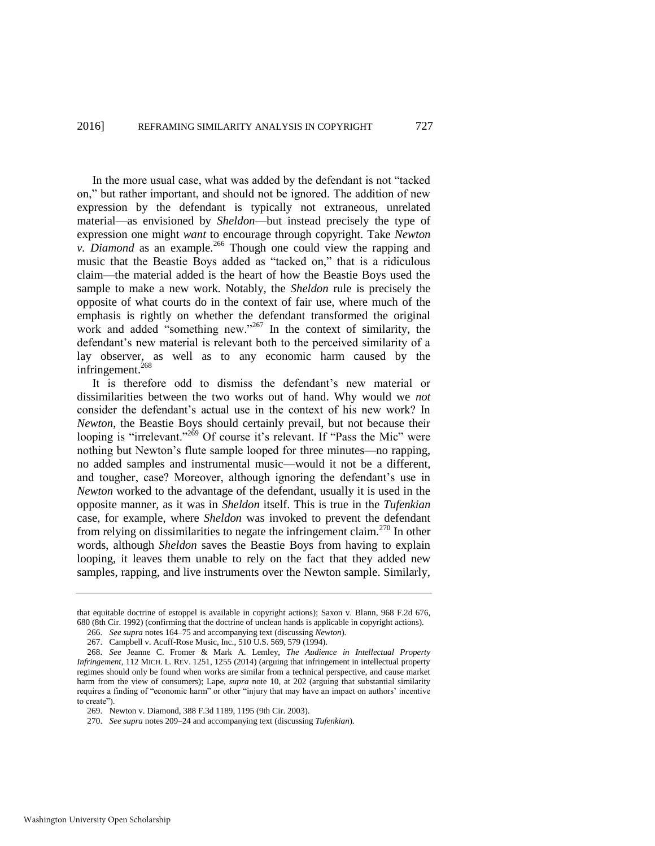In the more usual case, what was added by the defendant is not "tacked on," but rather important, and should not be ignored. The addition of new expression by the defendant is typically not extraneous, unrelated material—as envisioned by *Sheldon*—but instead precisely the type of expression one might *want* to encourage through copyright. Take *Newton v. Diamond* as an example.<sup>266</sup> Though one could view the rapping and music that the Beastie Boys added as "tacked on," that is a ridiculous claim—the material added is the heart of how the Beastie Boys used the sample to make a new work. Notably, the *Sheldon* rule is precisely the opposite of what courts do in the context of fair use, where much of the emphasis is rightly on whether the defendant transformed the original work and added "something new."<sup>267</sup> In the context of similarity, the defendant's new material is relevant both to the perceived similarity of a lay observer, as well as to any economic harm caused by the infringement.<sup>268</sup>

It is therefore odd to dismiss the defendant's new material or dissimilarities between the two works out of hand. Why would we *not* consider the defendant's actual use in the context of his new work? In *Newton*, the Beastie Boys should certainly prevail, but not because their looping is "irrelevant."<sup>269</sup> Of course it's relevant. If "Pass the Mic" were nothing but Newton's flute sample looped for three minutes—no rapping, no added samples and instrumental music—would it not be a different, and tougher, case? Moreover, although ignoring the defendant's use in *Newton* worked to the advantage of the defendant, usually it is used in the opposite manner, as it was in *Sheldon* itself. This is true in the *Tufenkian* case, for example, where *Sheldon* was invoked to prevent the defendant from relying on dissimilarities to negate the infringement claim.<sup>270</sup> In other words, although *Sheldon* saves the Beastie Boys from having to explain looping, it leaves them unable to rely on the fact that they added new samples, rapping, and live instruments over the Newton sample. Similarly,

that equitable doctrine of estoppel is available in copyright actions); Saxon v. Blann, 968 F.2d 676, 680 (8th Cir. 1992) (confirming that the doctrine of unclean hands is applicable in copyright actions).

<sup>266.</sup> *See supra* note[s 164–](#page-29-0)75 and accompanying text (discussing *Newton*).

<sup>267.</sup> Campbell v. Acuff-Rose Music, Inc., 510 U.S. 569, 579 (1994).

<sup>268.</sup> *See* Jeanne C. Fromer & Mark A. Lemley, *The Audience in Intellectual Property Infringement*, 112 MICH. L. REV. 1251, 1255 (2014) (arguing that infringement in intellectual property regimes should only be found when works are similar from a technical perspective, and cause market harm from the view of consumers); Lape, *supra* note [10,](#page-4-0) at 202 (arguing that substantial similarity requires a finding of "economic harm" or other "injury that may have an impact on authors' incentive to create").

<sup>269.</sup> Newton v. Diamond, 388 F.3d 1189, 1195 (9th Cir. 2003).

<sup>270.</sup> *See supra* note[s 209–](#page-36-0)24 and accompanying text (discussing *Tufenkian*).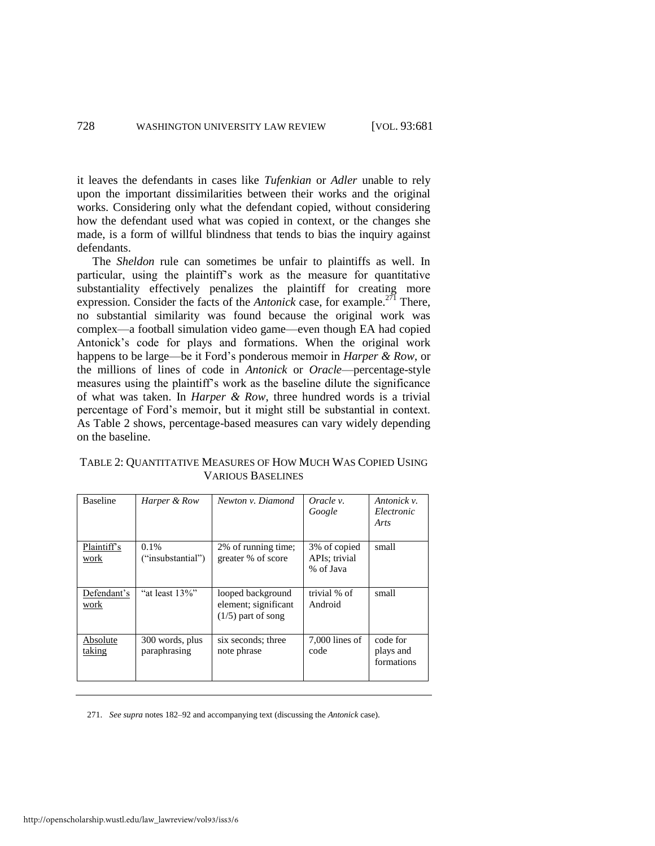it leaves the defendants in cases like *Tufenkian* or *Adler* unable to rely upon the important dissimilarities between their works and the original works. Considering only what the defendant copied, without considering how the defendant used what was copied in context*,* or the changes she made, is a form of willful blindness that tends to bias the inquiry against defendants.

The *Sheldon* rule can sometimes be unfair to plaintiffs as well. In particular, using the plaintiff's work as the measure for quantitative substantiality effectively penalizes the plaintiff for creating more expression. Consider the facts of the *Antonick* case, for example.<sup>271</sup> There, no substantial similarity was found because the original work was complex—a football simulation video game—even though EA had copied Antonick's code for plays and formations. When the original work happens to be large—be it Ford's ponderous memoir in *Harper & Row*, or the millions of lines of code in *Antonick* or *Oracle*—percentage-style measures using the plaintiff's work as the baseline dilute the significance of what was taken. In *Harper & Row*, three hundred words is a trivial percentage of Ford's memoir, but it might still be substantial in context. As Table 2 shows, percentage-based measures can vary widely depending on the baseline.

TABLE 2: QUANTITATIVE MEASURES OF HOW MUCH WAS COPIED USING VARIOUS BASELINES

| <b>Baseline</b>     | Harper & Row                    | Newton v. Diamond                                                 | Oracle v.<br>Google                        | Antonick v.<br>Electronic<br>Arts   |
|---------------------|---------------------------------|-------------------------------------------------------------------|--------------------------------------------|-------------------------------------|
| Plaintiff's<br>work | 0.1%<br>("insubstantial")       | 2% of running time;<br>greater % of score                         | 3% of copied<br>APIs; trivial<br>% of Java | small                               |
| Defendant's<br>work | "at least 13%"                  | looped background<br>element; significant<br>$(1/5)$ part of song | trivial % of<br>Android                    | small                               |
| Absolute<br>taking  | 300 words, plus<br>paraphrasing | six seconds; three<br>note phrase                                 | $7,000$ lines of<br>code                   | code for<br>plays and<br>formations |

271. *See supra* note[s 182–](#page-31-2)92 and accompanying text (discussing the *Antonick* case).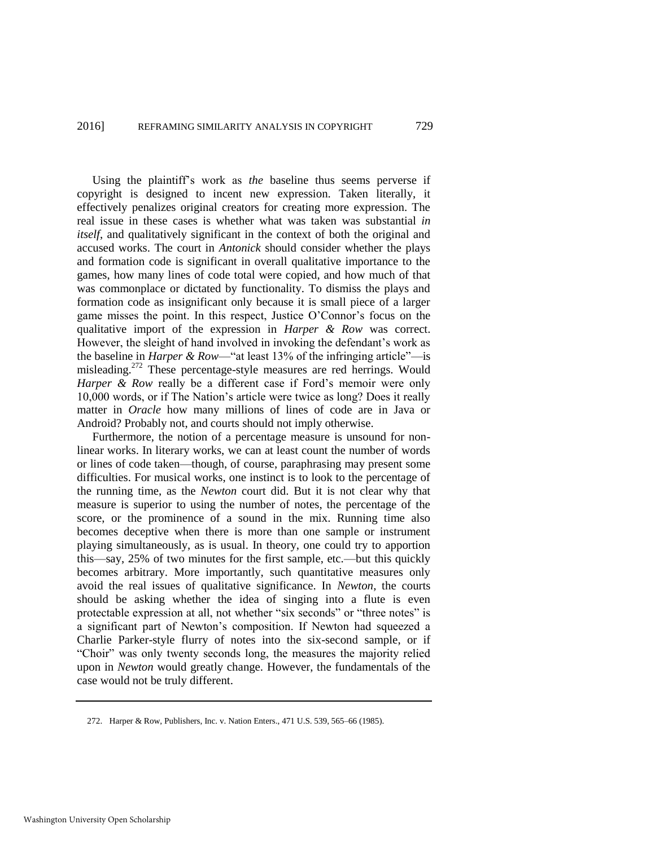Using the plaintiff's work as *the* baseline thus seems perverse if copyright is designed to incent new expression. Taken literally, it effectively penalizes original creators for creating more expression. The real issue in these cases is whether what was taken was substantial *in itself*, and qualitatively significant in the context of both the original and accused works. The court in *Antonick* should consider whether the plays and formation code is significant in overall qualitative importance to the games, how many lines of code total were copied, and how much of that was commonplace or dictated by functionality. To dismiss the plays and formation code as insignificant only because it is small piece of a larger game misses the point. In this respect, Justice O'Connor's focus on the qualitative import of the expression in *Harper & Row* was correct. However, the sleight of hand involved in invoking the defendant's work as the baseline in *Harper & Row*—"at least 13% of the infringing article"—is misleading.<sup>272</sup> These percentage-style measures are red herrings. Would *Harper & Row really be a different case if Ford's memoir were only* 10,000 words, or if The Nation's article were twice as long? Does it really matter in *Oracle* how many millions of lines of code are in Java or Android? Probably not, and courts should not imply otherwise.

Furthermore, the notion of a percentage measure is unsound for nonlinear works. In literary works, we can at least count the number of words or lines of code taken—though, of course, paraphrasing may present some difficulties. For musical works, one instinct is to look to the percentage of the running time, as the *Newton* court did. But it is not clear why that measure is superior to using the number of notes, the percentage of the score, or the prominence of a sound in the mix. Running time also becomes deceptive when there is more than one sample or instrument playing simultaneously, as is usual. In theory, one could try to apportion this—say, 25% of two minutes for the first sample, etc.—but this quickly becomes arbitrary. More importantly, such quantitative measures only avoid the real issues of qualitative significance. In *Newton*, the courts should be asking whether the idea of singing into a flute is even protectable expression at all, not whether "six seconds" or "three notes" is a significant part of Newton's composition. If Newton had squeezed a Charlie Parker-style flurry of notes into the six-second sample, or if "Choir" was only twenty seconds long, the measures the majority relied upon in *Newton* would greatly change. However, the fundamentals of the case would not be truly different.

<sup>272.</sup> Harper & Row, Publishers, Inc. v. Nation Enters., 471 U.S. 539, 565–66 (1985).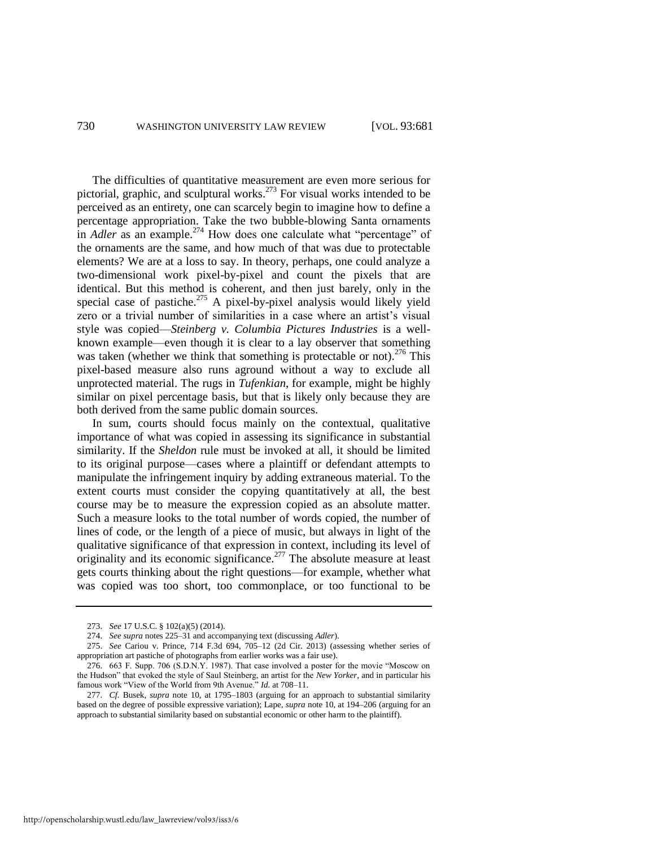The difficulties of quantitative measurement are even more serious for pictorial, graphic, and sculptural works.<sup>273</sup> For visual works intended to be perceived as an entirety, one can scarcely begin to imagine how to define a percentage appropriation. Take the two bubble-blowing Santa ornaments in *Adler* as an example.<sup>274</sup> How does one calculate what "percentage" of the ornaments are the same, and how much of that was due to protectable elements? We are at a loss to say. In theory, perhaps, one could analyze a two-dimensional work pixel-by-pixel and count the pixels that are identical. But this method is coherent, and then just barely, only in the special case of pastiche.<sup>275</sup> A pixel-by-pixel analysis would likely yield zero or a trivial number of similarities in a case where an artist's visual style was copied—*Steinberg v. Columbia Pictures Industries* is a wellknown example—even though it is clear to a lay observer that something was taken (whether we think that something is protectable or not).<sup>276</sup> This pixel-based measure also runs aground without a way to exclude all unprotected material. The rugs in *Tufenkian*, for example, might be highly similar on pixel percentage basis, but that is likely only because they are both derived from the same public domain sources.

In sum, courts should focus mainly on the contextual, qualitative importance of what was copied in assessing its significance in substantial similarity. If the *Sheldon* rule must be invoked at all, it should be limited to its original purpose—cases where a plaintiff or defendant attempts to manipulate the infringement inquiry by adding extraneous material. To the extent courts must consider the copying quantitatively at all, the best course may be to measure the expression copied as an absolute matter. Such a measure looks to the total number of words copied, the number of lines of code, or the length of a piece of music, but always in light of the qualitative significance of that expression in context, including its level of originality and its economic significance.<sup>277</sup> The absolute measure at least gets courts thinking about the right questions—for example, whether what was copied was too short, too commonplace, or too functional to be

<sup>273.</sup> *See* 17 U.S.C. § 102(a)(5) (2014).

<sup>274.</sup> *See supra* note[s 225–](#page-37-0)31 and accompanying text (discussing *Adler*).

<sup>275.</sup> *See* Cariou v. Prince, 714 F.3d 694, 705–12 (2d Cir. 2013) (assessing whether series of appropriation art pastiche of photographs from earlier works was a fair use).

<sup>276. 663</sup> F. Supp. 706 (S.D.N.Y. 1987). That case involved a poster for the movie "Moscow on the Hudson" that evoked the style of Saul Steinberg, an artist for the *New Yorker*, and in particular his famous work "View of the World from 9th Avenue." *Id.* at 708–11.

<sup>277.</sup> *Cf.* Busek, *supra* note [10,](#page-4-0) at 1795–1803 (arguing for an approach to substantial similarity based on the degree of possible expressive variation); Lape, *supra* not[e 10,](#page-4-0) at 194–206 (arguing for an approach to substantial similarity based on substantial economic or other harm to the plaintiff).